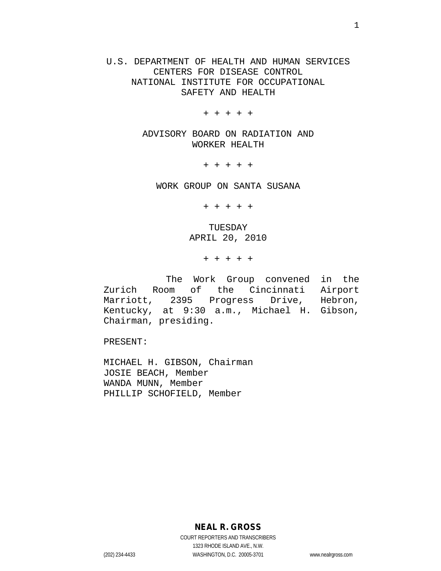U.S. DEPARTMENT OF HEALTH AND HUMAN SERVICES CENTERS FOR DISEASE CONTROL NATIONAL INSTITUTE FOR OCCUPATIONAL SAFETY AND HEALTH

+ + + + +

ADVISORY BOARD ON RADIATION AND WORKER HEALTH

+ + + + +

WORK GROUP ON SANTA SUSANA

+ + + + +

TUESDAY APRIL 20, 2010

+ + + + +

 The Work Group convened in the Zurich Room of the Cincinnati Airport<br>Marriott, 2395 Progress Drive, Hebron, Marriott, 2395 Progress Kentucky, at 9:30 a.m., Michael H. Gibson, Chairman, presiding.

PRESENT:

MICHAEL H. GIBSON, Chairman JOSIE BEACH, Member WANDA MUNN, Member PHILLIP SCHOFIELD, Member

**NEAL R. GROSS**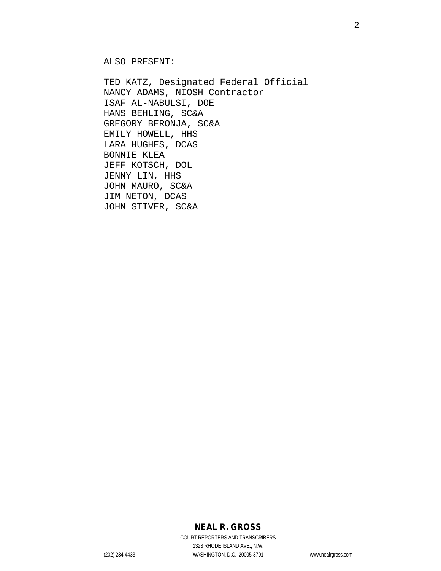ALSO PRESENT:

TED KATZ, Designated Federal Official NANCY ADAMS, NIOSH Contractor ISAF AL-NABULSI, DOE HANS BEHLING, SC&A GREGORY BERONJA, SC&A EMILY HOWELL, HHS LARA HUGHES, DCAS BONNIE KLEA JEFF KOTSCH, DOL JENNY LIN, HHS JOHN MAURO, SC&A JIM NETON, DCAS JOHN STIVER, SC&A

## **NEAL R. GROSS**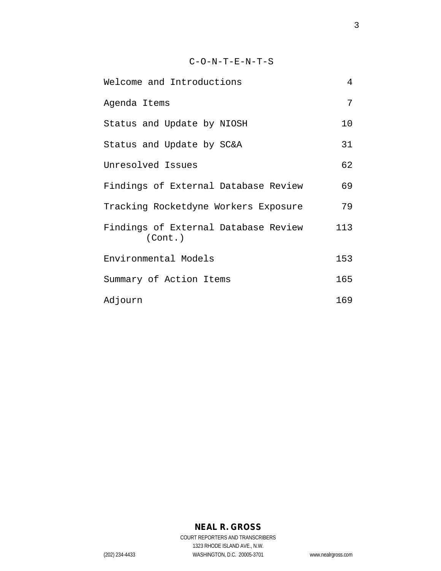|  |  | $C-O-N-T-E-N-T-S$ |  |  |
|--|--|-------------------|--|--|
|  |  |                   |  |  |

| Welcome and Introductions                       | 4   |  |
|-------------------------------------------------|-----|--|
| Agenda Items                                    | 7   |  |
| Status and Update by NIOSH                      | 10  |  |
| Status and Update by SC&A                       | 31  |  |
| Unresolved Issues                               | 62  |  |
| Findings of External Database Review            | 69  |  |
| Tracking Rocketdyne Workers Exposure            | 79  |  |
| Findings of External Database Review<br>(Cont.) | 113 |  |
| Environmental Models                            |     |  |
| Summary of Action Items                         |     |  |
| Adjourn                                         | 169 |  |

# **NEAL R. GROSS**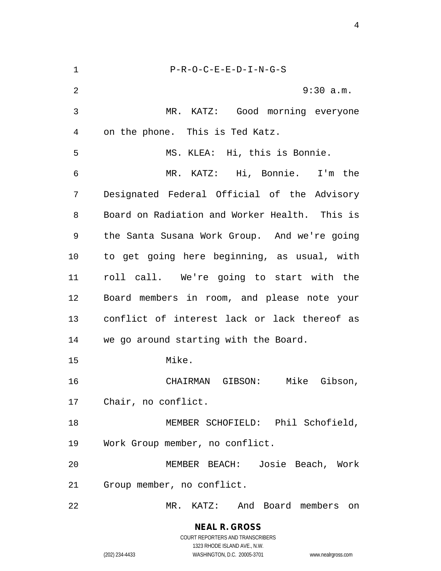| 1  | $P-R-O-C-E-E-D-I-N-G-S$                       |
|----|-----------------------------------------------|
| 2  | 9:30 a.m.                                     |
| 3  | MR. KATZ: Good morning everyone               |
| 4  | on the phone. This is Ted Katz.               |
| 5  | MS. KLEA: Hi, this is Bonnie.                 |
| 6  | MR. KATZ: Hi, Bonnie. I'm the                 |
| 7  | Designated Federal Official of the Advisory   |
| 8  | Board on Radiation and Worker Health. This is |
| 9  | the Santa Susana Work Group. And we're going  |
| 10 | to get going here beginning, as usual, with   |
| 11 | roll call. We're going to start with the      |
| 12 | Board members in room, and please note your   |
| 13 | conflict of interest lack or lack thereof as  |
| 14 | we go around starting with the Board.         |
| 15 | Mike.                                         |
| 16 | CHAIRMAN GIBSON:<br>Mike<br>Gibson,           |
| 17 | Chair, no conflict.                           |
| 18 | MEMBER SCHOFIELD: Phil Schofield,             |
| 19 | Work Group member, no conflict.               |
| 20 | MEMBER BEACH: Josie Beach, Work               |
| 21 | Group member, no conflict.                    |
| 22 | MR. KATZ: And Board members on                |

**NEAL R. GROSS** COURT REPORTERS AND TRANSCRIBERS 1323 RHODE ISLAND AVE., N.W.

(202) 234-4433 WASHINGTON, D.C. 20005-3701 www.nealrgross.com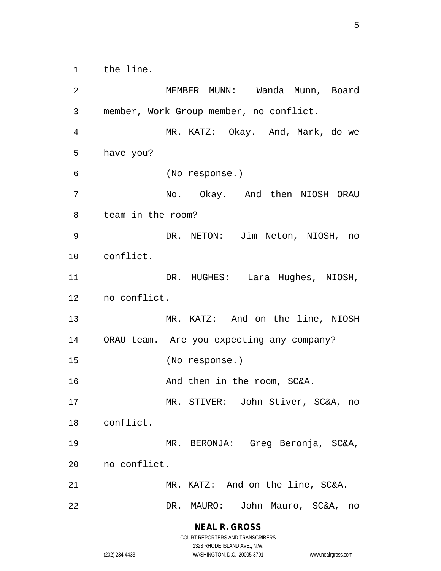1 the line.

2 MEMBER MUNN: Wanda Munn, Board 3 member, Work Group member, no conflict. 4 MR. KATZ: Okay. And, Mark, do we 5 have you? 6 (No response.) 7 No. Okay. And then NIOSH ORAU 8 team in the room? 9 DR. NETON: Jim Neton, NIOSH, no 10 conflict. 11 DR. HUGHES: Lara Hughes, NIOSH, 12 no conflict. 13 MR. KATZ: And on the line, NIOSH 14 ORAU team. Are you expecting any company? 15 (No response.) 16 And then in the room, SC&A. 17 MR. STIVER: John Stiver, SC&A, no 18 conflict. 19 MR. BERONJA: Greg Beronja, SC&A, 20 no conflict. 21 MR. KATZ: And on the line, SC&A. 22 DR. MAURO: John Mauro, SC&A, no

> **NEAL R. GROSS** COURT REPORTERS AND TRANSCRIBERS

1323 RHODE ISLAND AVE., N.W. (202) 234-4433 WASHINGTON, D.C. 20005-3701 www.nealrgross.com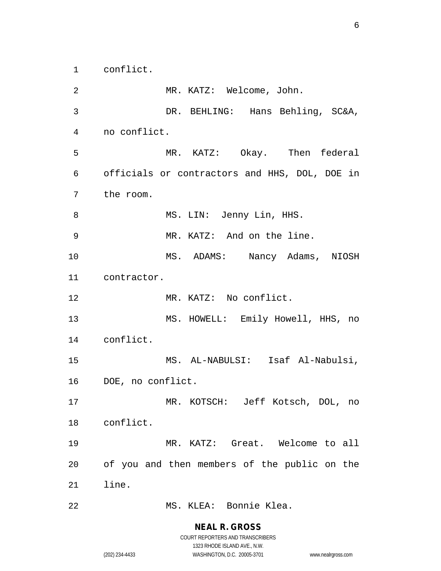1 conflict.

2 MR. KATZ: Welcome, John. 3 DR. BEHLING: Hans Behling, SC&A, 4 no conflict. 5 MR. KATZ: Okay. Then federal 6 officials or contractors and HHS, DOL, DOE in 7 the room. 8 MS. LIN: Jenny Lin, HHS. 9 MR. KATZ: And on the line. 10 MS. ADAMS: Nancy Adams, NIOSH 11 contractor. 12 MR. KATZ: No conflict. 13 MS. HOWELL: Emily Howell, HHS, no 14 conflict. 15 MS. AL-NABULSI: Isaf Al-Nabulsi, 16 DOE, no conflict. 17 MR. KOTSCH: Jeff Kotsch, DOL, no 18 conflict. 19 MR. KATZ: Great. Welcome to all 20 of you and then members of the public on the 21 line. 22 MS. KLEA: Bonnie Klea.

## **NEAL R. GROSS**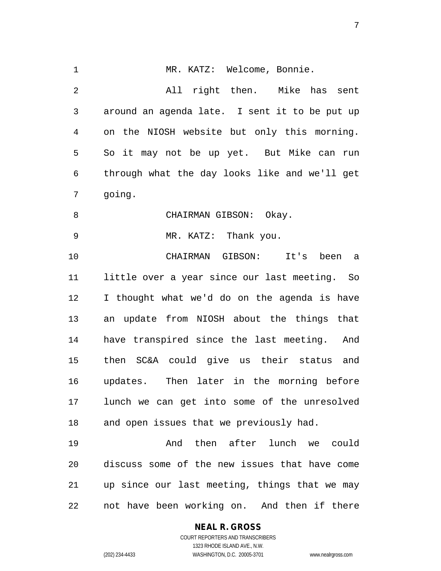1 MR. KATZ: Welcome, Bonnie. 2 All right then. Mike has sent 3 around an agenda late. I sent it to be put up 4 on the NIOSH website but only this morning. 5 So it may not be up yet. But Mike can run 6 through what the day looks like and we'll get 7 going. 8 CHAIRMAN GIBSON: Okay. 9 MR. KATZ: Thank you. 10 CHAIRMAN GIBSON: It's been a 11 little over a year since our last meeting. So 12 I thought what we'd do on the agenda is have 13 an update from NIOSH about the things that 14 have transpired since the last meeting. And 15 then SC&A could give us their status and 16 updates. Then later in the morning before 17 lunch we can get into some of the unresolved 18 and open issues that we previously had. 19 And then after lunch we could 20 discuss some of the new issues that have come 21 up since our last meeting, things that we may 22 not have been working on. And then if there

## **NEAL R. GROSS**

COURT REPORTERS AND TRANSCRIBERS 1323 RHODE ISLAND AVE., N.W. (202) 234-4433 WASHINGTON, D.C. 20005-3701 www.nealrgross.com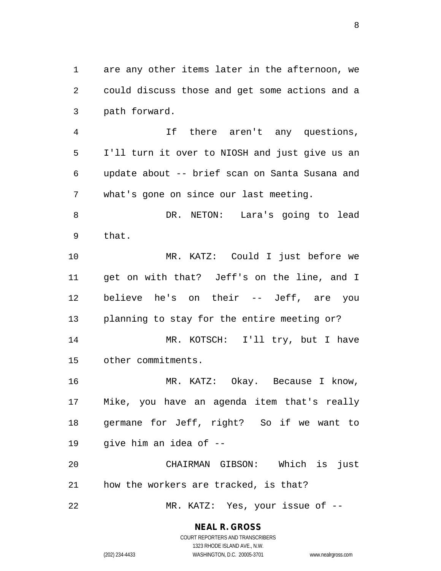1 are any other items later in the afternoon, we 2 could discuss those and get some actions and a 3 path forward.

4 If there aren't any questions, 5 I'll turn it over to NIOSH and just give us an 6 update about -- brief scan on Santa Susana and 7 what's gone on since our last meeting.

8 DR. NETON: Lara's going to lead 9 that.

10 MR. KATZ: Could I just before we 11 get on with that? Jeff's on the line, and I 12 believe he's on their -- Jeff, are you 13 planning to stay for the entire meeting or? 14 MR. KOTSCH: I'll try, but I have 15 other commitments.

16 MR. KATZ: Okay. Because I know, 17 Mike, you have an agenda item that's really 18 germane for Jeff, right? So if we want to 19 give him an idea of --

20 CHAIRMAN GIBSON: Which is just 21 how the workers are tracked, is that?

22 MR. KATZ: Yes, your issue of --

#### **NEAL R. GROSS**

COURT REPORTERS AND TRANSCRIBERS 1323 RHODE ISLAND AVE., N.W. (202) 234-4433 WASHINGTON, D.C. 20005-3701 www.nealrgross.com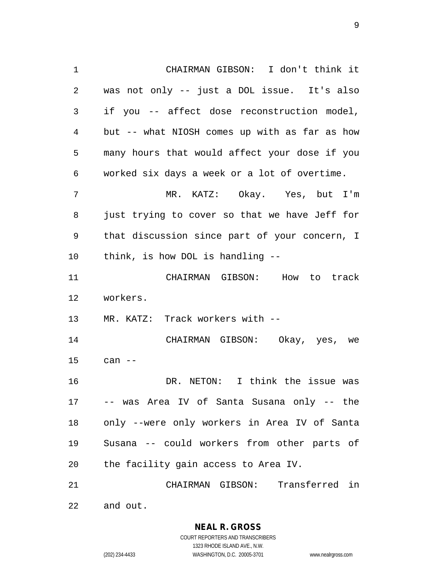1 CHAIRMAN GIBSON: I don't think it 2 was not only -- just a DOL issue. It's also 3 if you -- affect dose reconstruction model, 4 but -- what NIOSH comes up with as far as how 5 many hours that would affect your dose if you 6 worked six days a week or a lot of overtime. 7 MR. KATZ: Okay. Yes, but I'm 8 just trying to cover so that we have Jeff for 9 that discussion since part of your concern, I 10 think, is how DOL is handling -- 11 CHAIRMAN GIBSON: How to track 12 workers. 13 MR. KATZ: Track workers with -- 14 CHAIRMAN GIBSON: Okay, yes, we 15 can -- 16 DR. NETON: I think the issue was 17 -- was Area IV of Santa Susana only -- the 18 only --were only workers in Area IV of Santa 19 Susana -- could workers from other parts of 20 the facility gain access to Area IV. 21 CHAIRMAN GIBSON: Transferred in 22 and out.

> **NEAL R. GROSS** COURT REPORTERS AND TRANSCRIBERS 1323 RHODE ISLAND AVE., N.W.

(202) 234-4433 WASHINGTON, D.C. 20005-3701 www.nealrgross.com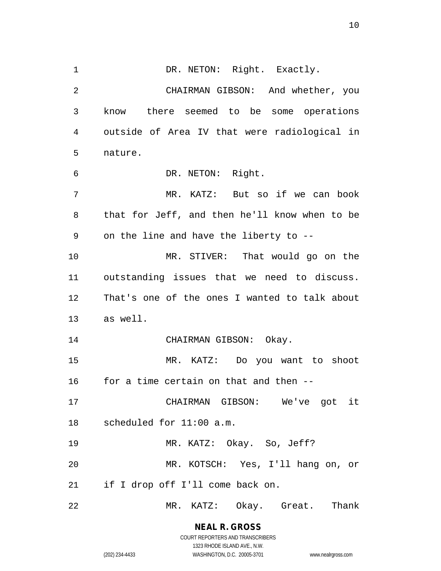1 DR. NETON: Right. Exactly. 2 CHAIRMAN GIBSON: And whether, you 3 know there seemed to be some operations 4 outside of Area IV that were radiological in 5 nature. 6 DR. NETON: Right. 7 MR. KATZ: But so if we can book 8 that for Jeff, and then he'll know when to be 9 on the line and have the liberty to -- 10 MR. STIVER: That would go on the 11 outstanding issues that we need to discuss. 12 That's one of the ones I wanted to talk about 13 as well. 14 CHAIRMAN GIBSON: Okay. 15 MR. KATZ: Do you want to shoot 16 for a time certain on that and then -- 17 CHAIRMAN GIBSON: We've got it 18 scheduled for 11:00 a.m. 19 MR. KATZ: Okay. So, Jeff? 20 MR. KOTSCH: Yes, I'll hang on, or 21 if I drop off I'll come back on. 22 MR. KATZ: Okay. Great. Thank

> **NEAL R. GROSS** COURT REPORTERS AND TRANSCRIBERS

1323 RHODE ISLAND AVE., N.W. (202) 234-4433 WASHINGTON, D.C. 20005-3701 www.nealrgross.com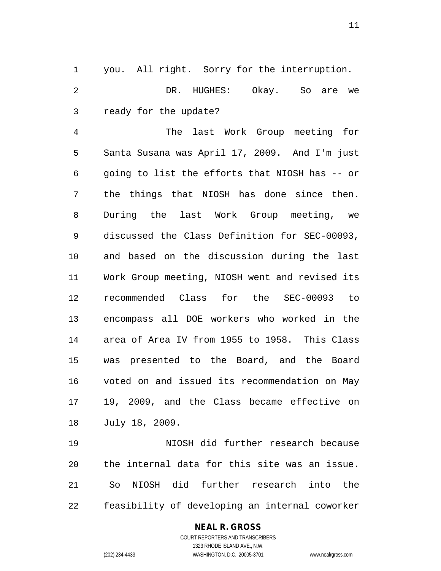1 you. All right. Sorry for the interruption. 2 DR. HUGHES: Okay. So are we 3 ready for the update?

4 The last Work Group meeting for 5 Santa Susana was April 17, 2009. And I'm just 6 going to list the efforts that NIOSH has -- or 7 the things that NIOSH has done since then. 8 During the last Work Group meeting, we 9 discussed the Class Definition for SEC-00093, 10 and based on the discussion during the last 11 Work Group meeting, NIOSH went and revised its 12 recommended Class for the SEC-00093 to 13 encompass all DOE workers who worked in the 14 area of Area IV from 1955 to 1958. This Class 15 was presented to the Board, and the Board 16 voted on and issued its recommendation on May 17 19, 2009, and the Class became effective on 18 July 18, 2009.

19 NIOSH did further research because 20 the internal data for this site was an issue. 21 So NIOSH did further research into the 22 feasibility of developing an internal coworker

#### **NEAL R. GROSS**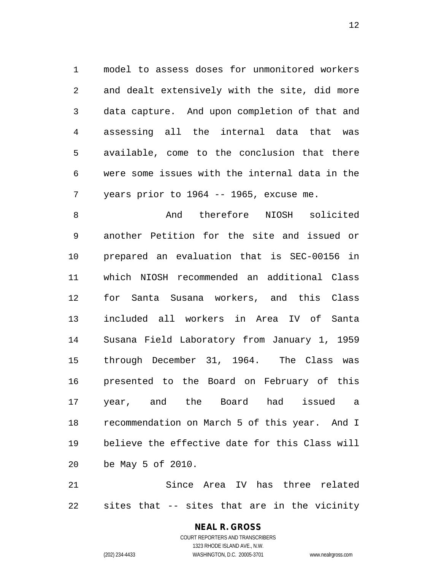1 model to assess doses for unmonitored workers 2 and dealt extensively with the site, did more 3 data capture. And upon completion of that and 4 assessing all the internal data that was 5 available, come to the conclusion that there 6 were some issues with the internal data in the 7 years prior to 1964 -- 1965, excuse me.

8 and therefore NIOSH solicited 9 another Petition for the site and issued or 10 prepared an evaluation that is SEC-00156 in 11 which NIOSH recommended an additional Class 12 for Santa Susana workers, and this Class 13 included all workers in Area IV of Santa 14 Susana Field Laboratory from January 1, 1959 15 through December 31, 1964. The Class was 16 presented to the Board on February of this 17 year, and the Board had issued a 18 recommendation on March 5 of this year. And I 19 believe the effective date for this Class will 20 be May 5 of 2010.

21 Since Area IV has three related 22 sites that -- sites that are in the vicinity

## **NEAL R. GROSS**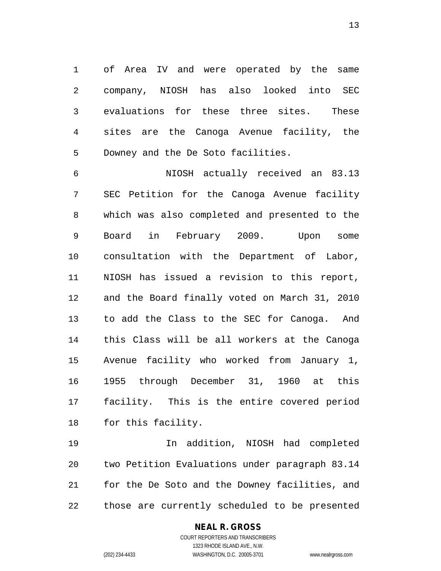1 of Area IV and were operated by the same 2 company, NIOSH has also looked into SEC 3 evaluations for these three sites. These 4 sites are the Canoga Avenue facility, the 5 Downey and the De Soto facilities.

6 NIOSH actually received an 83.13 7 SEC Petition for the Canoga Avenue facility 8 which was also completed and presented to the 9 Board in February 2009. Upon some 10 consultation with the Department of Labor, 11 NIOSH has issued a revision to this report, 12 and the Board finally voted on March 31, 2010 13 to add the Class to the SEC for Canoga. And 14 this Class will be all workers at the Canoga 15 Avenue facility who worked from January 1, 16 1955 through December 31, 1960 at this 17 facility. This is the entire covered period 18 for this facility.

19 In addition, NIOSH had completed 20 two Petition Evaluations under paragraph 83.14 21 for the De Soto and the Downey facilities, and 22 those are currently scheduled to be presented

## **NEAL R. GROSS**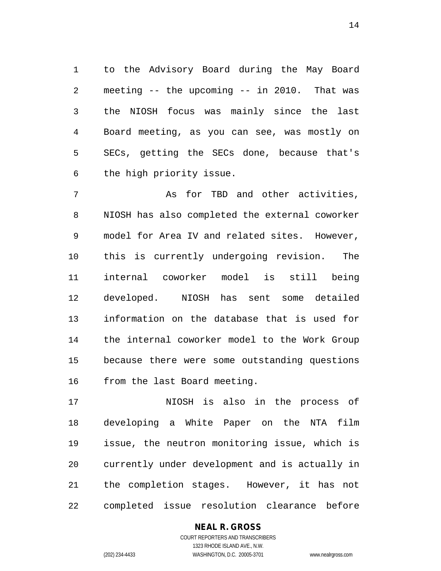1 to the Advisory Board during the May Board 2 meeting -- the upcoming -- in 2010. That was 3 the NIOSH focus was mainly since the last 4 Board meeting, as you can see, was mostly on 5 SECs, getting the SECs done, because that's 6 the high priority issue.

7 As for TBD and other activities, 8 NIOSH has also completed the external coworker 9 model for Area IV and related sites. However, 10 this is currently undergoing revision. The 11 internal coworker model is still being 12 developed. NIOSH has sent some detailed 13 information on the database that is used for 14 the internal coworker model to the Work Group 15 because there were some outstanding questions 16 from the last Board meeting.

17 NIOSH is also in the process of 18 developing a White Paper on the NTA film 19 issue, the neutron monitoring issue, which is 20 currently under development and is actually in 21 the completion stages. However, it has not 22 completed issue resolution clearance before

**NEAL R. GROSS**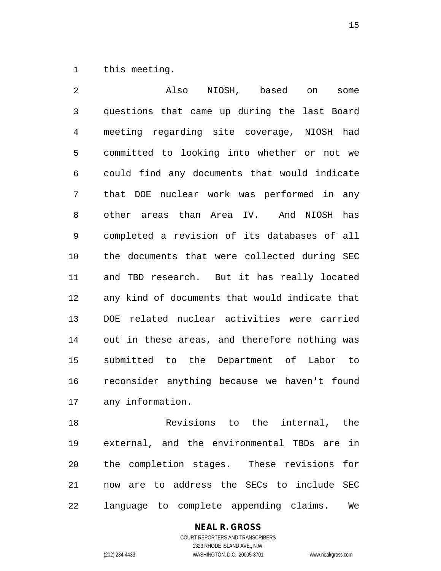1 this meeting.

2 Also NIOSH, based on some 3 questions that came up during the last Board 4 meeting regarding site coverage, NIOSH had 5 committed to looking into whether or not we 6 could find any documents that would indicate 7 that DOE nuclear work was performed in any 8 other areas than Area IV. And NIOSH has 9 completed a revision of its databases of all 10 the documents that were collected during SEC 11 and TBD research. But it has really located 12 any kind of documents that would indicate that 13 DOE related nuclear activities were carried 14 out in these areas, and therefore nothing was 15 submitted to the Department of Labor to 16 reconsider anything because we haven't found 17 any information.

18 Revisions to the internal, the 19 external, and the environmental TBDs are in 20 the completion stages. These revisions for 21 now are to address the SECs to include SEC 22 language to complete appending claims. We

> **NEAL R. GROSS** COURT REPORTERS AND TRANSCRIBERS

1323 RHODE ISLAND AVE., N.W. (202) 234-4433 WASHINGTON, D.C. 20005-3701 www.nealrgross.com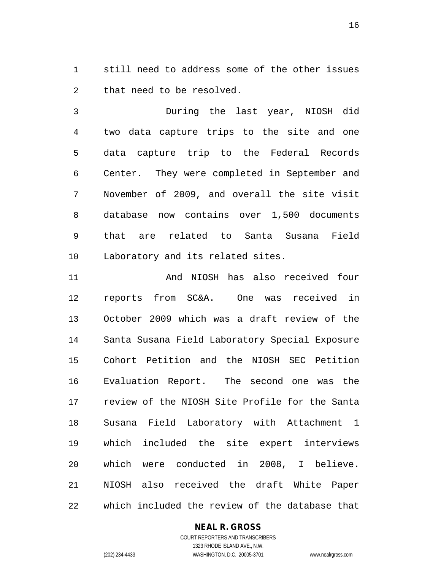1 still need to address some of the other issues 2 that need to be resolved.

3 During the last year, NIOSH did 4 two data capture trips to the site and one 5 data capture trip to the Federal Records 6 Center. They were completed in September and 7 November of 2009, and overall the site visit 8 database now contains over 1,500 documents 9 that are related to Santa Susana Field 10 Laboratory and its related sites.

11 And NIOSH has also received four 12 reports from SC&A. One was received in 13 October 2009 which was a draft review of the 14 Santa Susana Field Laboratory Special Exposure 15 Cohort Petition and the NIOSH SEC Petition 16 Evaluation Report. The second one was the 17 review of the NIOSH Site Profile for the Santa 18 Susana Field Laboratory with Attachment 1 19 which included the site expert interviews 20 which were conducted in 2008, I believe. 21 NIOSH also received the draft White Paper 22 which included the review of the database that

## **NEAL R. GROSS**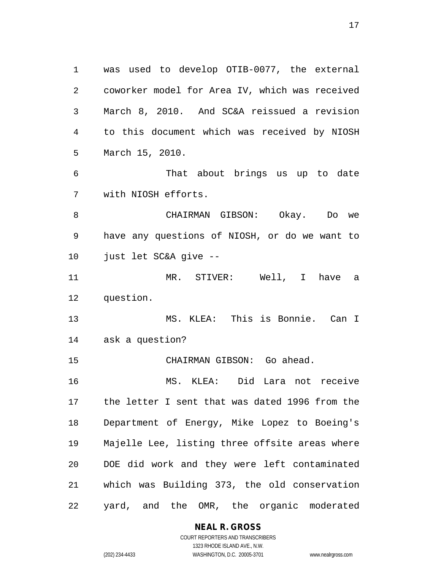1 was used to develop OTIB-0077, the external 2 coworker model for Area IV, which was received 3 March 8, 2010. And SC&A reissued a revision 4 to this document which was received by NIOSH 5 March 15, 2010. 6 That about brings us up to date 7 with NIOSH efforts. 8 CHAIRMAN GIBSON: Okay. Do we 9 have any questions of NIOSH, or do we want to 10 just let SC&A give -- 11 MR. STIVER: Well, I have a 12 question. 13 MS. KLEA: This is Bonnie. Can I 14 ask a question? 15 CHAIRMAN GIBSON: Go ahead. 16 MS. KLEA: Did Lara not receive 17 the letter I sent that was dated 1996 from the 18 Department of Energy, Mike Lopez to Boeing's 19 Majelle Lee, listing three offsite areas where 20 DOE did work and they were left contaminated 21 which was Building 373, the old conservation 22 yard, and the OMR, the organic moderated

**NEAL R. GROSS**

COURT REPORTERS AND TRANSCRIBERS 1323 RHODE ISLAND AVE., N.W. (202) 234-4433 WASHINGTON, D.C. 20005-3701 www.nealrgross.com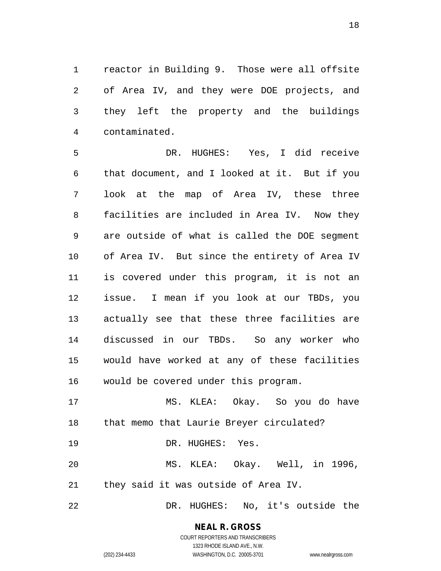1 reactor in Building 9. Those were all offsite 2 of Area IV, and they were DOE projects, and 3 they left the property and the buildings 4 contaminated.

5 DR. HUGHES: Yes, I did receive 6 that document, and I looked at it. But if you 7 look at the map of Area IV, these three 8 facilities are included in Area IV. Now they 9 are outside of what is called the DOE segment 10 of Area IV. But since the entirety of Area IV 11 is covered under this program, it is not an 12 issue. I mean if you look at our TBDs, you 13 actually see that these three facilities are 14 discussed in our TBDs. So any worker who 15 would have worked at any of these facilities 16 would be covered under this program.

17 MS. KLEA: Okay. So you do have 18 that memo that Laurie Breyer circulated? 19 DR. HUGHES: Yes. 20 MS. KLEA: Okay. Well, in 1996, 21 they said it was outside of Area IV.

22 DR. HUGHES: No, it's outside the

#### **NEAL R. GROSS** COURT REPORTERS AND TRANSCRIBERS

1323 RHODE ISLAND AVE., N.W. (202) 234-4433 WASHINGTON, D.C. 20005-3701 www.nealrgross.com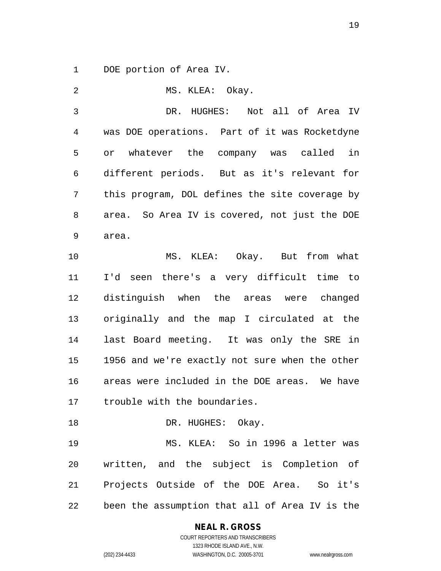1 DOE portion of Area IV.

2 MS. KLEA: Okay. 3 DR. HUGHES: Not all of Area IV 4 was DOE operations. Part of it was Rocketdyne 5 or whatever the company was called in 6 different periods. But as it's relevant for 7 this program, DOL defines the site coverage by 8 area. So Area IV is covered, not just the DOE 9 area. 10 MS. KLEA: Okay. But from what 11 I'd seen there's a very difficult time to 12 distinguish when the areas were changed 13 originally and the map I circulated at the 14 last Board meeting. It was only the SRE in 15 1956 and we're exactly not sure when the other 16 areas were included in the DOE areas. We have 17 trouble with the boundaries. 18 DR. HUGHES: Okay. 19 MS. KLEA: So in 1996 a letter was 20 written, and the subject is Completion of 21 Projects Outside of the DOE Area. So it's 22 been the assumption that all of Area IV is the

# **NEAL R. GROSS**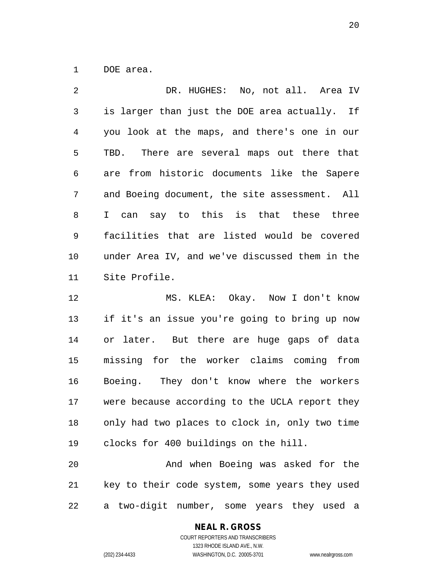1 DOE area.

2 DR. HUGHES: No, not all. Area IV 3 is larger than just the DOE area actually. If 4 you look at the maps, and there's one in our 5 TBD. There are several maps out there that 6 are from historic documents like the Sapere 7 and Boeing document, the site assessment. All 8 I can say to this is that these three 9 facilities that are listed would be covered 10 under Area IV, and we've discussed them in the 11 Site Profile.

12 MS. KLEA: Okay. Now I don't know 13 if it's an issue you're going to bring up now 14 or later. But there are huge gaps of data 15 missing for the worker claims coming from 16 Boeing. They don't know where the workers 17 were because according to the UCLA report they 18 only had two places to clock in, only two time 19 clocks for 400 buildings on the hill.

20 And when Boeing was asked for the 21 key to their code system, some years they used 22 a two-digit number, some years they used a

## **NEAL R. GROSS**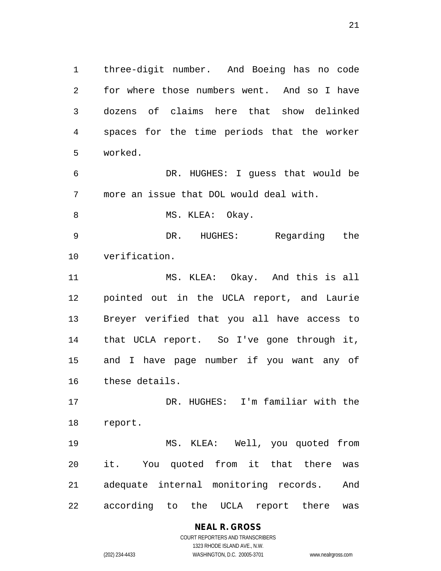1 three-digit number. And Boeing has no code 2 for where those numbers went. And so I have 3 dozens of claims here that show delinked 4 spaces for the time periods that the worker 5 worked.

6 DR. HUGHES: I guess that would be 7 more an issue that DOL would deal with.

8 MS. KLEA: Okay.

9 DR. HUGHES: Regarding the 10 verification.

11 MS. KLEA: Okay. And this is all 12 pointed out in the UCLA report, and Laurie 13 Breyer verified that you all have access to 14 that UCLA report. So I've gone through it, 15 and I have page number if you want any of 16 these details.

17 DR. HUGHES: I'm familiar with the 18 report.

19 MS. KLEA: Well, you quoted from 20 it. You quoted from it that there was 21 adequate internal monitoring records. And 22 according to the UCLA report there was

# **NEAL R. GROSS**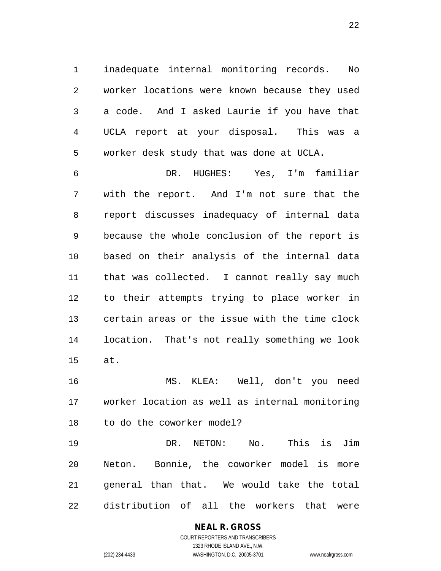1 inadequate internal monitoring records. No 2 worker locations were known because they used 3 a code. And I asked Laurie if you have that 4 UCLA report at your disposal. This was a 5 worker desk study that was done at UCLA.

6 DR. HUGHES: Yes, I'm familiar 7 with the report. And I'm not sure that the 8 report discusses inadequacy of internal data 9 because the whole conclusion of the report is 10 based on their analysis of the internal data 11 that was collected. I cannot really say much 12 to their attempts trying to place worker in 13 certain areas or the issue with the time clock 14 location. That's not really something we look 15 at.

16 MS. KLEA: Well, don't you need 17 worker location as well as internal monitoring 18 to do the coworker model?

19 DR. NETON: No. This is Jim 20 Neton. Bonnie, the coworker model is more 21 general than that. We would take the total 22 distribution of all the workers that were

# **NEAL R. GROSS**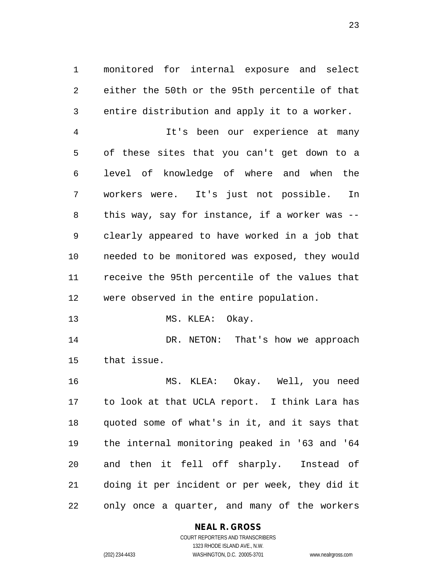1 monitored for internal exposure and select 2 either the 50th or the 95th percentile of that 3 entire distribution and apply it to a worker.

4 It's been our experience at many 5 of these sites that you can't get down to a 6 level of knowledge of where and when the 7 workers were. It's just not possible. In 8 this way, say for instance, if a worker was -- 9 clearly appeared to have worked in a job that 10 needed to be monitored was exposed, they would 11 receive the 95th percentile of the values that 12 were observed in the entire population.

13 MS. KLEA: Okay.

14 DR. NETON: That's how we approach 15 that issue.

16 MS. KLEA: Okay. Well, you need 17 to look at that UCLA report. I think Lara has 18 quoted some of what's in it, and it says that 19 the internal monitoring peaked in '63 and '64 20 and then it fell off sharply. Instead of 21 doing it per incident or per week, they did it 22 only once a quarter, and many of the workers

## **NEAL R. GROSS**

COURT REPORTERS AND TRANSCRIBERS 1323 RHODE ISLAND AVE., N.W. (202) 234-4433 WASHINGTON, D.C. 20005-3701 www.nealrgross.com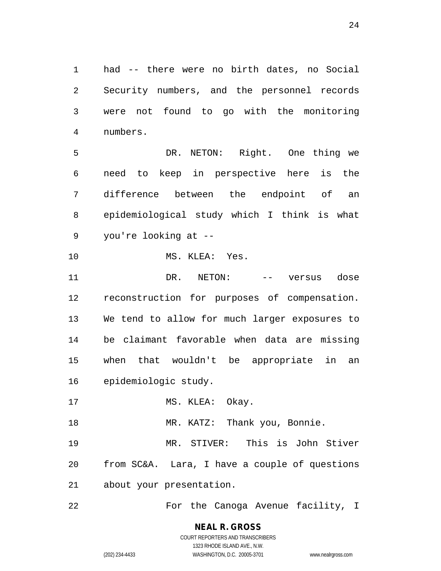1 had -- there were no birth dates, no Social 2 Security numbers, and the personnel records 3 were not found to go with the monitoring 4 numbers.

5 DR. NETON: Right. One thing we 6 need to keep in perspective here is the 7 difference between the endpoint of an 8 epidemiological study which I think is what 9 you're looking at --

10 MS. KLEA: Yes.

11 DR. NETON: -- versus dose 12 reconstruction for purposes of compensation. 13 We tend to allow for much larger exposures to 14 be claimant favorable when data are missing 15 when that wouldn't be appropriate in an 16 epidemiologic study.

17 MS. KLEA: Okay.

18 MR. KATZ: Thank you, Bonnie.

19 MR. STIVER: This is John Stiver 20 from SC&A. Lara, I have a couple of questions 21 about your presentation.

22 For the Canoga Avenue facility, I

**NEAL R. GROSS** COURT REPORTERS AND TRANSCRIBERS 1323 RHODE ISLAND AVE., N.W.

(202) 234-4433 WASHINGTON, D.C. 20005-3701 www.nealrgross.com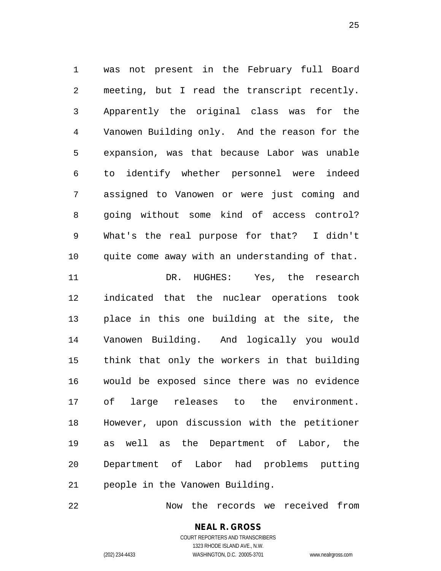1 was not present in the February full Board 2 meeting, but I read the transcript recently. 3 Apparently the original class was for the 4 Vanowen Building only. And the reason for the 5 expansion, was that because Labor was unable 6 to identify whether personnel were indeed 7 assigned to Vanowen or were just coming and 8 going without some kind of access control? 9 What's the real purpose for that? I didn't 10 quite come away with an understanding of that. 11 DR. HUGHES: Yes, the research 12 indicated that the nuclear operations took 13 place in this one building at the site, the 14 Vanowen Building. And logically you would 15 think that only the workers in that building 16 would be exposed since there was no evidence 17 of large releases to the environment. 18 However, upon discussion with the petitioner 19 as well as the Department of Labor, the 20 Department of Labor had problems putting 21 people in the Vanowen Building.

22 Now the records we received from

**NEAL R. GROSS** COURT REPORTERS AND TRANSCRIBERS 1323 RHODE ISLAND AVE., N.W.

(202) 234-4433 WASHINGTON, D.C. 20005-3701 www.nealrgross.com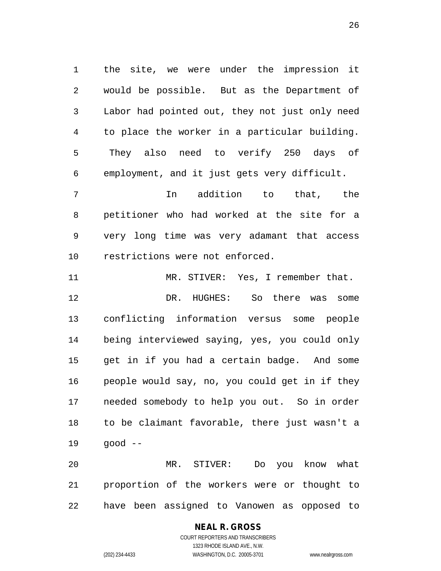1 the site, we were under the impression it 2 would be possible. But as the Department of 3 Labor had pointed out, they not just only need 4 to place the worker in a particular building. 5 They also need to verify 250 days of 6 employment, and it just gets very difficult.

7 In addition to that, the 8 petitioner who had worked at the site for a 9 very long time was very adamant that access 10 restrictions were not enforced.

11 MR. STIVER: Yes, I remember that. 12 DR. HUGHES: So there was some 13 conflicting information versus some people 14 being interviewed saying, yes, you could only 15 get in if you had a certain badge. And some 16 people would say, no, you could get in if they 17 needed somebody to help you out. So in order 18 to be claimant favorable, there just wasn't a 19 good --

20 MR. STIVER: Do you know what 21 proportion of the workers were or thought to 22 have been assigned to Vanowen as opposed to

## **NEAL R. GROSS** COURT REPORTERS AND TRANSCRIBERS 1323 RHODE ISLAND AVE., N.W.

(202) 234-4433 WASHINGTON, D.C. 20005-3701 www.nealrgross.com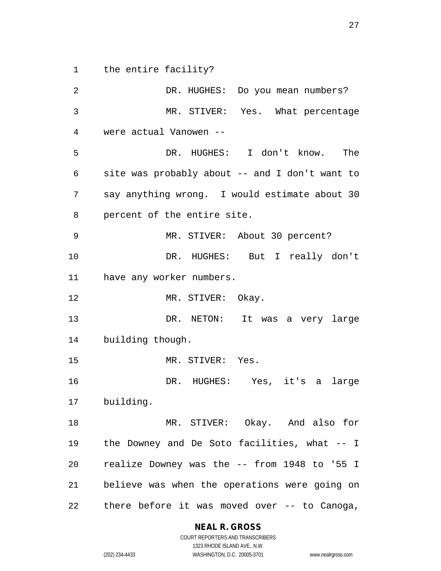1 the entire facility?

2 DR. HUGHES: Do you mean numbers? 3 MR. STIVER: Yes. What percentage 4 were actual Vanowen -- 5 DR. HUGHES: I don't know. The 6 site was probably about -- and I don't want to 7 say anything wrong. I would estimate about 30 8 percent of the entire site. 9 MR. STIVER: About 30 percent? 10 DR. HUGHES: But I really don't 11 have any worker numbers. 12 MR. STIVER: Okay. 13 DR. NETON: It was a very large 14 building though. 15 MR. STIVER: Yes. 16 DR. HUGHES: Yes, it's a large 17 building. 18 MR. STIVER: Okay. And also for 19 the Downey and De Soto facilities, what -- I 20 realize Downey was the -- from 1948 to '55 I 21 believe was when the operations were going on 22 there before it was moved over -- to Canoga,

## **NEAL R. GROSS**

COURT REPORTERS AND TRANSCRIBERS 1323 RHODE ISLAND AVE., N.W. (202) 234-4433 WASHINGTON, D.C. 20005-3701 www.nealrgross.com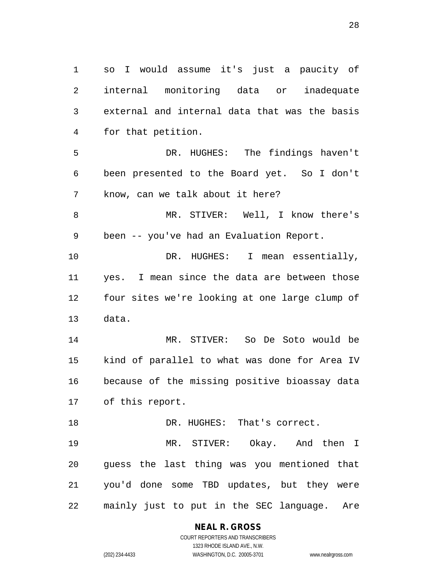1 so I would assume it's just a paucity of 2 internal monitoring data or inadequate 3 external and internal data that was the basis 4 for that petition. 5 DR. HUGHES: The findings haven't 6 been presented to the Board yet. So I don't 7 know, can we talk about it here? 8 MR. STIVER: Well, I know there's 9 been -- you've had an Evaluation Report. 10 DR. HUGHES: I mean essentially, 11 yes. I mean since the data are between those 12 four sites we're looking at one large clump of 13 data. 14 MR. STIVER: So De Soto would be 15 kind of parallel to what was done for Area IV 16 because of the missing positive bioassay data 17 of this report. 18 DR. HUGHES: That's correct. 19 MR. STIVER: Okay. And then I 20 guess the last thing was you mentioned that 21 you'd done some TBD updates, but they were 22 mainly just to put in the SEC language. Are

> **NEAL R. GROSS** COURT REPORTERS AND TRANSCRIBERS

1323 RHODE ISLAND AVE., N.W. (202) 234-4433 WASHINGTON, D.C. 20005-3701 www.nealrgross.com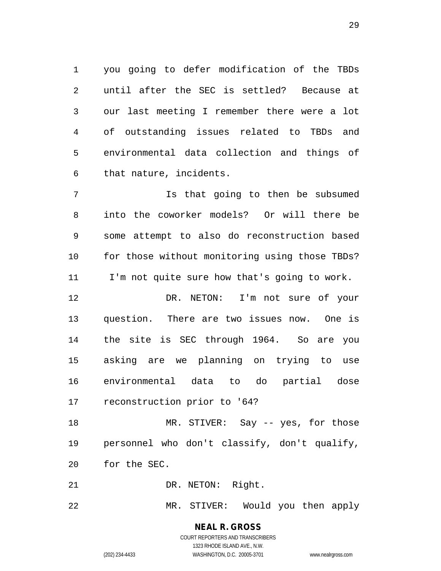1 you going to defer modification of the TBDs 2 until after the SEC is settled? Because at 3 our last meeting I remember there were a lot 4 of outstanding issues related to TBDs and 5 environmental data collection and things of 6 that nature, incidents.

7 Is that going to then be subsumed 8 into the coworker models? Or will there be 9 some attempt to also do reconstruction based 10 for those without monitoring using those TBDs? 11 I'm not quite sure how that's going to work.

12 DR. NETON: I'm not sure of your 13 question. There are two issues now. One is 14 the site is SEC through 1964. So are you 15 asking are we planning on trying to use 16 environmental data to do partial dose 17 reconstruction prior to '64?

18 MR. STIVER: Say -- yes, for those 19 personnel who don't classify, don't qualify, 20 for the SEC.

21 DR. NETON: Right.

22 MR. STIVER: Would you then apply

**NEAL R. GROSS** COURT REPORTERS AND TRANSCRIBERS 1323 RHODE ISLAND AVE., N.W.

(202) 234-4433 WASHINGTON, D.C. 20005-3701 www.nealrgross.com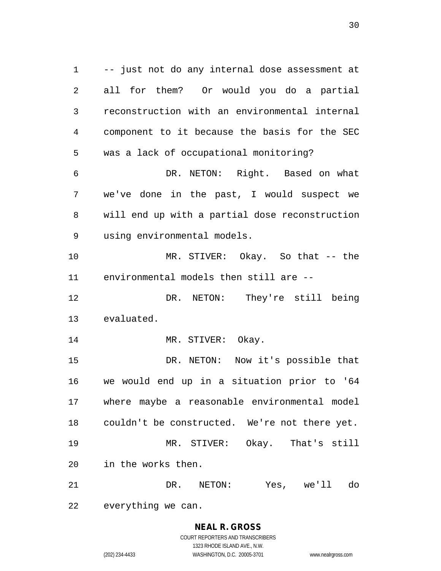1 -- just not do any internal dose assessment at 2 all for them? Or would you do a partial 3 reconstruction with an environmental internal 4 component to it because the basis for the SEC 5 was a lack of occupational monitoring? 6 DR. NETON: Right. Based on what 7 we've done in the past, I would suspect we 8 will end up with a partial dose reconstruction 9 using environmental models. 10 MR. STIVER: Okay. So that -- the 11 environmental models then still are -- 12 DR. NETON: They're still being 13 evaluated. 14 MR. STIVER: Okay. 15 DR. NETON: Now it's possible that 16 we would end up in a situation prior to '64 17 where maybe a reasonable environmental model 18 couldn't be constructed. We're not there yet. 19 MR. STIVER: Okay. That's still 20 in the works then. 21 DR. NETON: Yes, we'll do

22 everything we can.

**NEAL R. GROSS** COURT REPORTERS AND TRANSCRIBERS 1323 RHODE ISLAND AVE., N.W. (202) 234-4433 WASHINGTON, D.C. 20005-3701 www.nealrgross.com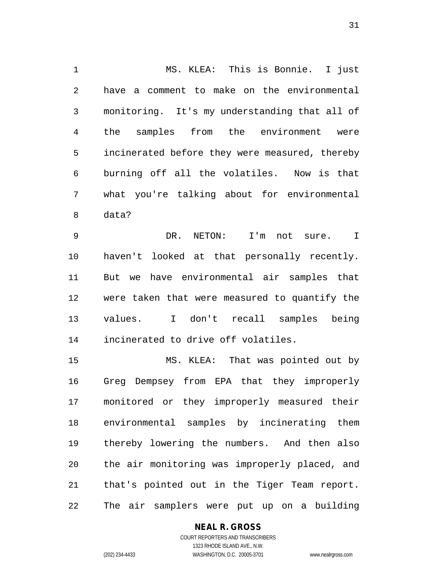1 MS. KLEA: This is Bonnie. I just 2 have a comment to make on the environmental 3 monitoring. It's my understanding that all of 4 the samples from the environment were 5 incinerated before they were measured, thereby 6 burning off all the volatiles. Now is that 7 what you're talking about for environmental 8 data?

9 DR. NETON: I'm not sure. I 10 haven't looked at that personally recently. 11 But we have environmental air samples that 12 were taken that were measured to quantify the 13 values. I don't recall samples being 14 incinerated to drive off volatiles.

15 MS. KLEA: That was pointed out by 16 Greg Dempsey from EPA that they improperly 17 monitored or they improperly measured their 18 environmental samples by incinerating them 19 thereby lowering the numbers. And then also 20 the air monitoring was improperly placed, and 21 that's pointed out in the Tiger Team report. 22 The air samplers were put up on a building

## **NEAL R. GROSS**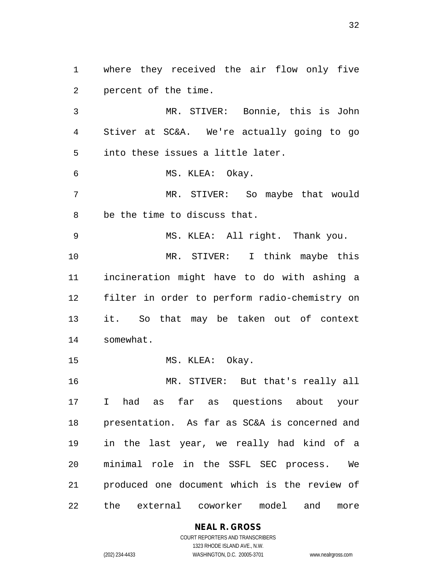1 where they received the air flow only five 2 percent of the time.

3 MR. STIVER: Bonnie, this is John 4 Stiver at SC&A. We're actually going to go 5 into these issues a little later.

6 MS. KLEA: Okay.

7 MR. STIVER: So maybe that would 8 be the time to discuss that.

9 MS. KLEA: All right. Thank you. 10 MR. STIVER: I think maybe this 11 incineration might have to do with ashing a 12 filter in order to perform radio-chemistry on 13 it. So that may be taken out of context 14 somewhat.

15 MS. KLEA: Okay.

16 MR. STIVER: But that's really all 17 I had as far as questions about your 18 presentation. As far as SC&A is concerned and 19 in the last year, we really had kind of a 20 minimal role in the SSFL SEC process. We 21 produced one document which is the review of 22 the external coworker model and more

## **NEAL R. GROSS**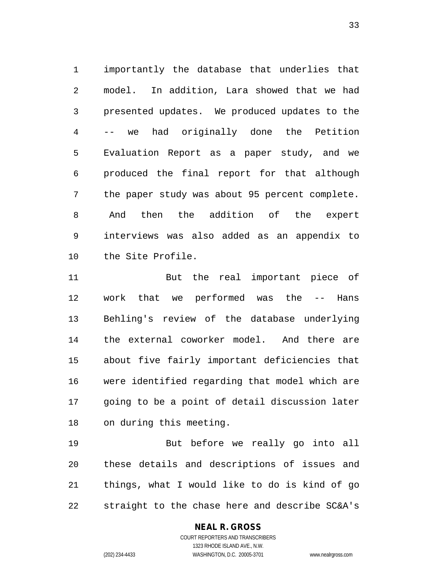1 importantly the database that underlies that 2 model. In addition, Lara showed that we had 3 presented updates. We produced updates to the 4 -- we had originally done the Petition 5 Evaluation Report as a paper study, and we 6 produced the final report for that although 7 the paper study was about 95 percent complete. 8 And then the addition of the expert 9 interviews was also added as an appendix to 10 the Site Profile.

11 But the real important piece of 12 work that we performed was the -- Hans 13 Behling's review of the database underlying 14 the external coworker model. And there are 15 about five fairly important deficiencies that 16 were identified regarding that model which are 17 going to be a point of detail discussion later 18 on during this meeting.

19 But before we really go into all 20 these details and descriptions of issues and 21 things, what I would like to do is kind of go 22 straight to the chase here and describe SC&A's

## **NEAL R. GROSS**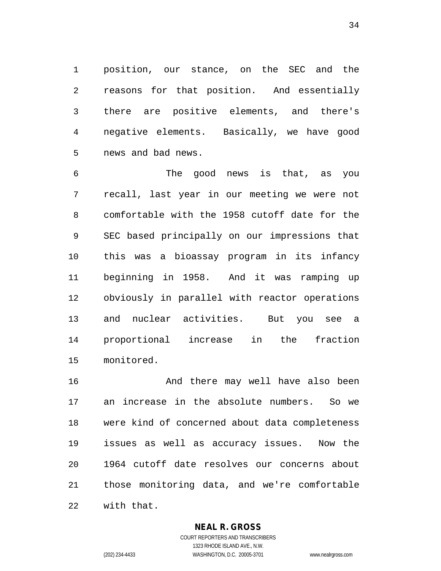1 position, our stance, on the SEC and the 2 reasons for that position. And essentially 3 there are positive elements, and there's 4 negative elements. Basically, we have good 5 news and bad news.

6 The good news is that, as you 7 recall, last year in our meeting we were not 8 comfortable with the 1958 cutoff date for the 9 SEC based principally on our impressions that 10 this was a bioassay program in its infancy 11 beginning in 1958. And it was ramping up 12 obviously in parallel with reactor operations 13 and nuclear activities. But you see a 14 proportional increase in the fraction 15 monitored.

16 And there may well have also been 17 an increase in the absolute numbers. So we 18 were kind of concerned about data completeness 19 issues as well as accuracy issues. Now the 20 1964 cutoff date resolves our concerns about 21 those monitoring data, and we're comfortable 22 with that.

**NEAL R. GROSS**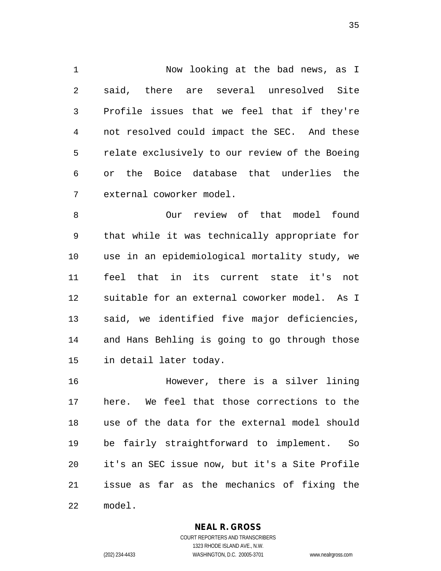1 Now looking at the bad news, as I 2 said, there are several unresolved Site 3 Profile issues that we feel that if they're 4 not resolved could impact the SEC. And these 5 relate exclusively to our review of the Boeing 6 or the Boice database that underlies the 7 external coworker model.

8 Our review of that model found 9 that while it was technically appropriate for 10 use in an epidemiological mortality study, we 11 feel that in its current state it's not 12 suitable for an external coworker model. As I 13 said, we identified five major deficiencies, 14 and Hans Behling is going to go through those 15 in detail later today.

16 However, there is a silver lining 17 here. We feel that those corrections to the 18 use of the data for the external model should 19 be fairly straightforward to implement. So 20 it's an SEC issue now, but it's a Site Profile 21 issue as far as the mechanics of fixing the 22 model.

**NEAL R. GROSS**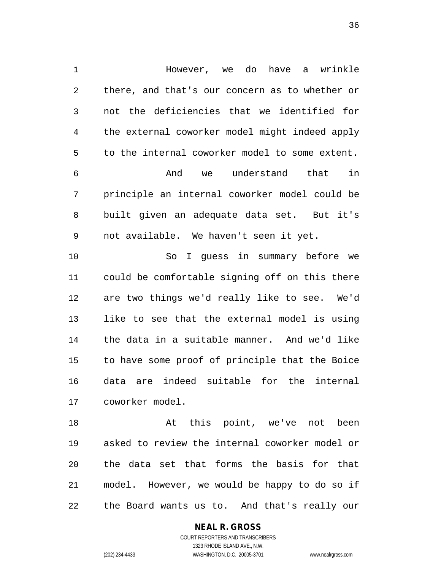1 However, we do have a wrinkle 2 there, and that's our concern as to whether or 3 not the deficiencies that we identified for 4 the external coworker model might indeed apply 5 to the internal coworker model to some extent. 6 And we understand that in 7 principle an internal coworker model could be 8 built given an adequate data set. But it's 9 not available. We haven't seen it yet. 10 So I guess in summary before we 11 could be comfortable signing off on this there 12 are two things we'd really like to see. We'd 13 like to see that the external model is using 14 the data in a suitable manner. And we'd like 15 to have some proof of principle that the Boice 16 data are indeed suitable for the internal 17 coworker model.

18 at this point, we've not been 19 asked to review the internal coworker model or 20 the data set that forms the basis for that 21 model. However, we would be happy to do so if 22 the Board wants us to. And that's really our

## **NEAL R. GROSS** COURT REPORTERS AND TRANSCRIBERS

1323 RHODE ISLAND AVE., N.W.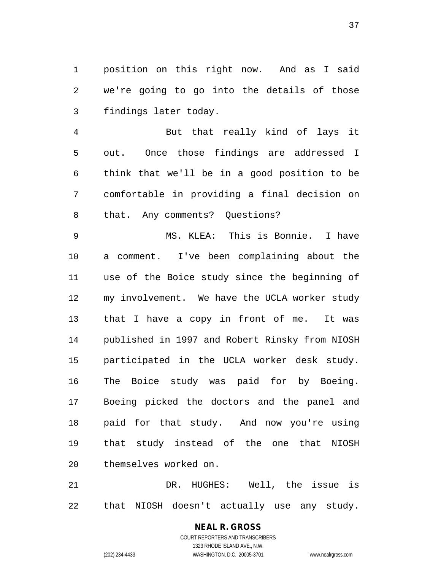1 position on this right now. And as I said 2 we're going to go into the details of those 3 findings later today.

4 But that really kind of lays it 5 out. Once those findings are addressed I 6 think that we'll be in a good position to be 7 comfortable in providing a final decision on 8 that. Any comments? Questions?

9 MS. KLEA: This is Bonnie. I have 10 a comment. I've been complaining about the 11 use of the Boice study since the beginning of 12 my involvement. We have the UCLA worker study 13 that I have a copy in front of me. It was 14 published in 1997 and Robert Rinsky from NIOSH 15 participated in the UCLA worker desk study. 16 The Boice study was paid for by Boeing. 17 Boeing picked the doctors and the panel and 18 paid for that study. And now you're using 19 that study instead of the one that NIOSH 20 themselves worked on.

21 DR. HUGHES: Well, the issue is 22 that NIOSH doesn't actually use any study.

> **NEAL R. GROSS** COURT REPORTERS AND TRANSCRIBERS 1323 RHODE ISLAND AVE., N.W. (202) 234-4433 WASHINGTON, D.C. 20005-3701 www.nealrgross.com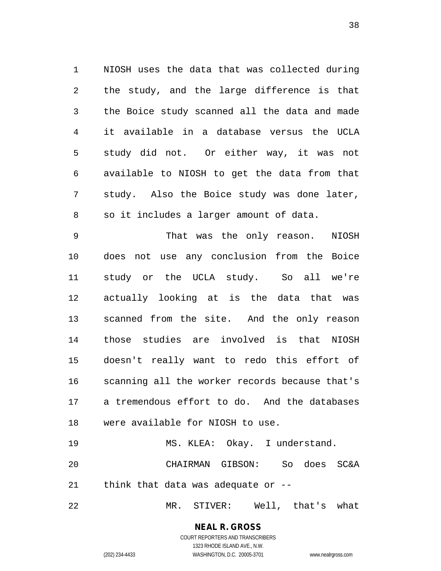1 NIOSH uses the data that was collected during 2 the study, and the large difference is that 3 the Boice study scanned all the data and made 4 it available in a database versus the UCLA 5 study did not. Or either way, it was not 6 available to NIOSH to get the data from that 7 study. Also the Boice study was done later, 8 so it includes a larger amount of data.

9 That was the only reason. NIOSH 10 does not use any conclusion from the Boice 11 study or the UCLA study. So all we're 12 actually looking at is the data that was 13 scanned from the site. And the only reason 14 those studies are involved is that NIOSH 15 doesn't really want to redo this effort of 16 scanning all the worker records because that's 17 a tremendous effort to do. And the databases 18 were available for NIOSH to use.

19 MS. KLEA: Okay. I understand. 20 CHAIRMAN GIBSON: So does SC&A 21 think that data was adequate or --

22 MR. STIVER: Well, that's what

**NEAL R. GROSS** COURT REPORTERS AND TRANSCRIBERS

1323 RHODE ISLAND AVE., N.W. (202) 234-4433 WASHINGTON, D.C. 20005-3701 www.nealrgross.com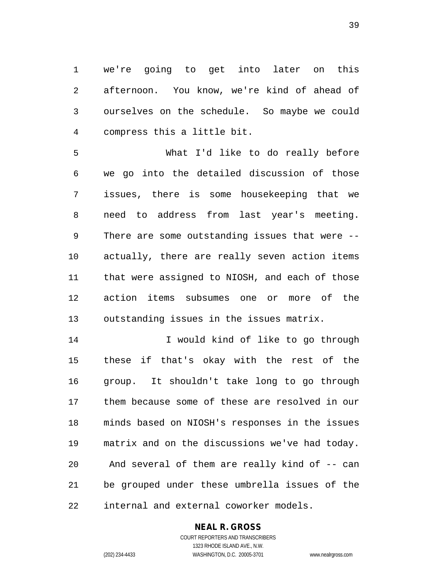1 we're going to get into later on this 2 afternoon. You know, we're kind of ahead of 3 ourselves on the schedule. So maybe we could 4 compress this a little bit.

5 What I'd like to do really before 6 we go into the detailed discussion of those 7 issues, there is some housekeeping that we 8 need to address from last year's meeting. 9 There are some outstanding issues that were -- 10 actually, there are really seven action items 11 that were assigned to NIOSH, and each of those 12 action items subsumes one or more of the 13 outstanding issues in the issues matrix.

14 I would kind of like to go through 15 these if that's okay with the rest of the 16 group. It shouldn't take long to go through 17 them because some of these are resolved in our 18 minds based on NIOSH's responses in the issues 19 matrix and on the discussions we've had today. 20 And several of them are really kind of -- can 21 be grouped under these umbrella issues of the 22 internal and external coworker models.

### **NEAL R. GROSS**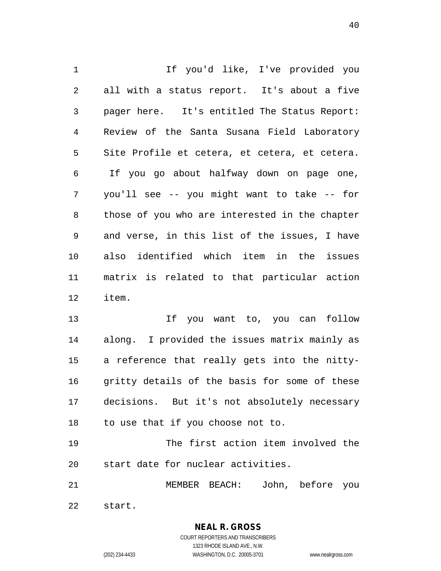1 1 If you'd like, I've provided you 2 all with a status report. It's about a five 3 pager here. It's entitled The Status Report: 4 Review of the Santa Susana Field Laboratory 5 Site Profile et cetera, et cetera, et cetera. 6 If you go about halfway down on page one, 7 you'll see -- you might want to take -- for 8 those of you who are interested in the chapter 9 and verse, in this list of the issues, I have 10 also identified which item in the issues 11 matrix is related to that particular action 12 item.

13 If you want to, you can follow 14 along. I provided the issues matrix mainly as 15 a reference that really gets into the nitty-16 gritty details of the basis for some of these 17 decisions. But it's not absolutely necessary 18 to use that if you choose not to.

19 The first action item involved the 20 start date for nuclear activities.

21 MEMBER BEACH: John, before you 22 start.

> **NEAL R. GROSS** COURT REPORTERS AND TRANSCRIBERS 1323 RHODE ISLAND AVE., N.W.

(202) 234-4433 WASHINGTON, D.C. 20005-3701 www.nealrgross.com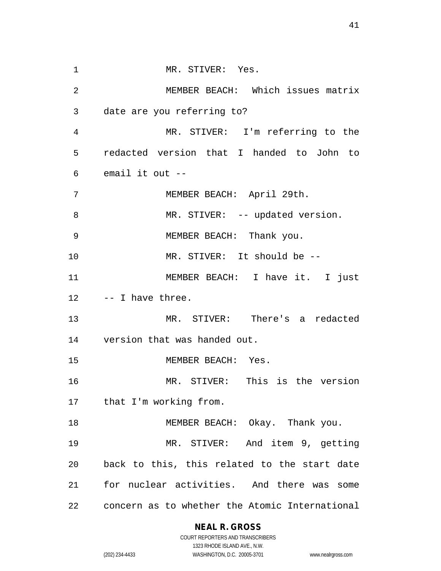1 MR. STIVER: Yes. 2 MEMBER BEACH: Which issues matrix 3 date are you referring to? 4 MR. STIVER: I'm referring to the 5 redacted version that I handed to John to 6 email it out -- 7 MEMBER BEACH: April 29th. 8 MR. STIVER: -- updated version. 9 MEMBER BEACH: Thank you. 10 MR. STIVER: It should be -- 11 MEMBER BEACH: I have it. I just 12 -- I have three. 13 MR. STIVER: There's a redacted 14 version that was handed out. 15 MEMBER BEACH: Yes. 16 MR. STIVER: This is the version 17 that I'm working from. 18 MEMBER BEACH: Okay. Thank you. 19 MR. STIVER: And item 9, getting 20 back to this, this related to the start date 21 for nuclear activities. And there was some 22 concern as to whether the Atomic International

**NEAL R. GROSS**

COURT REPORTERS AND TRANSCRIBERS 1323 RHODE ISLAND AVE., N.W. (202) 234-4433 WASHINGTON, D.C. 20005-3701 www.nealrgross.com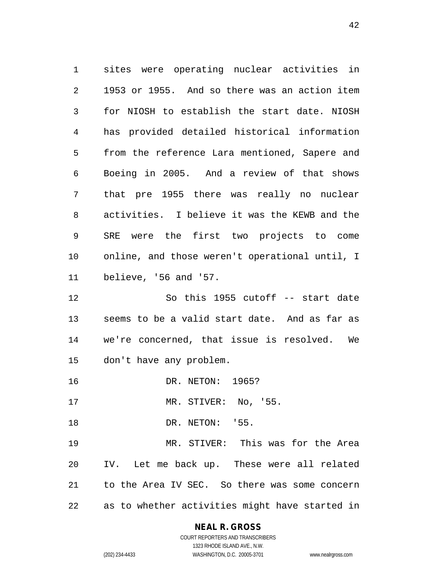1 sites were operating nuclear activities in 2 1953 or 1955. And so there was an action item 3 for NIOSH to establish the start date. NIOSH 4 has provided detailed historical information 5 from the reference Lara mentioned, Sapere and 6 Boeing in 2005. And a review of that shows 7 that pre 1955 there was really no nuclear 8 activities. I believe it was the KEWB and the 9 SRE were the first two projects to come 10 online, and those weren't operational until, I 11 believe, '56 and '57.

12 So this 1955 cutoff -- start date 13 seems to be a valid start date. And as far as 14 we're concerned, that issue is resolved. We 15 don't have any problem.

16 DR. NETON: 1965?

17 MR. STIVER: No, '55.

18 DR. NETON: '55.

19 MR. STIVER: This was for the Area 20 IV. Let me back up. These were all related 21 to the Area IV SEC. So there was some concern 22 as to whether activities might have started in

### **NEAL R. GROSS**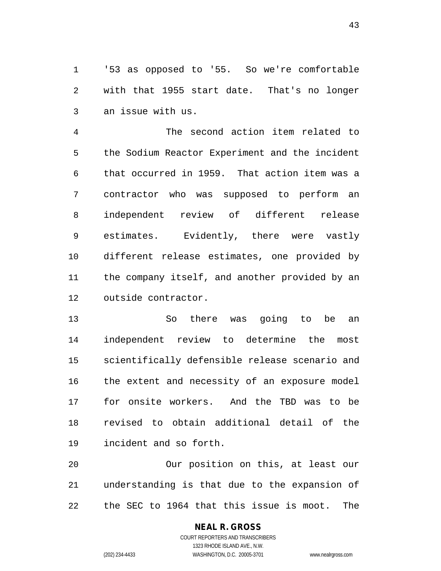1 '53 as opposed to '55. So we're comfortable 2 with that 1955 start date. That's no longer 3 an issue with us.

4 The second action item related to 5 the Sodium Reactor Experiment and the incident 6 that occurred in 1959. That action item was a 7 contractor who was supposed to perform an 8 independent review of different release 9 estimates. Evidently, there were vastly 10 different release estimates, one provided by 11 the company itself, and another provided by an 12 outside contractor.

13 So there was going to be an 14 independent review to determine the most 15 scientifically defensible release scenario and 16 the extent and necessity of an exposure model 17 for onsite workers. And the TBD was to be 18 revised to obtain additional detail of the 19 incident and so forth.

20 Our position on this, at least our 21 understanding is that due to the expansion of 22 the SEC to 1964 that this issue is moot. The

# **NEAL R. GROSS**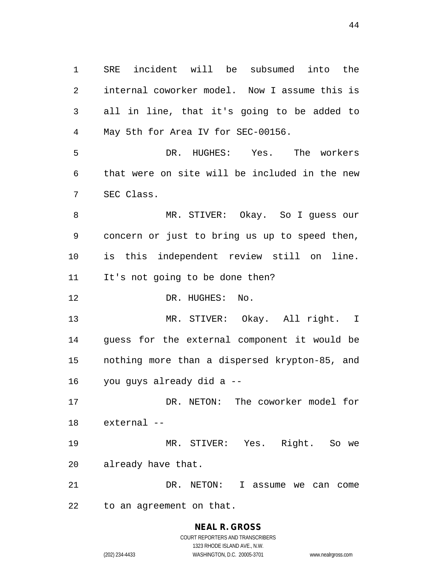1 SRE incident will be subsumed into the 2 internal coworker model. Now I assume this is 3 all in line, that it's going to be added to 4 May 5th for Area IV for SEC-00156.

5 DR. HUGHES: Yes. The workers 6 that were on site will be included in the new 7 SEC Class.

8 MR. STIVER: Okay. So I guess our 9 concern or just to bring us up to speed then, 10 is this independent review still on line. 11 It's not going to be done then?

12 DR. HUGHES: No.

13 MR. STIVER: Okay. All right. I 14 guess for the external component it would be 15 nothing more than a dispersed krypton-85, and 16 you guys already did a --

17 DR. NETON: The coworker model for 18 external --

19 MR. STIVER: Yes. Right. So we 20 already have that.

21 DR. NETON: I assume we can come 22 to an agreement on that.

### **NEAL R. GROSS** COURT REPORTERS AND TRANSCRIBERS 1323 RHODE ISLAND AVE., N.W.

(202) 234-4433 WASHINGTON, D.C. 20005-3701 www.nealrgross.com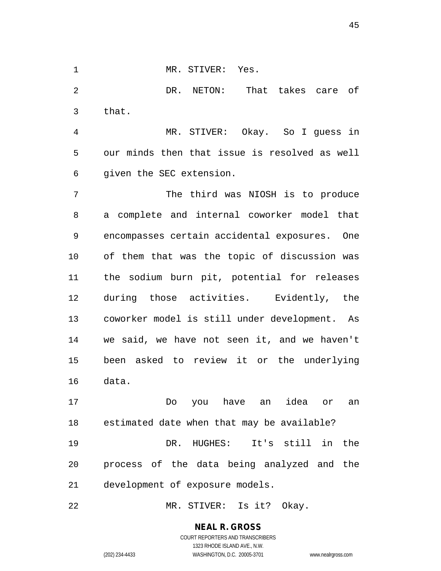1 MR. STIVER: Yes.

2 DR. NETON: That takes care of 3 that.

4 MR. STIVER: Okay. So I guess in 5 our minds then that issue is resolved as well 6 given the SEC extension.

7 The third was NIOSH is to produce 8 a complete and internal coworker model that 9 encompasses certain accidental exposures. One 10 of them that was the topic of discussion was 11 the sodium burn pit, potential for releases 12 during those activities. Evidently, the 13 coworker model is still under development. As 14 we said, we have not seen it, and we haven't 15 been asked to review it or the underlying 16 data.

17 Do you have an idea or an 18 estimated date when that may be available? 19 DR. HUGHES: It's still in the 20 process of the data being analyzed and the 21 development of exposure models.

22 MR. STIVER: Is it? Okay.

**NEAL R. GROSS** COURT REPORTERS AND TRANSCRIBERS

1323 RHODE ISLAND AVE., N.W. (202) 234-4433 WASHINGTON, D.C. 20005-3701 www.nealrgross.com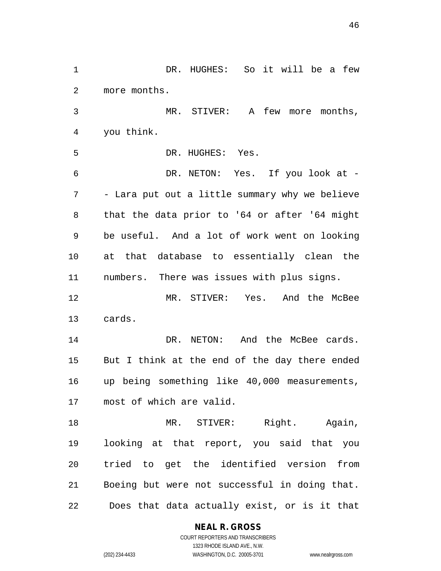1 DR. HUGHES: So it will be a few 2 more months. 3 MR. STIVER: A few more months, 4 you think. 5 DR. HUGHES: Yes. 6 DR. NETON: Yes. If you look at - 7 - Lara put out a little summary why we believe 8 that the data prior to '64 or after '64 might 9 be useful. And a lot of work went on looking 10 at that database to essentially clean the 11 numbers. There was issues with plus signs. 12 MR. STIVER: Yes. And the McBee 13 cards. 14 DR. NETON: And the McBee cards. 15 But I think at the end of the day there ended 16 up being something like 40,000 measurements, 17 most of which are valid. 18 MR. STIVER: Right. Again, 19 looking at that report, you said that you 20 tried to get the identified version from 21 Boeing but were not successful in doing that. 22 Does that data actually exist, or is it that

**NEAL R. GROSS**

COURT REPORTERS AND TRANSCRIBERS 1323 RHODE ISLAND AVE., N.W. (202) 234-4433 WASHINGTON, D.C. 20005-3701 www.nealrgross.com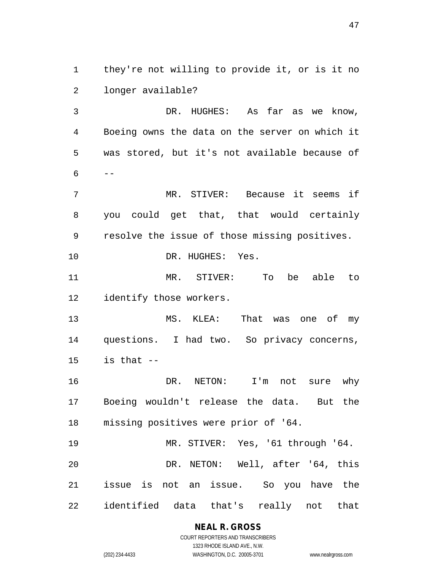1 they're not willing to provide it, or is it no 2 longer available?

3 DR. HUGHES: As far as we know, 4 Boeing owns the data on the server on which it 5 was stored, but it's not available because of  $6 - -$ 

7 MR. STIVER: Because it seems if 8 you could get that, that would certainly 9 resolve the issue of those missing positives. 10 DR. HUGHES: Yes.

11 MR. STIVER: To be able to 12 identify those workers.

13 MS. KLEA: That was one of my 14 questions. I had two. So privacy concerns,  $15$  is that  $-$ 

16 DR. NETON: I'm not sure why 17 Boeing wouldn't release the data. But the 18 missing positives were prior of '64.

19 MR. STIVER: Yes, '61 through '64. 20 DR. NETON: Well, after '64, this 21 issue is not an issue. So you have the 22 identified data that's really not that

> **NEAL R. GROSS** COURT REPORTERS AND TRANSCRIBERS

> > 1323 RHODE ISLAND AVE., N.W.

(202) 234-4433 WASHINGTON, D.C. 20005-3701 www.nealrgross.com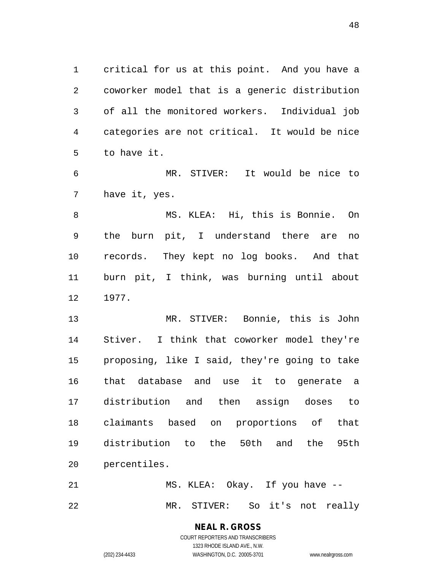1 critical for us at this point. And you have a 2 coworker model that is a generic distribution 3 of all the monitored workers. Individual job 4 categories are not critical. It would be nice 5 to have it.

6 MR. STIVER: It would be nice to 7 have it, yes.

8 MS. KLEA: Hi, this is Bonnie. On 9 the burn pit, I understand there are no 10 records. They kept no log books. And that 11 burn pit, I think, was burning until about 12 1977.

13 MR. STIVER: Bonnie, this is John 14 Stiver. I think that coworker model they're 15 proposing, like I said, they're going to take 16 that database and use it to generate a 17 distribution and then assign doses to 18 claimants based on proportions of that 19 distribution to the 50th and the 95th 20 percentiles.

21 MS. KLEA: Okay. If you have -- 22 MR. STIVER: So it's not really

> **NEAL R. GROSS** COURT REPORTERS AND TRANSCRIBERS

1323 RHODE ISLAND AVE., N.W. (202) 234-4433 WASHINGTON, D.C. 20005-3701 www.nealrgross.com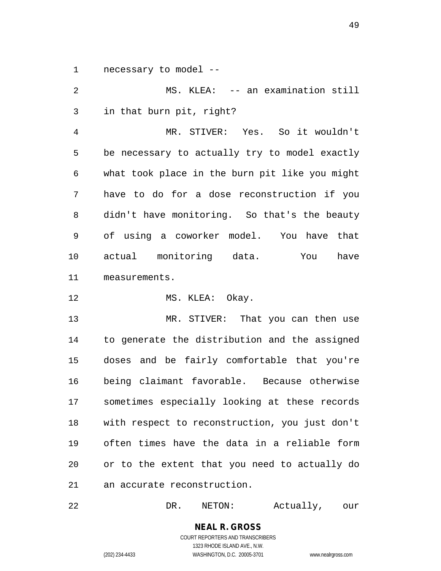1 necessary to model --

2 MS. KLEA: -- an examination still 3 in that burn pit, right? 4 MR. STIVER: Yes. So it wouldn't 5 be necessary to actually try to model exactly 6 what took place in the burn pit like you might 7 have to do for a dose reconstruction if you 8 didn't have monitoring. So that's the beauty 9 of using a coworker model. You have that 10 actual monitoring data. You have 11 measurements.

12 MS. KLEA: Okay.

13 MR. STIVER: That you can then use 14 to generate the distribution and the assigned 15 doses and be fairly comfortable that you're 16 being claimant favorable. Because otherwise 17 sometimes especially looking at these records 18 with respect to reconstruction, you just don't 19 often times have the data in a reliable form 20 or to the extent that you need to actually do 21 an accurate reconstruction.

22 DR. NETON: Actually, our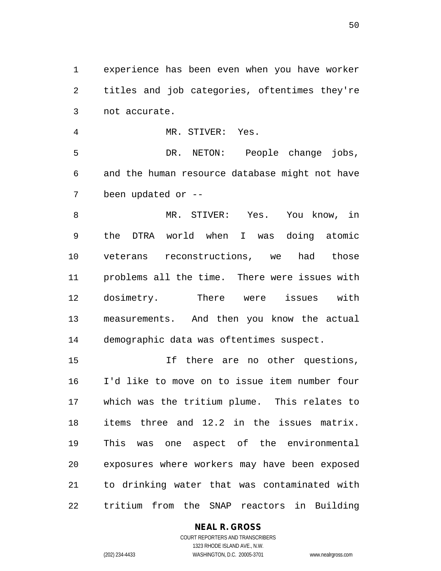1 experience has been even when you have worker 2 titles and job categories, oftentimes they're 3 not accurate.

4 MR. STIVER: Yes. 5 DR. NETON: People change jobs, 6 and the human resource database might not have 7 been updated or --

8 MR. STIVER: Yes. You know, in 9 the DTRA world when I was doing atomic 10 veterans reconstructions, we had those 11 problems all the time. There were issues with 12 dosimetry. There were issues with 13 measurements. And then you know the actual 14 demographic data was oftentimes suspect.

15 If there are no other questions, 16 I'd like to move on to issue item number four 17 which was the tritium plume. This relates to 18 items three and 12.2 in the issues matrix. 19 This was one aspect of the environmental 20 exposures where workers may have been exposed 21 to drinking water that was contaminated with 22 tritium from the SNAP reactors in Building

> COURT REPORTERS AND TRANSCRIBERS 1323 RHODE ISLAND AVE., N.W. (202) 234-4433 WASHINGTON, D.C. 20005-3701 www.nealrgross.com

**NEAL R. GROSS**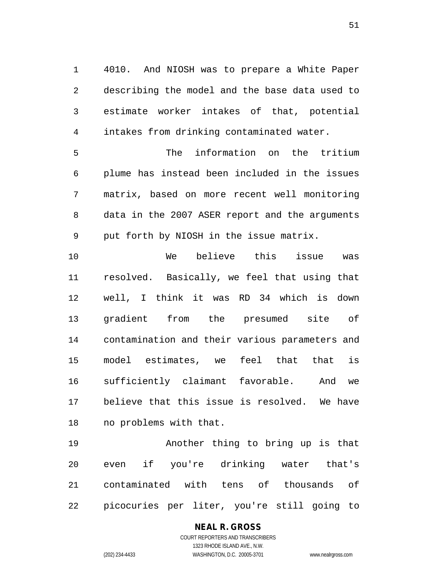1 4010. And NIOSH was to prepare a White Paper 2 describing the model and the base data used to 3 estimate worker intakes of that, potential 4 intakes from drinking contaminated water.

5 The information on the tritium 6 plume has instead been included in the issues 7 matrix, based on more recent well monitoring 8 data in the 2007 ASER report and the arguments 9 put forth by NIOSH in the issue matrix.

10 We believe this issue was 11 resolved. Basically, we feel that using that 12 well, I think it was RD 34 which is down 13 gradient from the presumed site of 14 contamination and their various parameters and 15 model estimates, we feel that that is 16 sufficiently claimant favorable. And we 17 believe that this issue is resolved. We have 18 no problems with that.

19 Another thing to bring up is that 20 even if you're drinking water that's 21 contaminated with tens of thousands of 22 picocuries per liter, you're still going to

### **NEAL R. GROSS**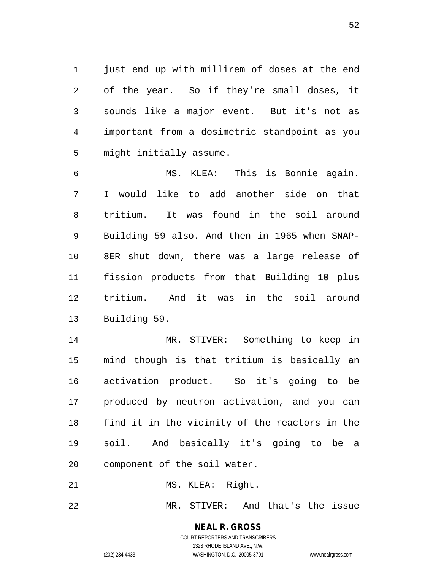1 just end up with millirem of doses at the end 2 of the year. So if they're small doses, it 3 sounds like a major event. But it's not as 4 important from a dosimetric standpoint as you 5 might initially assume.

6 MS. KLEA: This is Bonnie again. 7 I would like to add another side on that 8 tritium. It was found in the soil around 9 Building 59 also. And then in 1965 when SNAP-10 8ER shut down, there was a large release of 11 fission products from that Building 10 plus 12 tritium. And it was in the soil around 13 Building 59.

14 MR. STIVER: Something to keep in 15 mind though is that tritium is basically an 16 activation product. So it's going to be 17 produced by neutron activation, and you can 18 find it in the vicinity of the reactors in the 19 soil. And basically it's going to be a 20 component of the soil water.

21 MS. KLEA: Right.

22 MR. STIVER: And that's the issue

# **NEAL R. GROSS**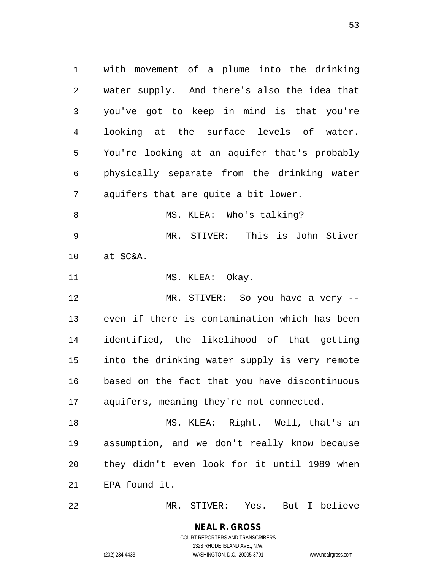1 with movement of a plume into the drinking 2 water supply. And there's also the idea that 3 you've got to keep in mind is that you're 4 looking at the surface levels of water. 5 You're looking at an aquifer that's probably 6 physically separate from the drinking water 7 aquifers that are quite a bit lower. 8 MS. KLEA: Who's talking? 9 MR. STIVER: This is John Stiver 10 at SC&A. 11 MS. KLEA: Okay. 12 MR. STIVER: So you have a very -- 13 even if there is contamination which has been 14 identified, the likelihood of that getting 15 into the drinking water supply is very remote 16 based on the fact that you have discontinuous 17 aquifers, meaning they're not connected. 18 MS. KLEA: Right. Well, that's an 19 assumption, and we don't really know because 20 they didn't even look for it until 1989 when

21 EPA found it.

22 MR. STIVER: Yes. But I believe

**NEAL R. GROSS** COURT REPORTERS AND TRANSCRIBERS 1323 RHODE ISLAND AVE., N.W. (202) 234-4433 WASHINGTON, D.C. 20005-3701 www.nealrgross.com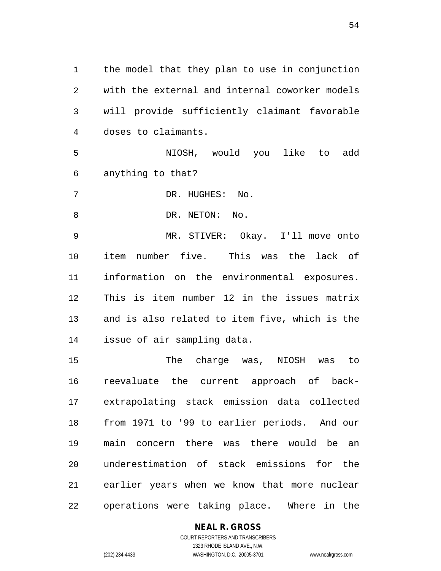1 the model that they plan to use in conjunction 2 with the external and internal coworker models 3 will provide sufficiently claimant favorable 4 doses to claimants.

5 NIOSH, would you like to add 6 anything to that?

7 DR. HUGHES: No.

8 DR. NETON: No.

9 MR. STIVER: Okay. I'll move onto 10 item number five. This was the lack of 11 information on the environmental exposures. 12 This is item number 12 in the issues matrix 13 and is also related to item five, which is the 14 issue of air sampling data.

15 The charge was, NIOSH was to 16 reevaluate the current approach of back-17 extrapolating stack emission data collected 18 from 1971 to '99 to earlier periods. And our 19 main concern there was there would be an 20 underestimation of stack emissions for the 21 earlier years when we know that more nuclear 22 operations were taking place. Where in the

**NEAL R. GROSS**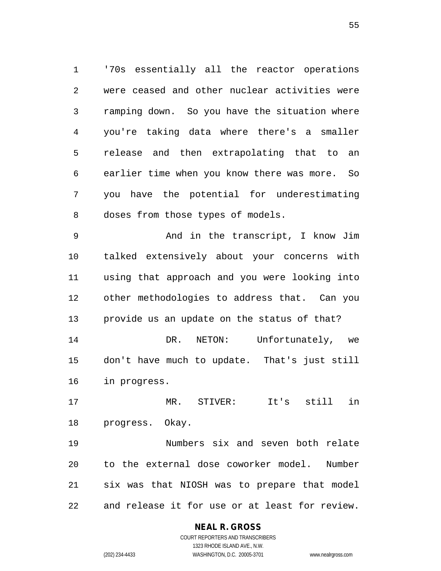1 '70s essentially all the reactor operations 2 were ceased and other nuclear activities were 3 ramping down. So you have the situation where 4 you're taking data where there's a smaller 5 release and then extrapolating that to an 6 earlier time when you know there was more. So 7 you have the potential for underestimating 8 doses from those types of models.

9 And in the transcript, I know Jim 10 talked extensively about your concerns with 11 using that approach and you were looking into 12 other methodologies to address that. Can you 13 provide us an update on the status of that?

14 DR. NETON: Unfortunately, we 15 don't have much to update. That's just still 16 in progress.

17 MR. STIVER: It's still in 18 progress. Okay.

19 Numbers six and seven both relate 20 to the external dose coworker model. Number 21 six was that NIOSH was to prepare that model 22 and release it for use or at least for review.

### **NEAL R. GROSS**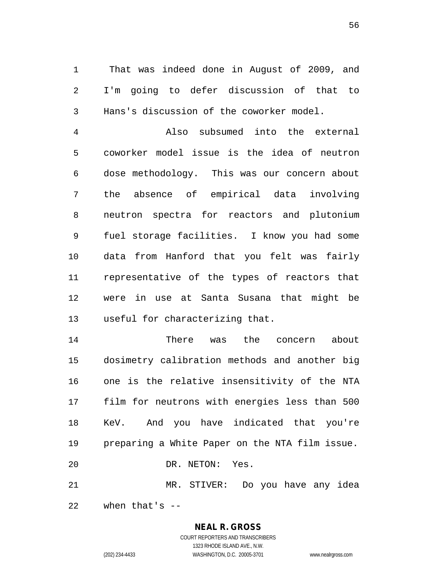1 That was indeed done in August of 2009, and 2 I'm going to defer discussion of that to 3 Hans's discussion of the coworker model.

4 Also subsumed into the external 5 coworker model issue is the idea of neutron 6 dose methodology. This was our concern about 7 the absence of empirical data involving 8 neutron spectra for reactors and plutonium 9 fuel storage facilities. I know you had some 10 data from Hanford that you felt was fairly 11 representative of the types of reactors that 12 were in use at Santa Susana that might be 13 useful for characterizing that.

14 There was the concern about 15 dosimetry calibration methods and another big 16 one is the relative insensitivity of the NTA 17 film for neutrons with energies less than 500 18 KeV. And you have indicated that you're 19 preparing a White Paper on the NTA film issue. 20 DR. NETON: Yes. 21 MR. STIVER: Do you have any idea

22 when that's --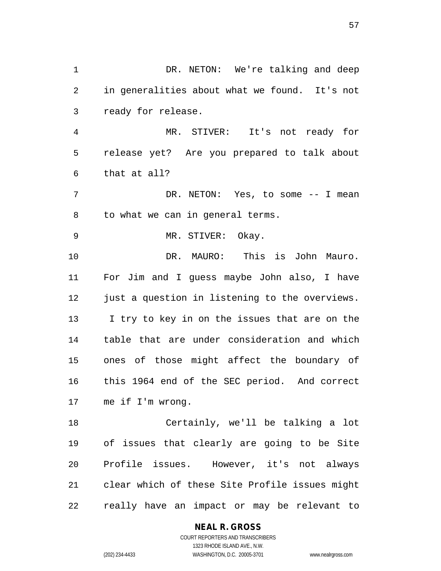1 DR. NETON: We're talking and deep 2 in generalities about what we found. It's not 3 ready for release. 4 MR. STIVER: It's not ready for 5 release yet? Are you prepared to talk about 6 that at all? 7 DR. NETON: Yes, to some -- I mean 8 to what we can in general terms. 9 MR. STIVER: Okay. 10 DR. MAURO: This is John Mauro. 11 For Jim and I guess maybe John also, I have 12 just a question in listening to the overviews. 13 I try to key in on the issues that are on the 14 table that are under consideration and which 15 ones of those might affect the boundary of 16 this 1964 end of the SEC period. And correct 17 me if I'm wrong. 18 Certainly, we'll be talking a lot 19 of issues that clearly are going to be Site 20 Profile issues. However, it's not always 21 clear which of these Site Profile issues might

22 really have an impact or may be relevant to

**NEAL R. GROSS** COURT REPORTERS AND TRANSCRIBERS

1323 RHODE ISLAND AVE., N.W. (202) 234-4433 WASHINGTON, D.C. 20005-3701 www.nealrgross.com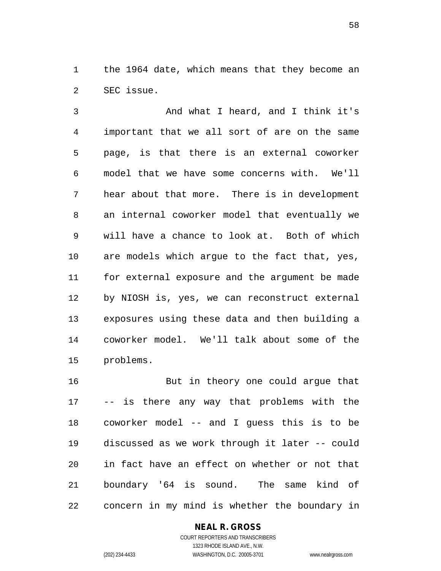1 the 1964 date, which means that they become an 2 SEC issue.

3 And what I heard, and I think it's 4 important that we all sort of are on the same 5 page, is that there is an external coworker 6 model that we have some concerns with. We'll 7 hear about that more. There is in development 8 an internal coworker model that eventually we 9 will have a chance to look at. Both of which 10 are models which argue to the fact that, yes, 11 for external exposure and the argument be made 12 by NIOSH is, yes, we can reconstruct external 13 exposures using these data and then building a 14 coworker model. We'll talk about some of the 15 problems.

16 But in theory one could argue that 17 -- is there any way that problems with the 18 coworker model -- and I guess this is to be 19 discussed as we work through it later -- could 20 in fact have an effect on whether or not that 21 boundary '64 is sound. The same kind of 22 concern in my mind is whether the boundary in

> **NEAL R. GROSS** COURT REPORTERS AND TRANSCRIBERS 1323 RHODE ISLAND AVE., N.W.

(202) 234-4433 WASHINGTON, D.C. 20005-3701 www.nealrgross.com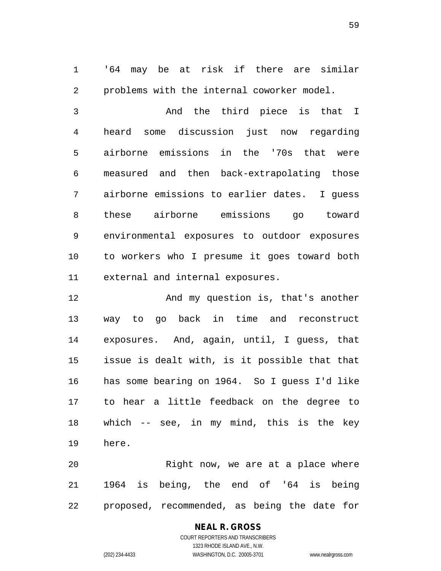1 '64 may be at risk if there are similar 2 problems with the internal coworker model.

3 And the third piece is that I 4 heard some discussion just now regarding 5 airborne emissions in the '70s that were 6 measured and then back-extrapolating those 7 airborne emissions to earlier dates. I guess 8 these airborne emissions go toward 9 environmental exposures to outdoor exposures 10 to workers who I presume it goes toward both 11 external and internal exposures.

12 And my question is, that's another 13 way to go back in time and reconstruct 14 exposures. And, again, until, I guess, that 15 issue is dealt with, is it possible that that 16 has some bearing on 1964. So I guess I'd like 17 to hear a little feedback on the degree to 18 which -- see, in my mind, this is the key 19 here.

20 Right now, we are at a place where 21 1964 is being, the end of '64 is being 22 proposed, recommended, as being the date for

### **NEAL R. GROSS**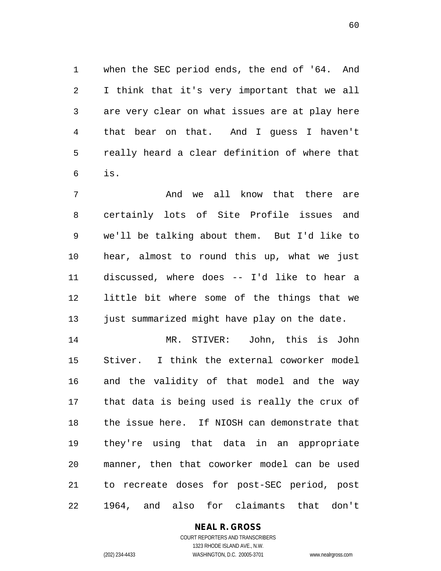1 when the SEC period ends, the end of '64. And 2 I think that it's very important that we all 3 are very clear on what issues are at play here 4 that bear on that. And I guess I haven't 5 really heard a clear definition of where that 6 is.

7 And we all know that there are 8 certainly lots of Site Profile issues and 9 we'll be talking about them. But I'd like to 10 hear, almost to round this up, what we just 11 discussed, where does -- I'd like to hear a 12 little bit where some of the things that we 13 just summarized might have play on the date.

14 MR. STIVER: John, this is John 15 Stiver. I think the external coworker model 16 and the validity of that model and the way 17 that data is being used is really the crux of 18 the issue here. If NIOSH can demonstrate that 19 they're using that data in an appropriate 20 manner, then that coworker model can be used 21 to recreate doses for post-SEC period, post 22 1964, and also for claimants that don't

### **NEAL R. GROSS**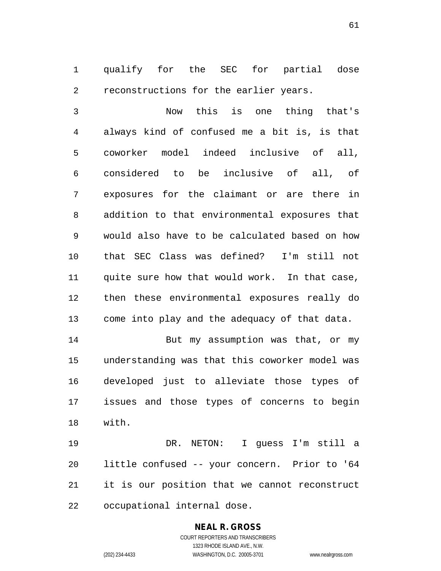1 qualify for the SEC for partial dose 2 reconstructions for the earlier years.

3 Now this is one thing that's 4 always kind of confused me a bit is, is that 5 coworker model indeed inclusive of all, 6 considered to be inclusive of all, of 7 exposures for the claimant or are there in 8 addition to that environmental exposures that 9 would also have to be calculated based on how 10 that SEC Class was defined? I'm still not 11 quite sure how that would work. In that case, 12 then these environmental exposures really do 13 come into play and the adequacy of that data.

14 But my assumption was that, or my 15 understanding was that this coworker model was 16 developed just to alleviate those types of 17 issues and those types of concerns to begin 18 with.

19 DR. NETON: I guess I'm still a 20 little confused -- your concern. Prior to '64 21 it is our position that we cannot reconstruct 22 occupational internal dose.

### **NEAL R. GROSS**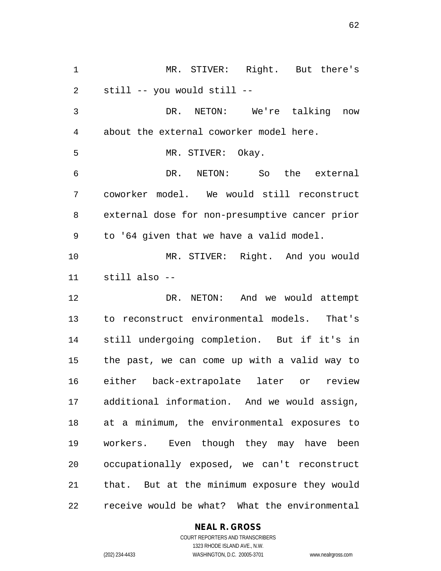1 MR. STIVER: Right. But there's 2 still -- you would still -- 3 DR. NETON: We're talking now 4 about the external coworker model here. 5 MR. STIVER: Okay. 6 DR. NETON: So the external 7 coworker model. We would still reconstruct 8 external dose for non-presumptive cancer prior 9 to '64 given that we have a valid model. 10 MR. STIVER: Right. And you would 11 still also -- 12 DR. NETON: And we would attempt 13 to reconstruct environmental models. That's 14 still undergoing completion. But if it's in 15 the past, we can come up with a valid way to 16 either back-extrapolate later or review 17 additional information. And we would assign, 18 at a minimum, the environmental exposures to 19 workers. Even though they may have been 20 occupationally exposed, we can't reconstruct 21 that. But at the minimum exposure they would 22 receive would be what? What the environmental

### **NEAL R. GROSS**

COURT REPORTERS AND TRANSCRIBERS 1323 RHODE ISLAND AVE., N.W. (202) 234-4433 WASHINGTON, D.C. 20005-3701 www.nealrgross.com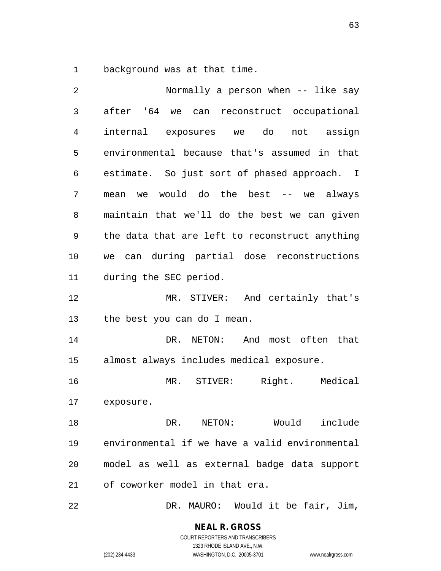1 background was at that time.

| 2  | Normally a person when -- like say             |
|----|------------------------------------------------|
| 3  | after '64 we can reconstruct occupational      |
| 4  | internal exposures we do not assign            |
| 5  | environmental because that's assumed in that   |
| 6  | estimate. So just sort of phased approach. I   |
| 7  | mean we would do the best -- we always         |
| 8  | maintain that we'll do the best we can given   |
| 9  | the data that are left to reconstruct anything |
| 10 | we can during partial dose reconstructions     |
| 11 | during the SEC period.                         |
| 12 | MR. STIVER: And certainly that's               |
| 13 | the best you can do I mean.                    |
| 14 | And most often that<br>DR. NETON:              |
| 15 | almost always includes medical exposure.       |
| 16 | MR. STIVER: Right. Medical                     |
| 17 | exposure.                                      |
| 18 | DR. NETON: Would include                       |
| 19 | environmental if we have a valid environmental |
| 20 | model as well as external badge data support   |
| 21 | of coworker model in that era.                 |
| 22 | DR. MAURO: Would it be fair, Jim,              |

**NEAL R. GROSS** COURT REPORTERS AND TRANSCRIBERS

1323 RHODE ISLAND AVE., N.W.

(202) 234-4433 WASHINGTON, D.C. 20005-3701 www.nealrgross.com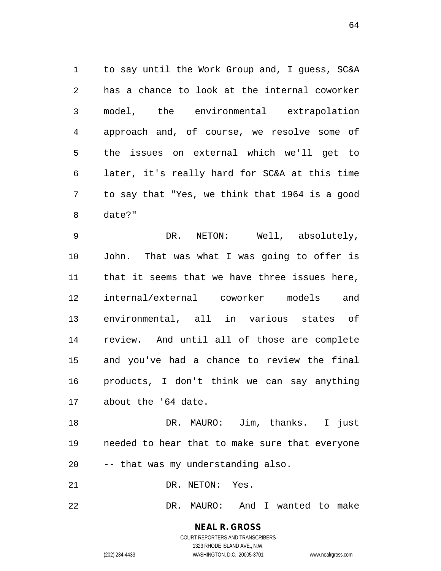1 to say until the Work Group and, I guess, SC&A 2 has a chance to look at the internal coworker 3 model, the environmental extrapolation 4 approach and, of course, we resolve some of 5 the issues on external which we'll get to 6 later, it's really hard for SC&A at this time 7 to say that "Yes, we think that 1964 is a good 8 date?"

9 DR. NETON: Well, absolutely, 10 John. That was what I was going to offer is 11 that it seems that we have three issues here, 12 internal/external coworker models and 13 environmental, all in various states of 14 review. And until all of those are complete 15 and you've had a chance to review the final 16 products, I don't think we can say anything 17 about the '64 date.

18 DR. MAURO: Jim, thanks. I just 19 needed to hear that to make sure that everyone 20 -- that was my understanding also.

21 DR. NETON: Yes.

22 DR. MAURO: And I wanted to make

#### **NEAL R. GROSS** COURT REPORTERS AND TRANSCRIBERS 1323 RHODE ISLAND AVE., N.W. (202) 234-4433 WASHINGTON, D.C. 20005-3701 www.nealrgross.com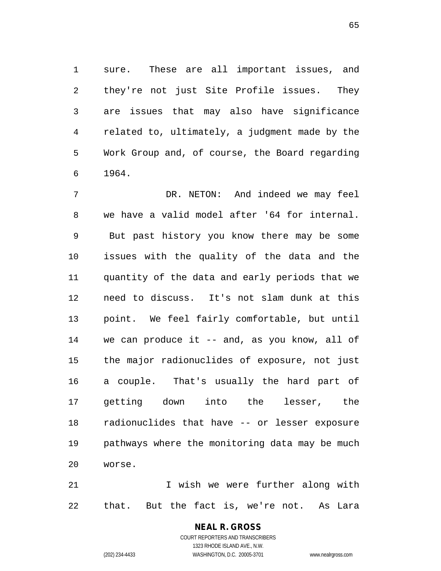1 sure. These are all important issues, and 2 they're not just Site Profile issues. They 3 are issues that may also have significance 4 related to, ultimately, a judgment made by the 5 Work Group and, of course, the Board regarding 6 1964.

7 DR. NETON: And indeed we may feel 8 we have a valid model after '64 for internal. 9 But past history you know there may be some 10 issues with the quality of the data and the 11 quantity of the data and early periods that we 12 need to discuss. It's not slam dunk at this 13 point. We feel fairly comfortable, but until 14 we can produce it -- and, as you know, all of 15 the major radionuclides of exposure, not just 16 a couple. That's usually the hard part of 17 getting down into the lesser, the 18 radionuclides that have -- or lesser exposure 19 pathways where the monitoring data may be much 20 worse.

21 I wish we were further along with 22 that. But the fact is, we're not. As Lara

## **NEAL R. GROSS**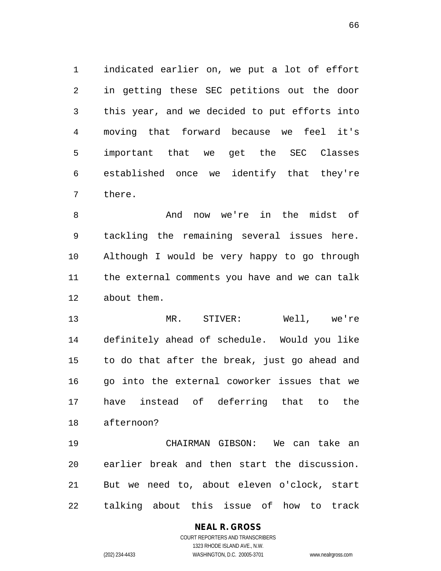1 indicated earlier on, we put a lot of effort 2 in getting these SEC petitions out the door 3 this year, and we decided to put efforts into 4 moving that forward because we feel it's 5 important that we get the SEC Classes 6 established once we identify that they're 7 there.

8 And now we're in the midst of 9 tackling the remaining several issues here. 10 Although I would be very happy to go through 11 the external comments you have and we can talk 12 about them.

13 MR. STIVER: Well, we're 14 definitely ahead of schedule. Would you like 15 to do that after the break, just go ahead and 16 go into the external coworker issues that we 17 have instead of deferring that to the 18 afternoon?

19 CHAIRMAN GIBSON: We can take an 20 earlier break and then start the discussion. 21 But we need to, about eleven o'clock, start 22 talking about this issue of how to track

### **NEAL R. GROSS**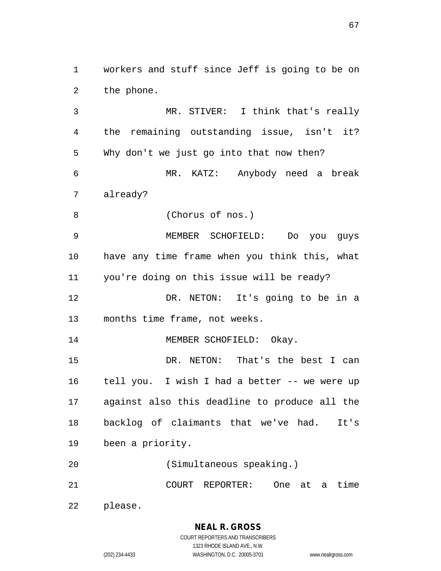1 workers and stuff since Jeff is going to be on 2 the phone.

3 MR. STIVER: I think that's really 4 the remaining outstanding issue, isn't it? 5 Why don't we just go into that now then? 6 MR. KATZ: Anybody need a break 7 already? 8 (Chorus of nos.) 9 MEMBER SCHOFIELD: Do you guys 10 have any time frame when you think this, what 11 you're doing on this issue will be ready? 12 DR. NETON: It's going to be in a 13 months time frame, not weeks. 14 MEMBER SCHOFIELD: Okay. 15 DR. NETON: That's the best I can 16 tell you. I wish I had a better -- we were up 17 against also this deadline to produce all the 18 backlog of claimants that we've had. It's 19 been a priority. 20 (Simultaneous speaking.) 21 COURT REPORTER: One at a time 22 please.

> **NEAL R. GROSS** COURT REPORTERS AND TRANSCRIBERS

1323 RHODE ISLAND AVE., N.W. (202) 234-4433 WASHINGTON, D.C. 20005-3701 www.nealrgross.com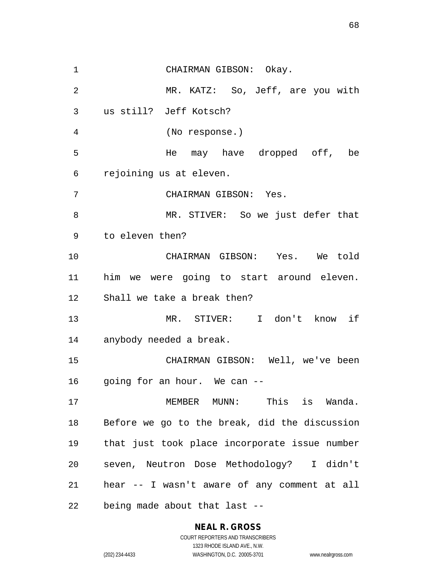1 CHAIRMAN GIBSON: Okay. 2 MR. KATZ: So, Jeff, are you with 3 us still? Jeff Kotsch? 4 (No response.) 5 He may have dropped off, be 6 rejoining us at eleven. 7 CHAIRMAN GIBSON: Yes. 8 MR. STIVER: So we just defer that 9 to eleven then? 10 CHAIRMAN GIBSON: Yes. We told 11 him we were going to start around eleven. 12 Shall we take a break then? 13 MR. STIVER: I don't know if 14 anybody needed a break. 15 CHAIRMAN GIBSON: Well, we've been 16 going for an hour. We can --17 MEMBER MUNN: This is Wanda. 18 Before we go to the break, did the discussion 19 that just took place incorporate issue number 20 seven, Neutron Dose Methodology? I didn't 21 hear -- I wasn't aware of any comment at all 22 being made about that last --

#### **NEAL R. GROSS** COURT REPORTERS AND TRANSCRIBERS

1323 RHODE ISLAND AVE., N.W.

(202) 234-4433 WASHINGTON, D.C. 20005-3701 www.nealrgross.com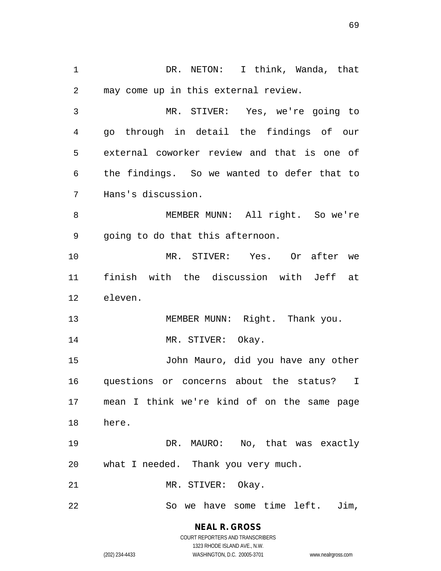1 1 DR. NETON: I think, Wanda, that 2 may come up in this external review. 3 MR. STIVER: Yes, we're going to 4 go through in detail the findings of our 5 external coworker review and that is one of 6 the findings. So we wanted to defer that to 7 Hans's discussion. 8 MEMBER MUNN: All right. So we're 9 going to do that this afternoon. 10 MR. STIVER: Yes. Or after we 11 finish with the discussion with Jeff at 12 eleven. 13 MEMBER MUNN: Right. Thank you. 14 MR. STIVER: Okay. 15 John Mauro, did you have any other 16 questions or concerns about the status? I 17 mean I think we're kind of on the same page 18 here. 19 DR. MAURO: No, that was exactly 20 what I needed. Thank you very much. 21 MR. STIVER: Okay. 22 So we have some time left. Jim,

> COURT REPORTERS AND TRANSCRIBERS 1323 RHODE ISLAND AVE., N.W. (202) 234-4433 WASHINGTON, D.C. 20005-3701 www.nealrgross.com

**NEAL R. GROSS**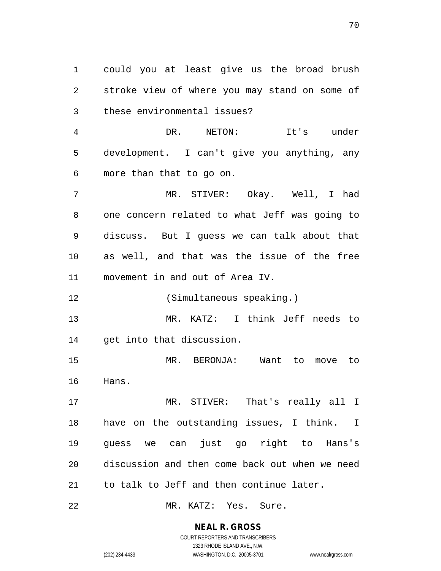1 could you at least give us the broad brush 2 stroke view of where you may stand on some of 3 these environmental issues?

4 DR. NETON: It's under 5 development. I can't give you anything, any 6 more than that to go on.

7 MR. STIVER: Okay. Well, I had 8 one concern related to what Jeff was going to 9 discuss. But I guess we can talk about that 10 as well, and that was the issue of the free 11 movement in and out of Area IV.

12 (Simultaneous speaking.)

13 MR. KATZ: I think Jeff needs to 14 get into that discussion.

15 MR. BERONJA: Want to move to 16 Hans.

17 MR. STIVER: That's really all I 18 have on the outstanding issues, I think. I 19 guess we can just go right to Hans's 20 discussion and then come back out when we need 21 to talk to Jeff and then continue later.

22 MR. KATZ: Yes. Sure.

### **NEAL R. GROSS**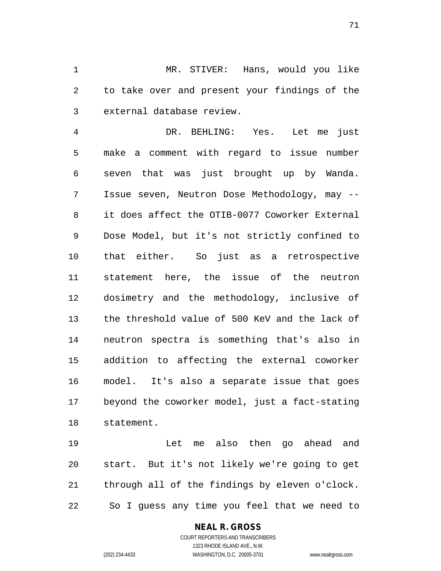1 MR. STIVER: Hans, would you like 2 to take over and present your findings of the 3 external database review.

4 DR. BEHLING: Yes. Let me just 5 make a comment with regard to issue number 6 seven that was just brought up by Wanda. 7 Issue seven, Neutron Dose Methodology, may -- 8 it does affect the OTIB-0077 Coworker External 9 Dose Model, but it's not strictly confined to 10 that either. So just as a retrospective 11 statement here, the issue of the neutron 12 dosimetry and the methodology, inclusive of 13 the threshold value of 500 KeV and the lack of 14 neutron spectra is something that's also in 15 addition to affecting the external coworker 16 model. It's also a separate issue that goes 17 beyond the coworker model, just a fact-stating 18 statement.

19 Let me also then go ahead and 20 start. But it's not likely we're going to get 21 through all of the findings by eleven o'clock. 22 So I guess any time you feel that we need to

### **NEAL R. GROSS**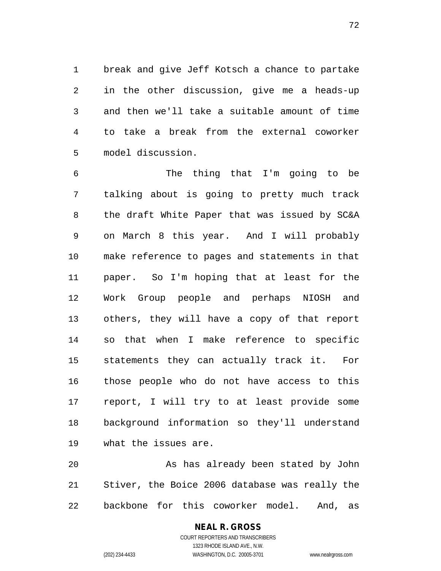1 break and give Jeff Kotsch a chance to partake 2 in the other discussion, give me a heads-up 3 and then we'll take a suitable amount of time 4 to take a break from the external coworker 5 model discussion.

6 The thing that I'm going to be 7 talking about is going to pretty much track 8 the draft White Paper that was issued by SC&A 9 on March 8 this year. And I will probably 10 make reference to pages and statements in that 11 paper. So I'm hoping that at least for the 12 Work Group people and perhaps NIOSH and 13 others, they will have a copy of that report 14 so that when I make reference to specific 15 statements they can actually track it. For 16 those people who do not have access to this 17 report, I will try to at least provide some 18 background information so they'll understand 19 what the issues are.

20 As has already been stated by John 21 Stiver, the Boice 2006 database was really the 22 backbone for this coworker model. And, as

### COURT REPORTERS AND TRANSCRIBERS 1323 RHODE ISLAND AVE., N.W. (202) 234-4433 WASHINGTON, D.C. 20005-3701 www.nealrgross.com

**NEAL R. GROSS**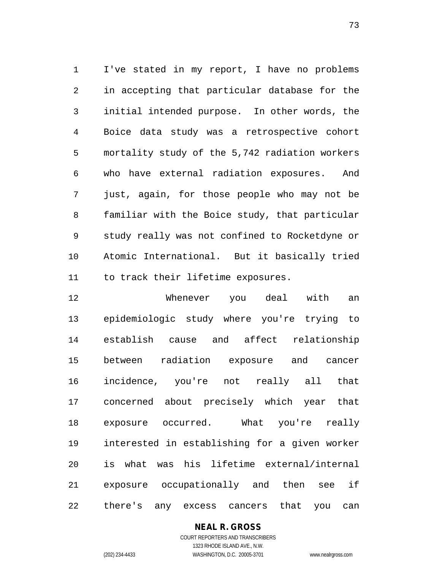1 I've stated in my report, I have no problems 2 in accepting that particular database for the 3 initial intended purpose. In other words, the 4 Boice data study was a retrospective cohort 5 mortality study of the 5,742 radiation workers 6 who have external radiation exposures. And 7 just, again, for those people who may not be 8 familiar with the Boice study, that particular 9 study really was not confined to Rocketdyne or 10 Atomic International. But it basically tried 11 to track their lifetime exposures.

12 Whenever you deal with an 13 epidemiologic study where you're trying to 14 establish cause and affect relationship 15 between radiation exposure and cancer 16 incidence, you're not really all that 17 concerned about precisely which year that 18 exposure occurred. What you're really 19 interested in establishing for a given worker 20 is what was his lifetime external/internal 21 exposure occupationally and then see if 22 there's any excess cancers that you can

## **NEAL R. GROSS**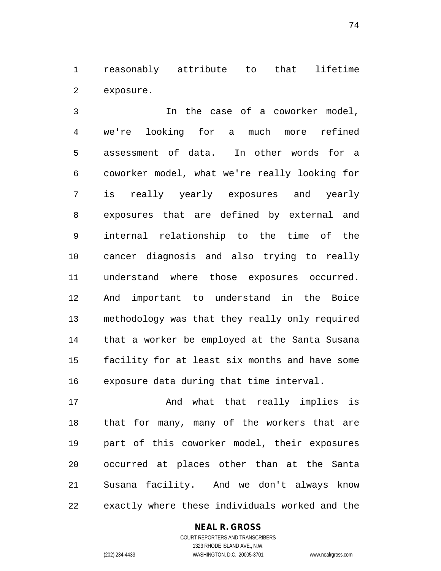1 reasonably attribute to that lifetime 2 exposure.

3 In the case of a coworker model, 4 we're looking for a much more refined 5 assessment of data. In other words for a 6 coworker model, what we're really looking for 7 is really yearly exposures and yearly 8 exposures that are defined by external and 9 internal relationship to the time of the 10 cancer diagnosis and also trying to really 11 understand where those exposures occurred. 12 And important to understand in the Boice 13 methodology was that they really only required 14 that a worker be employed at the Santa Susana 15 facility for at least six months and have some 16 exposure data during that time interval.

17 The Mand what that really implies is 18 that for many, many of the workers that are 19 part of this coworker model, their exposures 20 occurred at places other than at the Santa 21 Susana facility. And we don't always know 22 exactly where these individuals worked and the

#### **NEAL R. GROSS**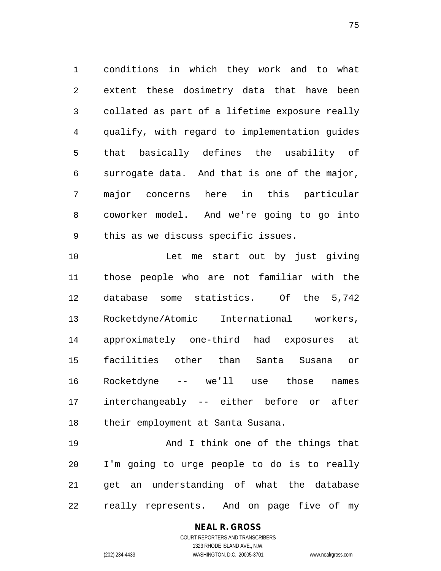1 conditions in which they work and to what 2 extent these dosimetry data that have been 3 collated as part of a lifetime exposure really 4 qualify, with regard to implementation guides 5 that basically defines the usability of 6 surrogate data. And that is one of the major, 7 major concerns here in this particular 8 coworker model. And we're going to go into 9 this as we discuss specific issues.

10 Let me start out by just giving 11 those people who are not familiar with the 12 database some statistics. Of the 5,742 13 Rocketdyne/Atomic International workers, 14 approximately one-third had exposures at 15 facilities other than Santa Susana or 16 Rocketdyne -- we'll use those names 17 interchangeably -- either before or after 18 their employment at Santa Susana.

19 And I think one of the things that 20 I'm going to urge people to do is to really 21 get an understanding of what the database 22 really represents. And on page five of my

## **NEAL R. GROSS**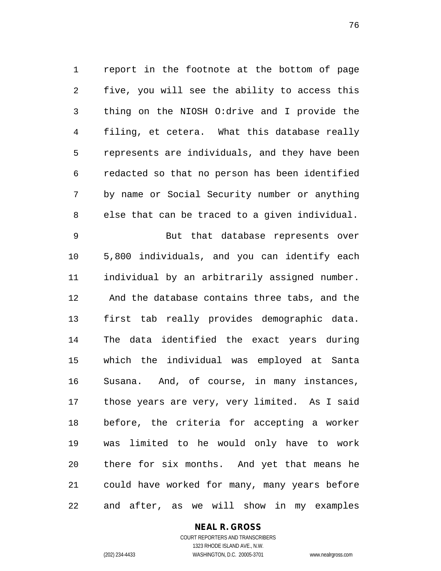1 report in the footnote at the bottom of page 2 five, you will see the ability to access this 3 thing on the NIOSH O:drive and I provide the 4 filing, et cetera. What this database really 5 represents are individuals, and they have been 6 redacted so that no person has been identified 7 by name or Social Security number or anything 8 else that can be traced to a given individual. 9 But that database represents over 10 5,800 individuals, and you can identify each 11 individual by an arbitrarily assigned number.

12 And the database contains three tabs, and the 13 first tab really provides demographic data. 14 The data identified the exact years during 15 which the individual was employed at Santa 16 Susana. And, of course, in many instances, 17 those years are very, very limited. As I said 18 before, the criteria for accepting a worker 19 was limited to he would only have to work 20 there for six months. And yet that means he 21 could have worked for many, many years before 22 and after, as we will show in my examples

## **NEAL R. GROSS**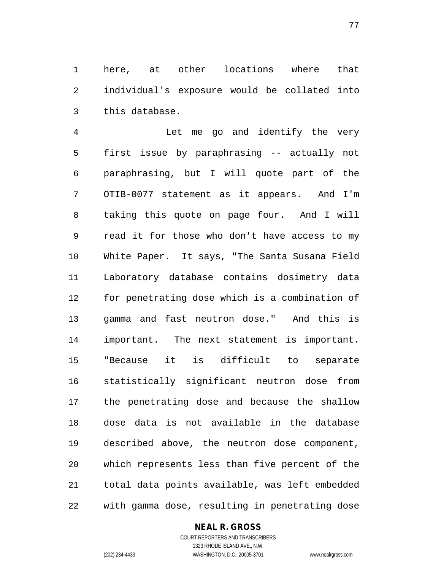1 here, at other locations where that 2 individual's exposure would be collated into 3 this database.

4 Let me go and identify the very 5 first issue by paraphrasing -- actually not 6 paraphrasing, but I will quote part of the 7 OTIB-0077 statement as it appears. And I'm 8 taking this quote on page four. And I will 9 read it for those who don't have access to my 10 White Paper. It says, "The Santa Susana Field 11 Laboratory database contains dosimetry data 12 for penetrating dose which is a combination of 13 gamma and fast neutron dose." And this is 14 important. The next statement is important. 15 "Because it is difficult to separate 16 statistically significant neutron dose from 17 the penetrating dose and because the shallow 18 dose data is not available in the database 19 described above, the neutron dose component, 20 which represents less than five percent of the 21 total data points available, was left embedded 22 with gamma dose, resulting in penetrating dose

#### **NEAL R. GROSS**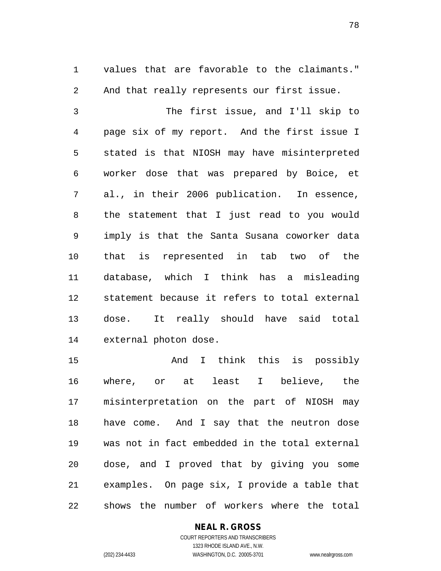1 values that are favorable to the claimants." 2 And that really represents our first issue.

3 The first issue, and I'll skip to 4 page six of my report. And the first issue I 5 stated is that NIOSH may have misinterpreted 6 worker dose that was prepared by Boice, et 7 al., in their 2006 publication. In essence, 8 the statement that I just read to you would 9 imply is that the Santa Susana coworker data 10 that is represented in tab two of the 11 database, which I think has a misleading 12 statement because it refers to total external 13 dose. It really should have said total 14 external photon dose.

15 And I think this is possibly 16 where, or at least I believe, the 17 misinterpretation on the part of NIOSH may 18 have come. And I say that the neutron dose 19 was not in fact embedded in the total external 20 dose, and I proved that by giving you some 21 examples. On page six, I provide a table that 22 shows the number of workers where the total

## **NEAL R. GROSS**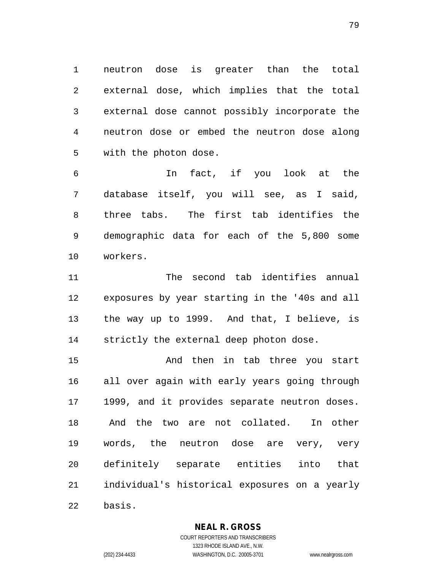1 neutron dose is greater than the total 2 external dose, which implies that the total 3 external dose cannot possibly incorporate the 4 neutron dose or embed the neutron dose along 5 with the photon dose.

6 In fact, if you look at the 7 database itself, you will see, as I said, 8 three tabs. The first tab identifies the 9 demographic data for each of the 5,800 some 10 workers.

11 The second tab identifies annual 12 exposures by year starting in the '40s and all 13 the way up to 1999. And that, I believe, is 14 strictly the external deep photon dose.

15 And then in tab three you start 16 all over again with early years going through 17 1999, and it provides separate neutron doses. 18 And the two are not collated. In other 19 words, the neutron dose are very, very 20 definitely separate entities into that 21 individual's historical exposures on a yearly 22 basis.

**NEAL R. GROSS**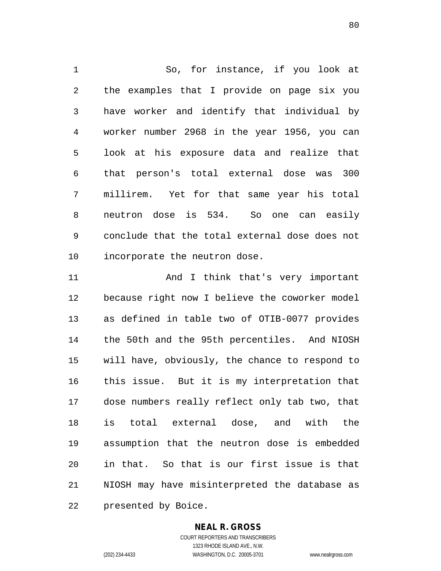1 So, for instance, if you look at 2 the examples that I provide on page six you 3 have worker and identify that individual by 4 worker number 2968 in the year 1956, you can 5 look at his exposure data and realize that 6 that person's total external dose was 300 7 millirem. Yet for that same year his total 8 neutron dose is 534. So one can easily 9 conclude that the total external dose does not 10 incorporate the neutron dose.

11 And I think that's very important 12 because right now I believe the coworker model 13 as defined in table two of OTIB-0077 provides 14 the 50th and the 95th percentiles. And NIOSH 15 will have, obviously, the chance to respond to 16 this issue. But it is my interpretation that 17 dose numbers really reflect only tab two, that 18 is total external dose, and with the 19 assumption that the neutron dose is embedded 20 in that. So that is our first issue is that 21 NIOSH may have misinterpreted the database as 22 presented by Boice.

#### **NEAL R. GROSS**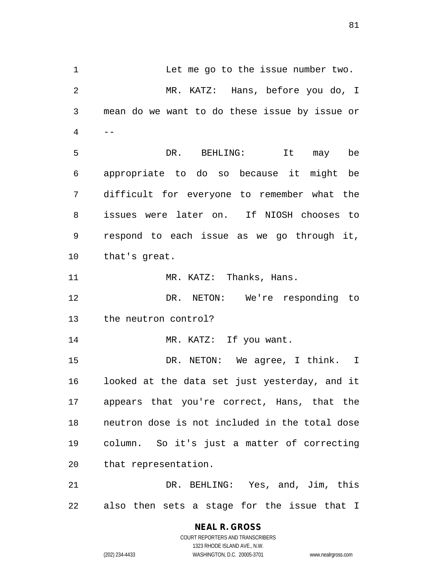1 Let me go to the issue number two. 2 MR. KATZ: Hans, before you do, I 3 mean do we want to do these issue by issue or  $4$  --5 DR. BEHLING: It may be 6 appropriate to do so because it might be 7 difficult for everyone to remember what the 8 issues were later on. If NIOSH chooses to 9 respond to each issue as we go through it, 10 that's great. 11 MR. KATZ: Thanks, Hans. 12 DR. NETON: We're responding to 13 the neutron control? 14 MR. KATZ: If you want. 15 DR. NETON: We agree, I think. I 16 looked at the data set just yesterday, and it 17 appears that you're correct, Hans, that the 18 neutron dose is not included in the total dose 19 column. So it's just a matter of correcting 20 that representation. 21 DR. BEHLING: Yes, and, Jim, this 22 also then sets a stage for the issue that I

> **NEAL R. GROSS** COURT REPORTERS AND TRANSCRIBERS 1323 RHODE ISLAND AVE., N.W. (202) 234-4433 WASHINGTON, D.C. 20005-3701 www.nealrgross.com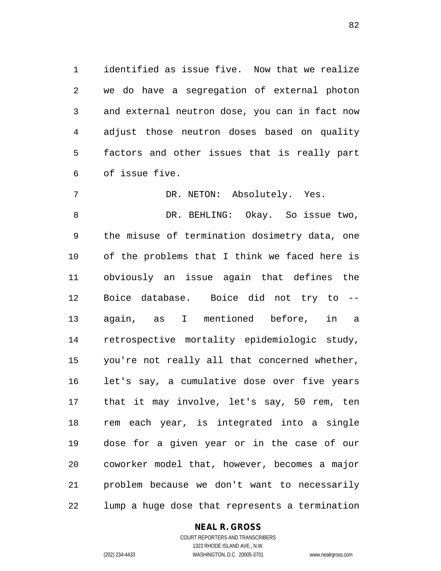1 identified as issue five. Now that we realize 2 we do have a segregation of external photon 3 and external neutron dose, you can in fact now 4 adjust those neutron doses based on quality 5 factors and other issues that is really part 6 of issue five.

7 DR. NETON: Absolutely. Yes. 8 DR. BEHLING: Okay. So issue two, 9 the misuse of termination dosimetry data, one 10 of the problems that I think we faced here is 11 obviously an issue again that defines the 12 Boice database. Boice did not try to -- 13 again, as I mentioned before, in a 14 retrospective mortality epidemiologic study, 15 you're not really all that concerned whether, 16 let's say, a cumulative dose over five years 17 that it may involve, let's say, 50 rem, ten 18 rem each year, is integrated into a single 19 dose for a given year or in the case of our 20 coworker model that, however, becomes a major 21 problem because we don't want to necessarily 22 lump a huge dose that represents a termination

#### **NEAL R. GROSS**

COURT REPORTERS AND TRANSCRIBERS 1323 RHODE ISLAND AVE., N.W. (202) 234-4433 WASHINGTON, D.C. 20005-3701 www.nealrgross.com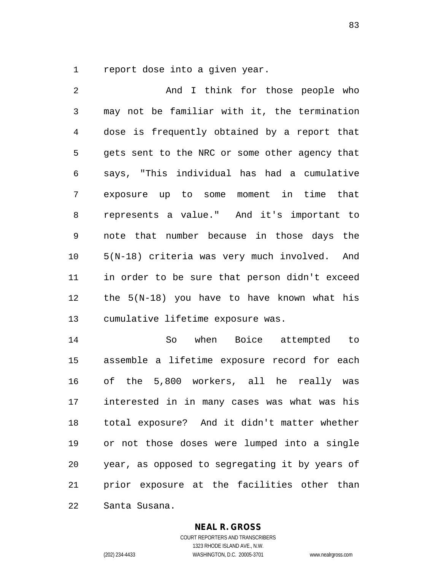1 report dose into a given year.

2 And I think for those people who 3 may not be familiar with it, the termination 4 dose is frequently obtained by a report that 5 gets sent to the NRC or some other agency that 6 says, "This individual has had a cumulative 7 exposure up to some moment in time that 8 represents a value." And it's important to 9 note that number because in those days the 10 5(N-18) criteria was very much involved. And 11 in order to be sure that person didn't exceed 12 the 5(N-18) you have to have known what his 13 cumulative lifetime exposure was. 14 So when Boice attempted to

15 assemble a lifetime exposure record for each 16 of the 5,800 workers, all he really was 17 interested in in many cases was what was his 18 total exposure? And it didn't matter whether 19 or not those doses were lumped into a single 20 year, as opposed to segregating it by years of 21 prior exposure at the facilities other than 22 Santa Susana.

#### **NEAL R. GROSS**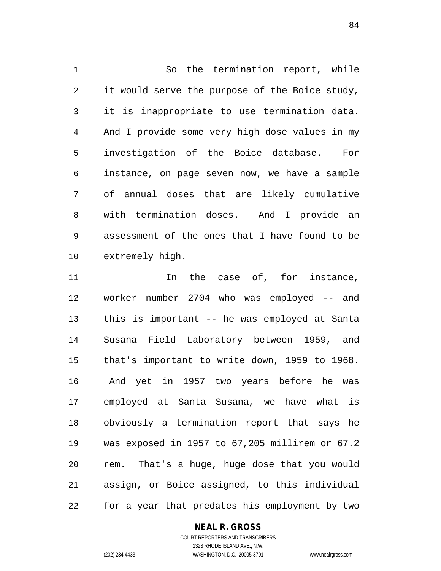1 So the termination report, while 2 it would serve the purpose of the Boice study, 3 it is inappropriate to use termination data. 4 And I provide some very high dose values in my 5 investigation of the Boice database. For 6 instance, on page seven now, we have a sample 7 of annual doses that are likely cumulative 8 with termination doses. And I provide an 9 assessment of the ones that I have found to be 10 extremely high.

11 11 In the case of, for instance, 12 worker number 2704 who was employed -- and 13 this is important -- he was employed at Santa 14 Susana Field Laboratory between 1959, and 15 that's important to write down, 1959 to 1968. 16 And yet in 1957 two years before he was 17 employed at Santa Susana, we have what is 18 obviously a termination report that says he 19 was exposed in 1957 to 67,205 millirem or 67.2 20 rem. That's a huge, huge dose that you would 21 assign, or Boice assigned, to this individual 22 for a year that predates his employment by two

## **NEAL R. GROSS**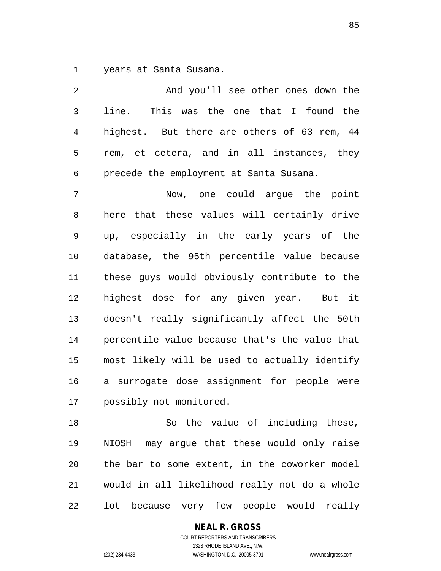1 years at Santa Susana.

| 2  | And you'll see other ones down the             |
|----|------------------------------------------------|
| 3  | line. This was the one that I found the        |
| 4  | highest. But there are others of 63 rem, 44    |
| 5  | rem, et cetera, and in all instances, they     |
| 6  | precede the employment at Santa Susana.        |
| 7  | Now, one could argue the point                 |
| 8  | here that these values will certainly drive    |
| 9  | up, especially in the early years of the       |
| 10 | database, the 95th percentile value because    |
| 11 | these guys would obviously contribute to the   |
| 12 | highest dose for any given year. But it        |
| 13 | doesn't really significantly affect the 50th   |
| 14 | percentile value because that's the value that |
| 15 | most likely will be used to actually identify  |
| 16 | a surrogate dose assignment for people were    |
| 17 | possibly not monitored.                        |
| 18 | So the value of including these,               |
| 19 | NIOSH may argue that these would only raise    |
| 20 | the bar to some extent, in the coworker model  |

22 lot because very few people would really

21 would in all likelihood really not do a whole

**NEAL R. GROSS**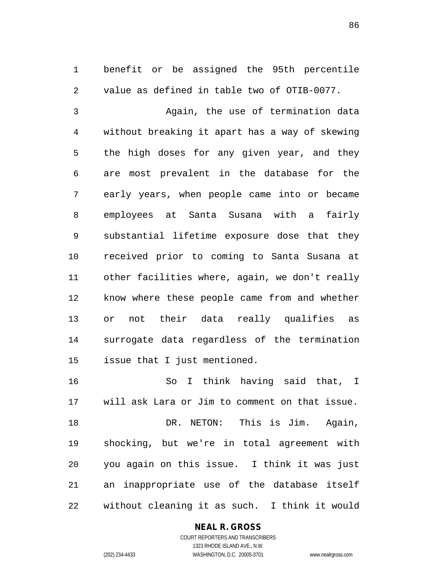1 benefit or be assigned the 95th percentile 2 value as defined in table two of OTIB-0077.

3 Again, the use of termination data 4 without breaking it apart has a way of skewing 5 the high doses for any given year, and they 6 are most prevalent in the database for the 7 early years, when people came into or became 8 employees at Santa Susana with a fairly 9 substantial lifetime exposure dose that they 10 received prior to coming to Santa Susana at 11 other facilities where, again, we don't really 12 know where these people came from and whether 13 or not their data really qualifies as 14 surrogate data regardless of the termination 15 issue that I just mentioned.

16 So I think having said that, I 17 will ask Lara or Jim to comment on that issue. 18 **DR. NETON:** This is Jim. Again, 19 shocking, but we're in total agreement with 20 you again on this issue. I think it was just 21 an inappropriate use of the database itself 22 without cleaning it as such. I think it would

## **NEAL R. GROSS**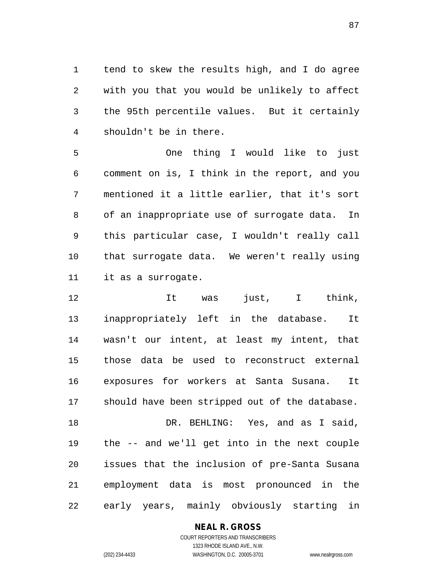1 tend to skew the results high, and I do agree 2 with you that you would be unlikely to affect 3 the 95th percentile values. But it certainly 4 shouldn't be in there.

5 One thing I would like to just 6 comment on is, I think in the report, and you 7 mentioned it a little earlier, that it's sort 8 of an inappropriate use of surrogate data. In 9 this particular case, I wouldn't really call 10 that surrogate data. We weren't really using 11 it as a surrogate.

12 It was just, I think, 13 inappropriately left in the database. It 14 wasn't our intent, at least my intent, that 15 those data be used to reconstruct external 16 exposures for workers at Santa Susana. It 17 should have been stripped out of the database. 18 DR. BEHLING: Yes, and as I said, 19 the -- and we'll get into in the next couple 20 issues that the inclusion of pre-Santa Susana 21 employment data is most pronounced in the 22 early years, mainly obviously starting in

## **NEAL R. GROSS**

COURT REPORTERS AND TRANSCRIBERS 1323 RHODE ISLAND AVE., N.W. (202) 234-4433 WASHINGTON, D.C. 20005-3701 www.nealrgross.com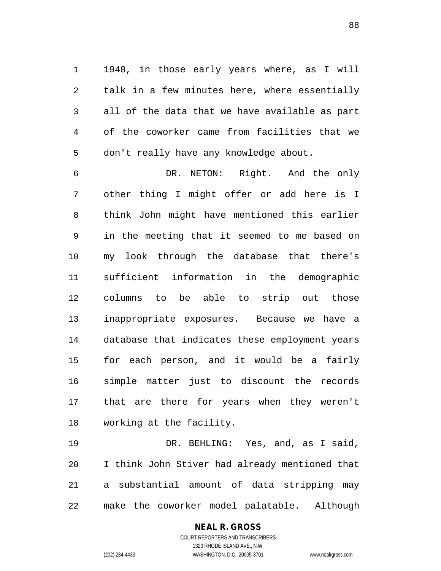1 1948, in those early years where, as I will 2 talk in a few minutes here, where essentially 3 all of the data that we have available as part 4 of the coworker came from facilities that we 5 don't really have any knowledge about.

6 DR. NETON: Right. And the only 7 other thing I might offer or add here is I 8 think John might have mentioned this earlier 9 in the meeting that it seemed to me based on 10 my look through the database that there's 11 sufficient information in the demographic 12 columns to be able to strip out those 13 inappropriate exposures. Because we have a 14 database that indicates these employment years 15 for each person, and it would be a fairly 16 simple matter just to discount the records 17 that are there for years when they weren't 18 working at the facility.

19 DR. BEHLING: Yes, and, as I said, 20 I think John Stiver had already mentioned that 21 a substantial amount of data stripping may 22 make the coworker model palatable. Although

## **NEAL R. GROSS**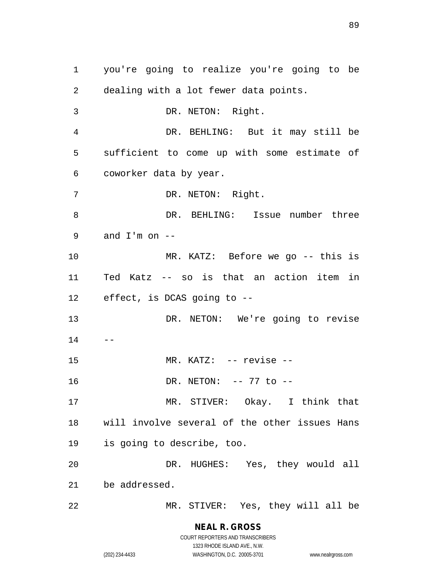1 you're going to realize you're going to be 2 dealing with a lot fewer data points. 3 DR. NETON: Right. 4 DR. BEHLING: But it may still be 5 sufficient to come up with some estimate of 6 coworker data by year. 7 DR. NETON: Right. 8 DR. BEHLING: Issue number three 9 and  $I'm$  on  $-$ 10 MR. KATZ: Before we go -- this is 11 Ted Katz -- so is that an action item in 12 effect, is DCAS going to -- 13 DR. NETON: We're going to revise  $14$ 15 MR. KATZ: -- revise --16 DR. NETON: -- 77 to --17 MR. STIVER: Okay. I think that 18 will involve several of the other issues Hans 19 is going to describe, too. 20 DR. HUGHES: Yes, they would all 21 be addressed. 22 MR. STIVER: Yes, they will all be

> **NEAL R. GROSS** COURT REPORTERS AND TRANSCRIBERS

> > 1323 RHODE ISLAND AVE., N.W.

(202) 234-4433 WASHINGTON, D.C. 20005-3701 www.nealrgross.com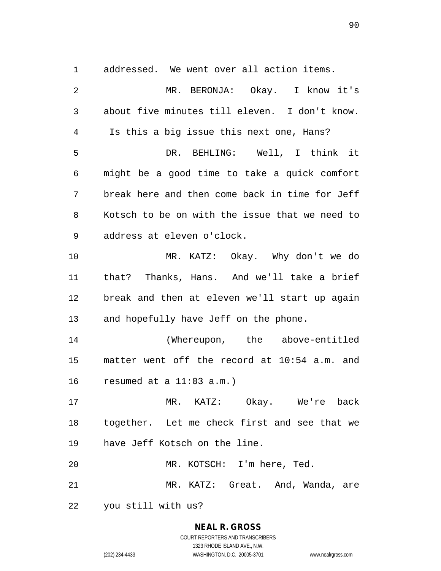1 addressed. We went over all action items.

2 MR. BERONJA: Okay. I know it's 3 about five minutes till eleven. I don't know. 4 Is this a big issue this next one, Hans? 5 DR. BEHLING: Well, I think it 6 might be a good time to take a quick comfort 7 break here and then come back in time for Jeff 8 Kotsch to be on with the issue that we need to 9 address at eleven o'clock. 10 MR. KATZ: Okay. Why don't we do 11 that? Thanks, Hans. And we'll take a brief 12 break and then at eleven we'll start up again 13 and hopefully have Jeff on the phone. 14 (Whereupon, the above-entitled 15 matter went off the record at 10:54 a.m. and 16 resumed at a 11:03 a.m.) 17 MR. KATZ: Okay. We're back 18 together. Let me check first and see that we 19 have Jeff Kotsch on the line. 20 MR. KOTSCH: I'm here, Ted. 21 MR. KATZ: Great. And, Wanda, are 22 you still with us?

## **NEAL R. GROSS**

COURT REPORTERS AND TRANSCRIBERS 1323 RHODE ISLAND AVE., N.W. (202) 234-4433 WASHINGTON, D.C. 20005-3701 www.nealrgross.com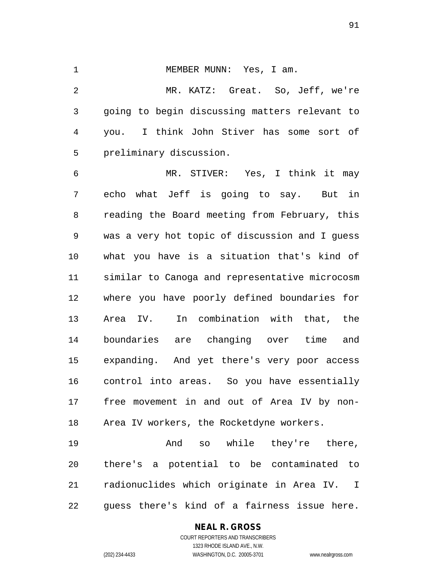1 MEMBER MUNN: Yes, I am. 2 MR. KATZ: Great. So, Jeff, we're 3 going to begin discussing matters relevant to 4 you. I think John Stiver has some sort of 5 preliminary discussion.

6 MR. STIVER: Yes, I think it may 7 echo what Jeff is going to say. But in 8 reading the Board meeting from February, this 9 was a very hot topic of discussion and I guess 10 what you have is a situation that's kind of 11 similar to Canoga and representative microcosm 12 where you have poorly defined boundaries for 13 Area IV. In combination with that, the 14 boundaries are changing over time and 15 expanding. And yet there's very poor access 16 control into areas. So you have essentially 17 free movement in and out of Area IV by non-18 Area IV workers, the Rocketdyne workers.

19 **And** so while they're there, 20 there's a potential to be contaminated to 21 radionuclides which originate in Area IV. I 22 guess there's kind of a fairness issue here.

## **NEAL R. GROSS**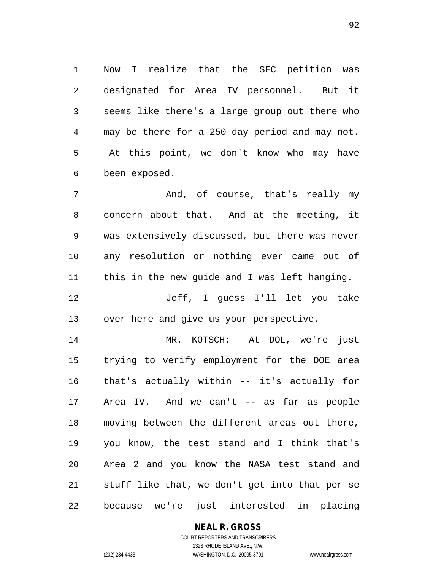1 Now I realize that the SEC petition was 2 designated for Area IV personnel. But it 3 seems like there's a large group out there who 4 may be there for a 250 day period and may not. 5 At this point, we don't know who may have 6 been exposed.

7 And, of course, that's really my 8 concern about that. And at the meeting, it 9 was extensively discussed, but there was never 10 any resolution or nothing ever came out of 11 this in the new guide and I was left hanging.

12 Jeff, I guess I'll let you take 13 over here and give us your perspective.

14 MR. KOTSCH: At DOL, we're just 15 trying to verify employment for the DOE area 16 that's actually within -- it's actually for 17 Area IV. And we can't -- as far as people 18 moving between the different areas out there, 19 you know, the test stand and I think that's 20 Area 2 and you know the NASA test stand and 21 stuff like that, we don't get into that per se 22 because we're just interested in placing

#### **NEAL R. GROSS** COURT REPORTERS AND TRANSCRIBERS

1323 RHODE ISLAND AVE., N.W. (202) 234-4433 WASHINGTON, D.C. 20005-3701 www.nealrgross.com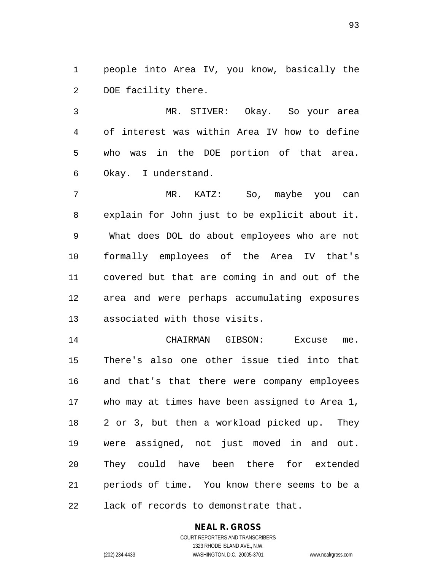1 people into Area IV, you know, basically the 2 DOE facility there.

3 MR. STIVER: Okay. So your area 4 of interest was within Area IV how to define 5 who was in the DOE portion of that area. 6 Okay. I understand.

7 MR. KATZ: So, maybe you can 8 explain for John just to be explicit about it. 9 What does DOL do about employees who are not 10 formally employees of the Area IV that's 11 covered but that are coming in and out of the 12 area and were perhaps accumulating exposures 13 associated with those visits.

14 CHAIRMAN GIBSON: Excuse me. 15 There's also one other issue tied into that 16 and that's that there were company employees 17 who may at times have been assigned to Area 1, 18 2 or 3, but then a workload picked up. They 19 were assigned, not just moved in and out. 20 They could have been there for extended 21 periods of time. You know there seems to be a 22 lack of records to demonstrate that.

## **NEAL R. GROSS**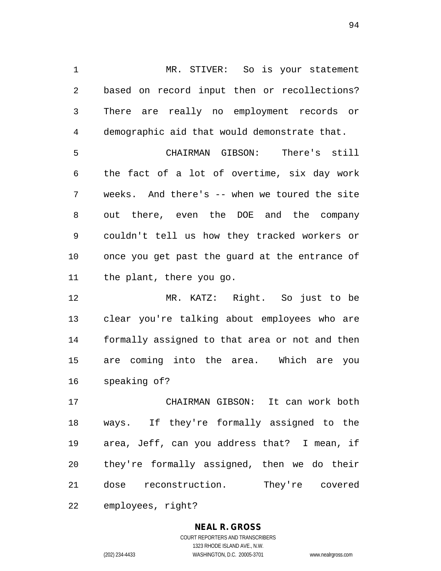1 MR. STIVER: So is your statement 2 based on record input then or recollections? 3 There are really no employment records or 4 demographic aid that would demonstrate that.

5 CHAIRMAN GIBSON: There's still 6 the fact of a lot of overtime, six day work 7 weeks. And there's -- when we toured the site 8 out there, even the DOE and the company 9 couldn't tell us how they tracked workers or 10 once you get past the guard at the entrance of 11 the plant, there you go.

12 MR. KATZ: Right. So just to be 13 clear you're talking about employees who are 14 formally assigned to that area or not and then 15 are coming into the area. Which are you 16 speaking of?

17 CHAIRMAN GIBSON: It can work both 18 ways. If they're formally assigned to the 19 area, Jeff, can you address that? I mean, if 20 they're formally assigned, then we do their 21 dose reconstruction. They're covered

22 employees, right?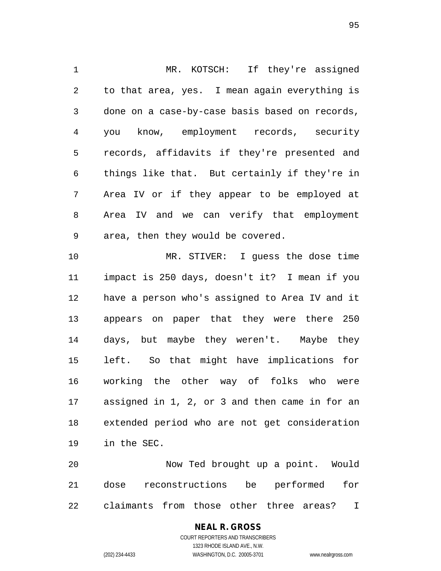1 MR. KOTSCH: If they're assigned 2 to that area, yes. I mean again everything is 3 done on a case-by-case basis based on records, 4 you know, employment records, security 5 records, affidavits if they're presented and 6 things like that. But certainly if they're in 7 Area IV or if they appear to be employed at 8 Area IV and we can verify that employment 9 area, then they would be covered. 10 MR. STIVER: I guess the dose time 11 impact is 250 days, doesn't it? I mean if you 12 have a person who's assigned to Area IV and it 13 appears on paper that they were there 250 14 days, but maybe they weren't. Maybe they 15 left. So that might have implications for 16 working the other way of folks who were 17 assigned in 1, 2, or 3 and then came in for an 18 extended period who are not get consideration 19 in the SEC.

20 Now Ted brought up a point. Would 21 dose reconstructions be performed for 22 claimants from those other three areas? I

# **NEAL R. GROSS**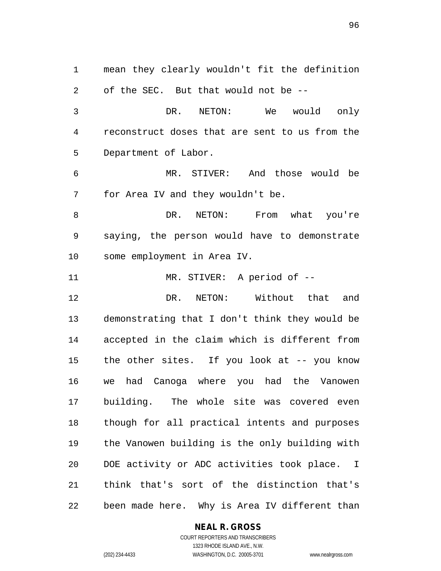1 mean they clearly wouldn't fit the definition 2 of the SEC. But that would not be -- 3 DR. NETON: We would only 4 reconstruct doses that are sent to us from the 5 Department of Labor. 6 MR. STIVER: And those would be 7 for Area IV and they wouldn't be. 8 DR. NETON: From what you're 9 saying, the person would have to demonstrate 10 some employment in Area IV. 11 MR. STIVER: A period of -- 12 DR. NETON: Without that and 13 demonstrating that I don't think they would be 14 accepted in the claim which is different from 15 the other sites. If you look at -- you know 16 we had Canoga where you had the Vanowen 17 building. The whole site was covered even 18 though for all practical intents and purposes 19 the Vanowen building is the only building with 20 DOE activity or ADC activities took place. I 21 think that's sort of the distinction that's 22 been made here. Why is Area IV different than

#### **NEAL R. GROSS**

COURT REPORTERS AND TRANSCRIBERS 1323 RHODE ISLAND AVE., N.W. (202) 234-4433 WASHINGTON, D.C. 20005-3701 www.nealrgross.com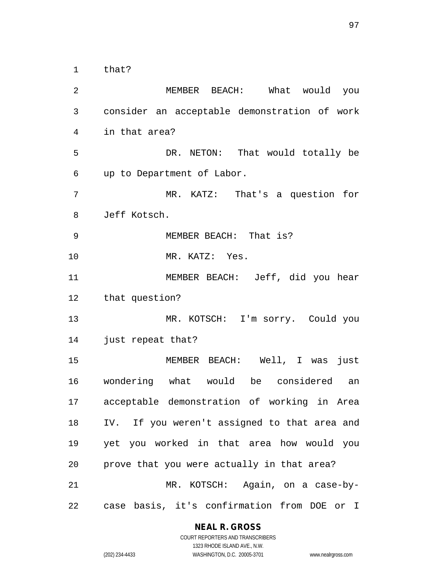1 that?

2 MEMBER BEACH: What would you 3 consider an acceptable demonstration of work 4 in that area? 5 DR. NETON: That would totally be 6 up to Department of Labor. 7 MR. KATZ: That's a question for 8 Jeff Kotsch. 9 MEMBER BEACH: That is? 10 MR. KATZ: Yes. 11 MEMBER BEACH: Jeff, did you hear 12 that question? 13 MR. KOTSCH: I'm sorry. Could you 14 just repeat that? 15 MEMBER BEACH: Well, I was just 16 wondering what would be considered an 17 acceptable demonstration of working in Area 18 IV. If you weren't assigned to that area and 19 yet you worked in that area how would you 20 prove that you were actually in that area? 21 MR. KOTSCH: Again, on a case-by-22 case basis, it's confirmation from DOE or I

#### **NEAL R. GROSS**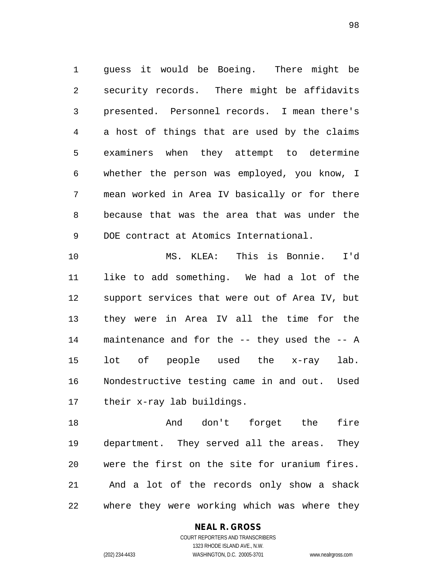1 guess it would be Boeing. There might be 2 security records. There might be affidavits 3 presented. Personnel records. I mean there's 4 a host of things that are used by the claims 5 examiners when they attempt to determine 6 whether the person was employed, you know, I 7 mean worked in Area IV basically or for there 8 because that was the area that was under the 9 DOE contract at Atomics International.

10 MS. KLEA: This is Bonnie. I'd 11 like to add something. We had a lot of the 12 support services that were out of Area IV, but 13 they were in Area IV all the time for the 14 maintenance and for the -- they used the -- A 15 lot of people used the x-ray lab. 16 Nondestructive testing came in and out. Used 17 their x-ray lab buildings.

18 And don't forget the fire 19 department. They served all the areas. They 20 were the first on the site for uranium fires. 21 And a lot of the records only show a shack 22 where they were working which was where they

## **NEAL R. GROSS**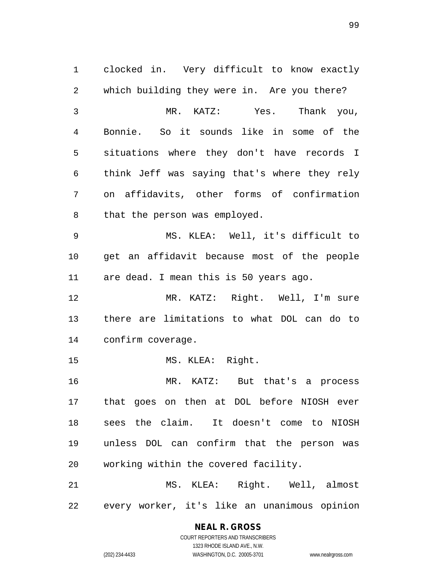1 clocked in. Very difficult to know exactly 2 which building they were in. Are you there? 3 MR. KATZ: Yes. Thank you, 4 Bonnie. So it sounds like in some of the 5 situations where they don't have records I 6 think Jeff was saying that's where they rely 7 on affidavits, other forms of confirmation 8 that the person was employed. 9 MS. KLEA: Well, it's difficult to 10 get an affidavit because most of the people 11 are dead. I mean this is 50 years ago. 12 MR. KATZ: Right. Well, I'm sure 13 there are limitations to what DOL can do to 14 confirm coverage. 15 MS. KLEA: Right. 16 MR. KATZ: But that's a process 17 that goes on then at DOL before NIOSH ever 18 sees the claim. It doesn't come to NIOSH 19 unless DOL can confirm that the person was 20 working within the covered facility. 21 MS. KLEA: Right. Well, almost 22 every worker, it's like an unanimous opinion

**NEAL R. GROSS**

COURT REPORTERS AND TRANSCRIBERS 1323 RHODE ISLAND AVE., N.W. (202) 234-4433 WASHINGTON, D.C. 20005-3701 www.nealrgross.com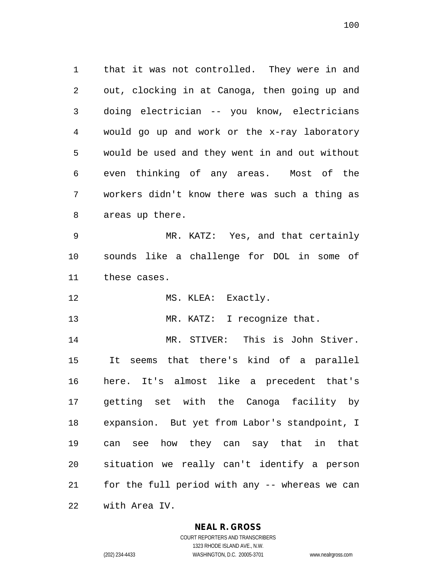1 that it was not controlled. They were in and 2 out, clocking in at Canoga, then going up and 3 doing electrician -- you know, electricians 4 would go up and work or the x-ray laboratory 5 would be used and they went in and out without 6 even thinking of any areas. Most of the 7 workers didn't know there was such a thing as 8 areas up there.

9 MR. KATZ: Yes, and that certainly 10 sounds like a challenge for DOL in some of 11 these cases.

12 MS. KLEA: Exactly.

13 MR. KATZ: I recognize that.

14 MR. STIVER: This is John Stiver. 15 It seems that there's kind of a parallel 16 here. It's almost like a precedent that's 17 getting set with the Canoga facility by 18 expansion. But yet from Labor's standpoint, I 19 can see how they can say that in that 20 situation we really can't identify a person 21 for the full period with any -- whereas we can 22 with Area IV.

## **NEAL R. GROSS**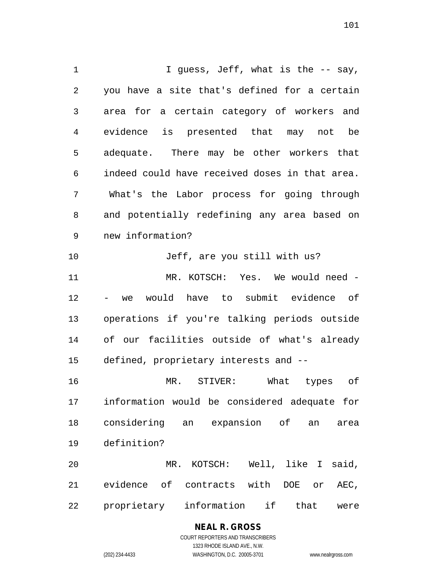1 I guess, Jeff, what is the -- say, 2 you have a site that's defined for a certain 3 area for a certain category of workers and 4 evidence is presented that may not be 5 adequate. There may be other workers that 6 indeed could have received doses in that area. 7 What's the Labor process for going through 8 and potentially redefining any area based on 9 new information? 10 Jeff, are you still with us? 11 MR. KOTSCH: Yes. We would need - 12 - we would have to submit evidence of 13 operations if you're talking periods outside 14 of our facilities outside of what's already 15 defined, proprietary interests and -- 16 MR. STIVER: What types of 17 information would be considered adequate for 18 considering an expansion of an area 19 definition? 20 MR. KOTSCH: Well, like I said, 21 evidence of contracts with DOE or AEC,

22 proprietary information if that were

**NEAL R. GROSS** COURT REPORTERS AND TRANSCRIBERS

1323 RHODE ISLAND AVE., N.W.

(202) 234-4433 WASHINGTON, D.C. 20005-3701 www.nealrgross.com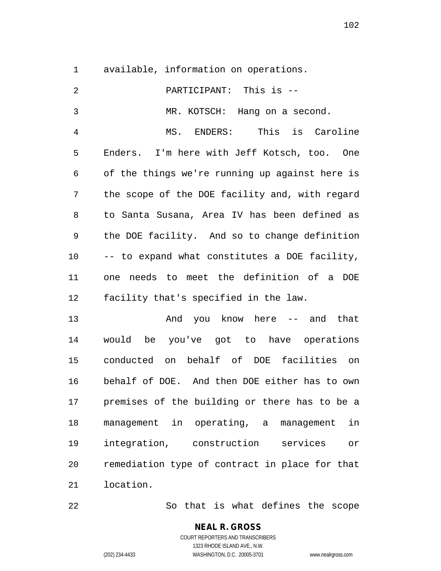1 available, information on operations.

| $\overline{2}$ | PARTICIPANT: This is --                        |
|----------------|------------------------------------------------|
| $\mathfrak{Z}$ | MR. KOTSCH: Hang on a second.                  |
| 4              | MS. ENDERS: This is Caroline                   |
| 5              | Enders. I'm here with Jeff Kotsch, too. One    |
| $\epsilon$     | of the things we're running up against here is |
| 7              | the scope of the DOE facility and, with regard |
| 8              | to Santa Susana, Area IV has been defined as   |
| 9              | the DOE facility. And so to change definition  |
| 10             | -- to expand what constitutes a DOE facility,  |
| 11             | one needs to meet the definition of a DOE      |
| 12             | facility that's specified in the law.          |
| 13             | And you know here -- and that                  |
| 14             | would be you've got to have operations         |
| 15             | conducted on behalf of DOE facilities on       |
| 16             | behalf of DOE. And then DOE either has to own  |
| 17             | premises of the building or there has to be a  |
| 18             | management in operating, a management<br>in    |
| 19             | integration, construction<br>services<br>or    |
| 20             | remediation type of contract in place for that |
| 21             | location.                                      |

22 So that is what defines the scope

## **NEAL R. GROSS** COURT REPORTERS AND TRANSCRIBERS 1323 RHODE ISLAND AVE., N.W. (202) 234-4433 WASHINGTON, D.C. 20005-3701 www.nealrgross.com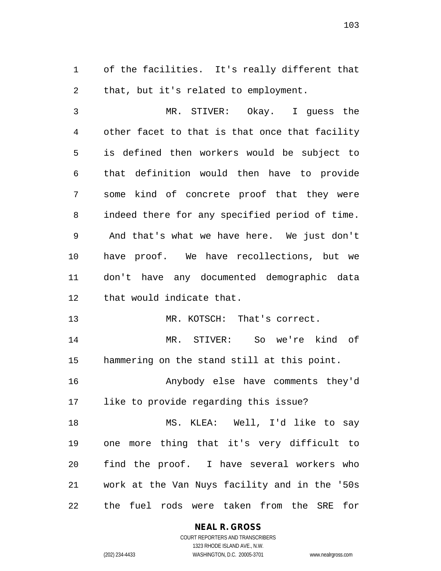1 of the facilities. It's really different that 2 that, but it's related to employment.

3 MR. STIVER: Okay. I guess the 4 other facet to that is that once that facility 5 is defined then workers would be subject to 6 that definition would then have to provide 7 some kind of concrete proof that they were 8 indeed there for any specified period of time. 9 And that's what we have here. We just don't 10 have proof. We have recollections, but we 11 don't have any documented demographic data 12 that would indicate that.

13 MR. KOTSCH: That's correct.

14 MR. STIVER: So we're kind of 15 hammering on the stand still at this point.

16 Anybody else have comments they'd 17 like to provide regarding this issue?

18 MS. KLEA: Well, I'd like to say 19 one more thing that it's very difficult to 20 find the proof. I have several workers who 21 work at the Van Nuys facility and in the '50s 22 the fuel rods were taken from the SRE for

**NEAL R. GROSS**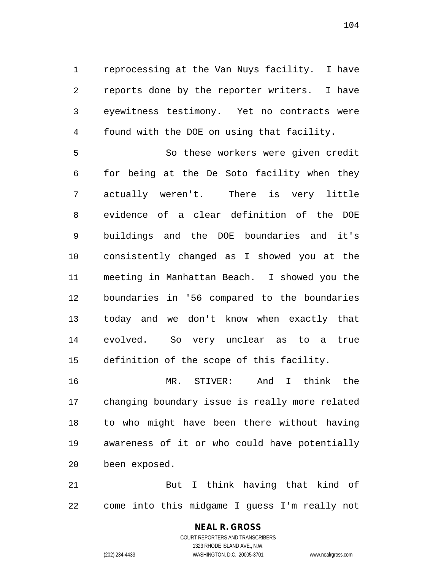1 reprocessing at the Van Nuys facility. I have 2 reports done by the reporter writers. I have 3 eyewitness testimony. Yet no contracts were 4 found with the DOE on using that facility.

5 So these workers were given credit 6 for being at the De Soto facility when they 7 actually weren't. There is very little 8 evidence of a clear definition of the DOE 9 buildings and the DOE boundaries and it's 10 consistently changed as I showed you at the 11 meeting in Manhattan Beach. I showed you the 12 boundaries in '56 compared to the boundaries 13 today and we don't know when exactly that 14 evolved. So very unclear as to a true 15 definition of the scope of this facility.

16 MR. STIVER: And I think the 17 changing boundary issue is really more related 18 to who might have been there without having 19 awareness of it or who could have potentially 20 been exposed.

21 But I think having that kind of 22 come into this midgame I guess I'm really not

## **NEAL R. GROSS**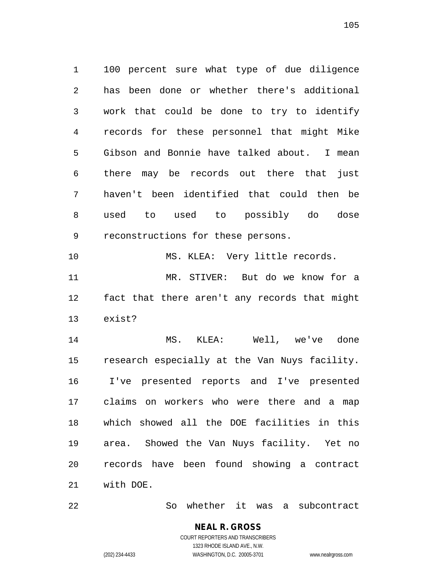1 100 percent sure what type of due diligence 2 has been done or whether there's additional 3 work that could be done to try to identify 4 records for these personnel that might Mike 5 Gibson and Bonnie have talked about. I mean 6 there may be records out there that just 7 haven't been identified that could then be 8 used to used to possibly do dose 9 reconstructions for these persons.

10 MS. KLEA: Very little records. 11 MR. STIVER: But do we know for a 12 fact that there aren't any records that might 13 exist?

14 MS. KLEA: Well, we've done 15 research especially at the Van Nuys facility. 16 I've presented reports and I've presented 17 claims on workers who were there and a map 18 which showed all the DOE facilities in this 19 area. Showed the Van Nuys facility. Yet no 20 records have been found showing a contract 21 with DOE.

22 So whether it was a subcontract

## **NEAL R. GROSS** COURT REPORTERS AND TRANSCRIBERS

1323 RHODE ISLAND AVE., N.W. (202) 234-4433 WASHINGTON, D.C. 20005-3701 www.nealrgross.com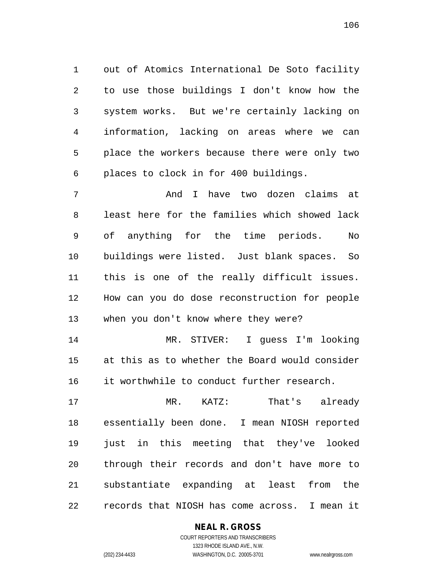1 out of Atomics International De Soto facility 2 to use those buildings I don't know how the 3 system works. But we're certainly lacking on 4 information, lacking on areas where we can 5 place the workers because there were only two 6 places to clock in for 400 buildings.

7 And I have two dozen claims at 8 least here for the families which showed lack 9 of anything for the time periods. No 10 buildings were listed. Just blank spaces. So 11 this is one of the really difficult issues. 12 How can you do dose reconstruction for people 13 when you don't know where they were?

14 MR. STIVER: I guess I'm looking 15 at this as to whether the Board would consider 16 it worthwhile to conduct further research.

17 MR. KATZ: That's already 18 essentially been done. I mean NIOSH reported 19 just in this meeting that they've looked 20 through their records and don't have more to 21 substantiate expanding at least from the 22 records that NIOSH has come across. I mean it

## **NEAL R. GROSS**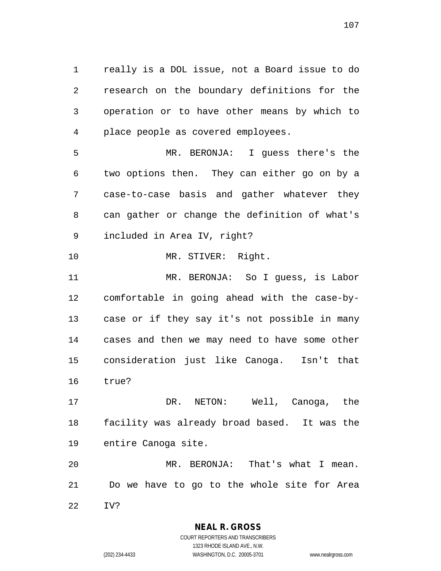1 really is a DOL issue, not a Board issue to do 2 research on the boundary definitions for the 3 operation or to have other means by which to 4 place people as covered employees.

5 MR. BERONJA: I guess there's the 6 two options then. They can either go on by a 7 case-to-case basis and gather whatever they 8 can gather or change the definition of what's 9 included in Area IV, right?

10 MR. STIVER: Right.

11 MR. BERONJA: So I guess, is Labor 12 comfortable in going ahead with the case-by-13 case or if they say it's not possible in many 14 cases and then we may need to have some other 15 consideration just like Canoga. Isn't that 16 true?

17 DR. NETON: Well, Canoga, the 18 facility was already broad based. It was the 19 entire Canoga site.

20 MR. BERONJA: That's what I mean. 21 Do we have to go to the whole site for Area 22 IV?

**NEAL R. GROSS**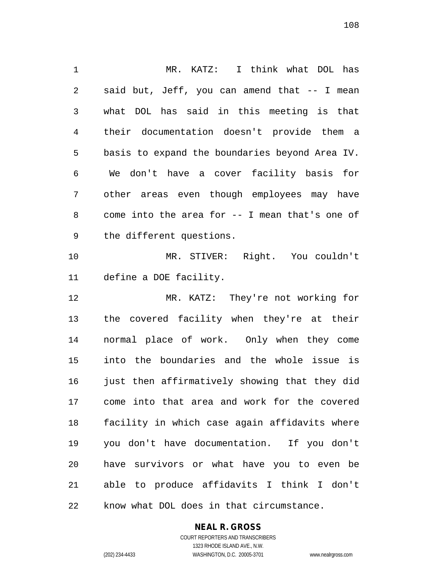1 MR. KATZ: I think what DOL has 2 said but, Jeff, you can amend that -- I mean 3 what DOL has said in this meeting is that 4 their documentation doesn't provide them a 5 basis to expand the boundaries beyond Area IV. 6 We don't have a cover facility basis for 7 other areas even though employees may have 8 come into the area for -- I mean that's one of 9 the different questions. 10 MR. STIVER: Right. You couldn't 11 define a DOE facility. 12 MR. KATZ: They're not working for 13 the covered facility when they're at their 14 normal place of work. Only when they come 15 into the boundaries and the whole issue is 16 just then affirmatively showing that they did 17 come into that area and work for the covered 18 facility in which case again affidavits where 19 you don't have documentation. If you don't 20 have survivors or what have you to even be 21 able to produce affidavits I think I don't 22 know what DOL does in that circumstance.

## **NEAL R. GROSS**

COURT REPORTERS AND TRANSCRIBERS 1323 RHODE ISLAND AVE., N.W. (202) 234-4433 WASHINGTON, D.C. 20005-3701 www.nealrgross.com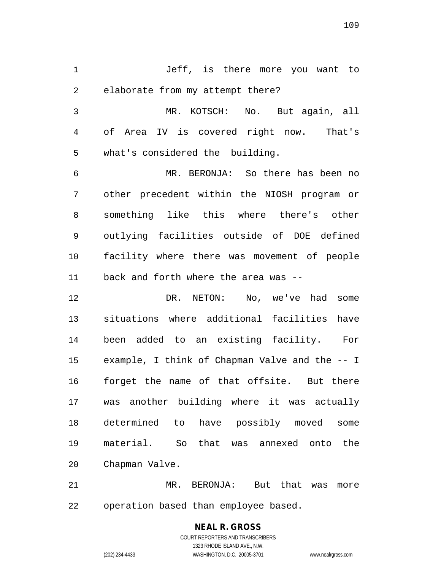1 Jeff, is there more you want to 2 elaborate from my attempt there?

3 MR. KOTSCH: No. But again, all 4 of Area IV is covered right now. That's 5 what's considered the building.

6 MR. BERONJA: So there has been no 7 other precedent within the NIOSH program or 8 something like this where there's other 9 outlying facilities outside of DOE defined 10 facility where there was movement of people 11 back and forth where the area was --

12 DR. NETON: No, we've had some 13 situations where additional facilities have 14 been added to an existing facility. For 15 example, I think of Chapman Valve and the -- I 16 forget the name of that offsite. But there 17 was another building where it was actually 18 determined to have possibly moved some 19 material. So that was annexed onto the 20 Chapman Valve.

21 MR. BERONJA: But that was more 22 operation based than employee based.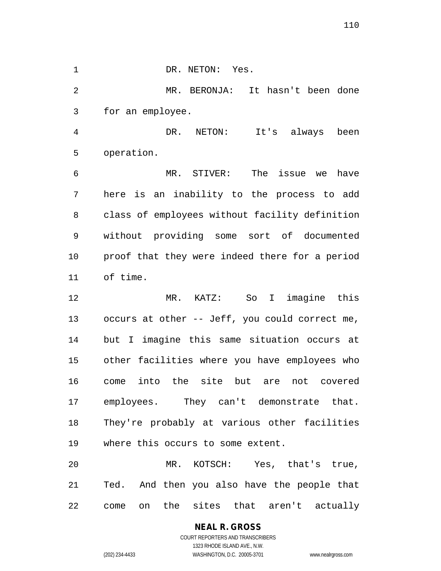1 DR. NETON: Yes. 2 MR. BERONJA: It hasn't been done 3 for an employee.

4 DR. NETON: It's always been 5 operation.

6 MR. STIVER: The issue we have 7 here is an inability to the process to add 8 class of employees without facility definition 9 without providing some sort of documented 10 proof that they were indeed there for a period 11 of time.

12 MR. KATZ: So I imagine this 13 occurs at other -- Jeff, you could correct me, 14 but I imagine this same situation occurs at 15 other facilities where you have employees who 16 come into the site but are not covered 17 employees. They can't demonstrate that. 18 They're probably at various other facilities 19 where this occurs to some extent.

20 MR. KOTSCH: Yes, that's true, 21 Ted. And then you also have the people that 22 come on the sites that aren't actually

### **NEAL R. GROSS** COURT REPORTERS AND TRANSCRIBERS 1323 RHODE ISLAND AVE., N.W.

(202) 234-4433 WASHINGTON, D.C. 20005-3701 www.nealrgross.com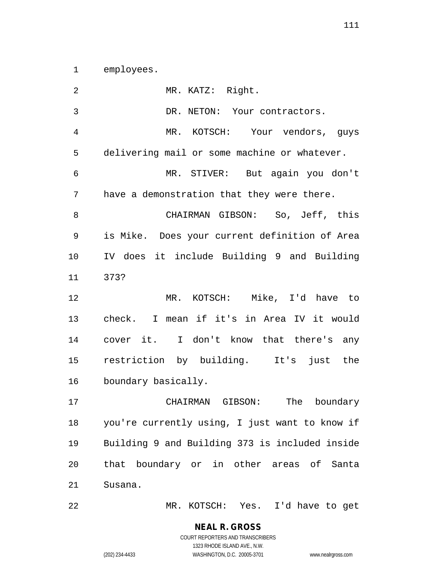1 employees.

| 2  | MR. KATZ: Right.                               |
|----|------------------------------------------------|
| 3  | DR. NETON: Your contractors.                   |
| 4  | MR. KOTSCH: Your vendors, guys                 |
| 5  | delivering mail or some machine or whatever.   |
| 6  | MR. STIVER: But again you don't                |
| 7  | have a demonstration that they were there.     |
| 8  | CHAIRMAN GIBSON: So, Jeff, this                |
| 9  | is Mike. Does your current definition of Area  |
| 10 | IV does it include Building 9 and Building     |
| 11 | 373?                                           |
| 12 | MR. KOTSCH: Mike, I'd have to                  |
| 13 | check. I mean if it's in Area IV it would      |
| 14 | cover it. I don't know that there's any        |
| 15 | restriction by building. It's just the         |
| 16 | boundary basically.                            |
| 17 | boundary<br>CHAIRMAN GIBSON:<br>The            |
| 18 | you're currently using, I just want to know if |
| 19 | Building 9 and Building 373 is included inside |
| 20 | that boundary or in other areas of Santa       |
| 21 | Susana.                                        |
|    |                                                |

22 MR. KOTSCH: Yes. I'd have to get

## **NEAL R. GROSS** COURT REPORTERS AND TRANSCRIBERS 1323 RHODE ISLAND AVE., N.W.

(202) 234-4433 WASHINGTON, D.C. 20005-3701 www.nealrgross.com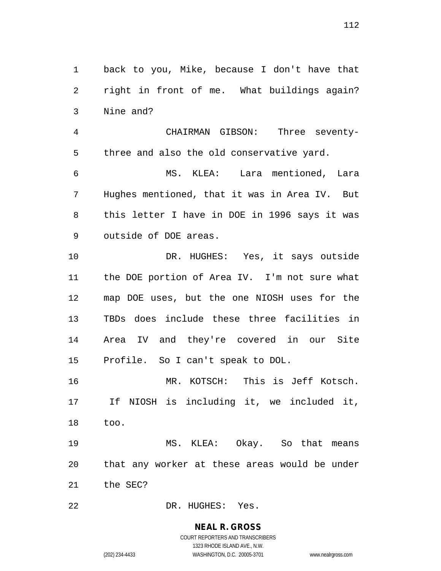1 back to you, Mike, because I don't have that 2 right in front of me. What buildings again? 3 Nine and?

4 CHAIRMAN GIBSON: Three seventy-5 three and also the old conservative yard.

6 MS. KLEA: Lara mentioned, Lara 7 Hughes mentioned, that it was in Area IV. But 8 this letter I have in DOE in 1996 says it was 9 outside of DOE areas.

10 DR. HUGHES: Yes, it says outside 11 the DOE portion of Area IV. I'm not sure what 12 map DOE uses, but the one NIOSH uses for the 13 TBDs does include these three facilities in 14 Area IV and they're covered in our Site 15 Profile. So I can't speak to DOL.

16 MR. KOTSCH: This is Jeff Kotsch. 17 If NIOSH is including it, we included it, 18 too.

19 MS. KLEA: Okay. So that means 20 that any worker at these areas would be under 21 the SEC?

22 DR. HUGHES: Yes.

# **NEAL R. GROSS**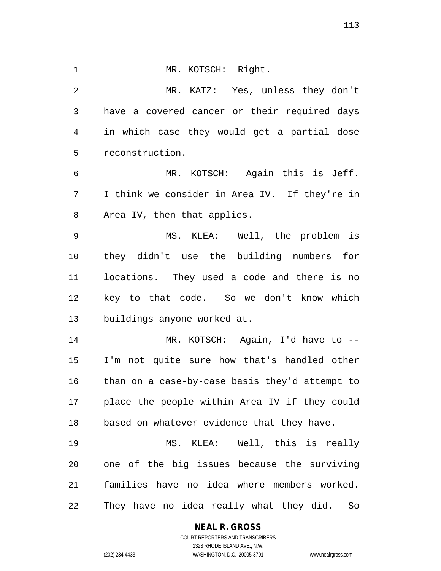1 MR. KOTSCH: Right. 2 MR. KATZ: Yes, unless they don't 3 have a covered cancer or their required days 4 in which case they would get a partial dose 5 reconstruction. 6 MR. KOTSCH: Again this is Jeff. 7 I think we consider in Area IV. If they're in 8 Area IV, then that applies. 9 MS. KLEA: Well, the problem is 10 they didn't use the building numbers for 11 locations. They used a code and there is no 12 key to that code. So we don't know which 13 buildings anyone worked at. 14 MR. KOTSCH: Again, I'd have to -- 15 I'm not quite sure how that's handled other 16 than on a case-by-case basis they'd attempt to 17 place the people within Area IV if they could

18 based on whatever evidence that they have.

19 MS. KLEA: Well, this is really 20 one of the big issues because the surviving 21 families have no idea where members worked. 22 They have no idea really what they did. So

> **NEAL R. GROSS** COURT REPORTERS AND TRANSCRIBERS 1323 RHODE ISLAND AVE., N.W.

(202) 234-4433 WASHINGTON, D.C. 20005-3701 www.nealrgross.com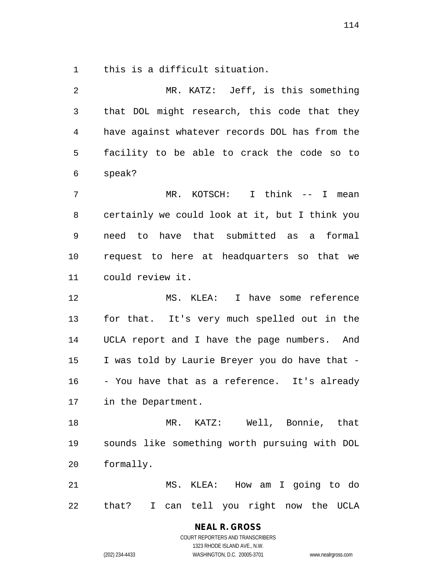1 this is a difficult situation.

| 2              | MR. KATZ: Jeff, is this something              |
|----------------|------------------------------------------------|
| 3              | that DOL might research, this code that they   |
| $\overline{4}$ | have against whatever records DOL has from the |
| 5              | facility to be able to crack the code so to    |
| 6              | speak?                                         |
| 7              | I think -- I<br>MR.<br>KOTSCH:<br>mean         |
| 8              | certainly we could look at it, but I think you |
| 9              | need to have that submitted as a<br>formal     |
| 10             | request to here at headquarters so that we     |
| 11             | could review it.                               |
| 12             | I have some reference<br>MS. KLEA:             |
| 13             | for that. It's very much spelled out in the    |
| 14             | UCLA report and I have the page numbers. And   |
| 15             | I was told by Laurie Breyer you do have that - |
| 16             | - You have that as a reference. It's already   |
| 17             | in the Department.                             |
| 18             | KATZ: Well, Bonnie, that<br>MR.                |
| 19             | sounds like something worth pursuing with DOL  |
| 20             | formally.                                      |
| 21             | MS.<br>KLEA: How am I going to do              |
| 22             | that?<br>I can tell you right now the UCLA     |

**NEAL R. GROSS**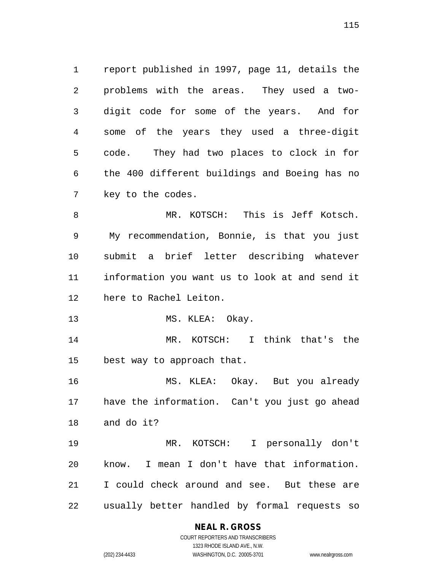1 report published in 1997, page 11, details the 2 problems with the areas. They used a two-3 digit code for some of the years. And for 4 some of the years they used a three-digit 5 code. They had two places to clock in for 6 the 400 different buildings and Boeing has no 7 key to the codes.

8 MR. KOTSCH: This is Jeff Kotsch. 9 My recommendation, Bonnie, is that you just 10 submit a brief letter describing whatever 11 information you want us to look at and send it 12 here to Rachel Leiton.

13 MS. KLEA: Okay.

14 MR. KOTSCH: I think that's the 15 best way to approach that.

16 MS. KLEA: Okay. But you already 17 have the information. Can't you just go ahead 18 and do it?

19 MR. KOTSCH: I personally don't 20 know. I mean I don't have that information. 21 I could check around and see. But these are 22 usually better handled by formal requests so

## **NEAL R. GROSS**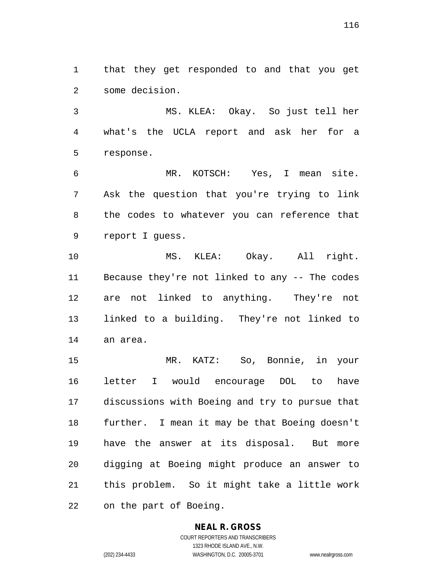1 that they get responded to and that you get 2 some decision.

3 MS. KLEA: Okay. So just tell her 4 what's the UCLA report and ask her for a 5 response.

6 MR. KOTSCH: Yes, I mean site. 7 Ask the question that you're trying to link 8 the codes to whatever you can reference that 9 report I guess.

10 MS. KLEA: Okay. All right. 11 Because they're not linked to any -- The codes 12 are not linked to anything. They're not 13 linked to a building. They're not linked to 14 an area.

15 MR. KATZ: So, Bonnie, in your 16 letter I would encourage DOL to have 17 discussions with Boeing and try to pursue that 18 further. I mean it may be that Boeing doesn't 19 have the answer at its disposal. But more 20 digging at Boeing might produce an answer to 21 this problem. So it might take a little work 22 on the part of Boeing.

### **NEAL R. GROSS**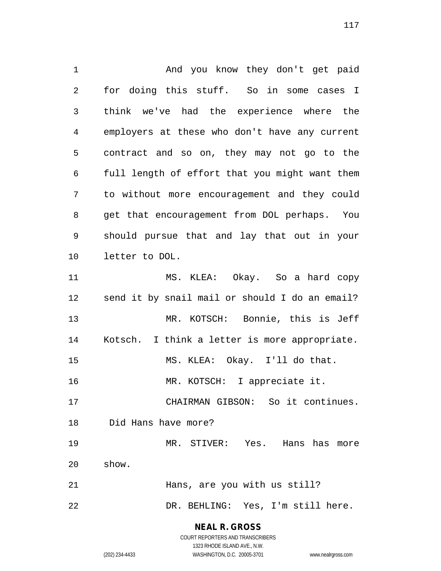1 And you know they don't get paid 2 for doing this stuff. So in some cases I 3 think we've had the experience where the 4 employers at these who don't have any current 5 contract and so on, they may not go to the 6 full length of effort that you might want them 7 to without more encouragement and they could 8 get that encouragement from DOL perhaps. You 9 should pursue that and lay that out in your 10 letter to DOL. 11 MS. KLEA: Okay. So a hard copy 12 send it by snail mail or should I do an email? 13 MR. KOTSCH: Bonnie, this is Jeff 14 Kotsch. I think a letter is more appropriate. 15 MS. KLEA: Okay. I'll do that. 16 MR. KOTSCH: I appreciate it. 17 CHAIRMAN GIBSON: So it continues. 18 Did Hans have more? 19 MR. STIVER: Yes. Hans has more 20 show. 21 Hans, are you with us still? 22 DR. BEHLING: Yes, I'm still here.

> **NEAL R. GROSS** COURT REPORTERS AND TRANSCRIBERS

1323 RHODE ISLAND AVE., N.W. (202) 234-4433 WASHINGTON, D.C. 20005-3701 www.nealrgross.com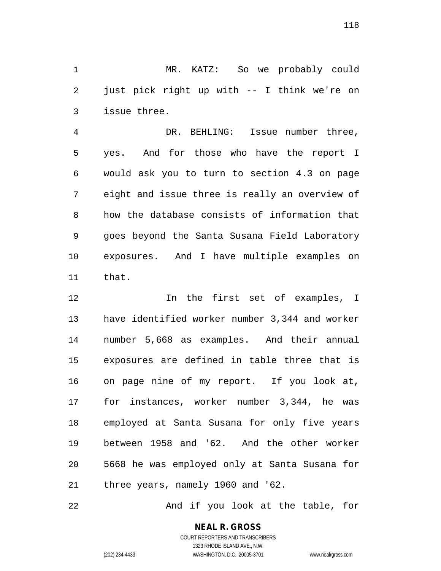1 MR. KATZ: So we probably could 2 just pick right up with -- I think we're on 3 issue three.

4 DR. BEHLING: Issue number three, 5 yes. And for those who have the report I 6 would ask you to turn to section 4.3 on page 7 eight and issue three is really an overview of 8 how the database consists of information that 9 goes beyond the Santa Susana Field Laboratory 10 exposures. And I have multiple examples on 11 that.

12 In the first set of examples, I 13 have identified worker number 3,344 and worker 14 number 5,668 as examples. And their annual 15 exposures are defined in table three that is 16 on page nine of my report. If you look at, 17 for instances, worker number 3,344, he was 18 employed at Santa Susana for only five years 19 between 1958 and '62. And the other worker 20 5668 he was employed only at Santa Susana for 21 three years, namely 1960 and '62.

22 And if you look at the table, for

**NEAL R. GROSS** COURT REPORTERS AND TRANSCRIBERS 1323 RHODE ISLAND AVE., N.W.

(202) 234-4433 WASHINGTON, D.C. 20005-3701 www.nealrgross.com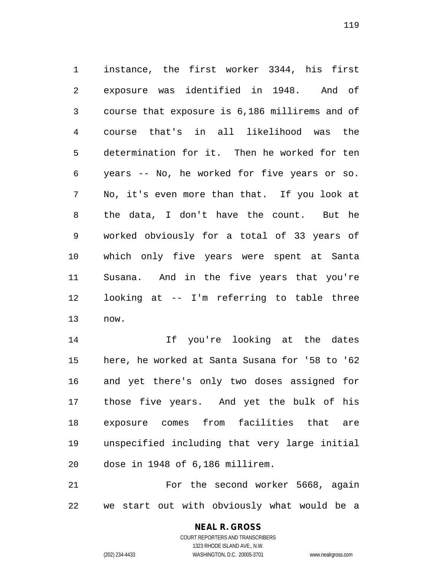1 instance, the first worker 3344, his first 2 exposure was identified in 1948. And of 3 course that exposure is 6,186 millirems and of 4 course that's in all likelihood was the 5 determination for it. Then he worked for ten 6 years -- No, he worked for five years or so. 7 No, it's even more than that. If you look at 8 the data, I don't have the count. But he 9 worked obviously for a total of 33 years of 10 which only five years were spent at Santa 11 Susana. And in the five years that you're 12 looking at -- I'm referring to table three 13 now.

14 If you're looking at the dates 15 here, he worked at Santa Susana for '58 to '62 16 and yet there's only two doses assigned for 17 those five years. And yet the bulk of his 18 exposure comes from facilities that are 19 unspecified including that very large initial 20 dose in 1948 of 6,186 millirem.

21 For the second worker 5668, again 22 we start out with obviously what would be a

## **NEAL R. GROSS**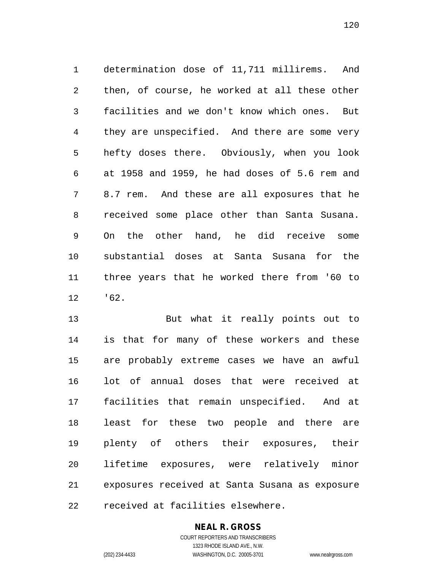1 determination dose of 11,711 millirems. And 2 then, of course, he worked at all these other 3 facilities and we don't know which ones. But 4 they are unspecified. And there are some very 5 hefty doses there. Obviously, when you look 6 at 1958 and 1959, he had doses of 5.6 rem and 7 8.7 rem. And these are all exposures that he 8 received some place other than Santa Susana. 9 On the other hand, he did receive some 10 substantial doses at Santa Susana for the 11 three years that he worked there from '60 to 12 '62.

13 But what it really points out to 14 is that for many of these workers and these 15 are probably extreme cases we have an awful 16 lot of annual doses that were received at 17 facilities that remain unspecified. And at 18 least for these two people and there are 19 plenty of others their exposures, their 20 lifetime exposures, were relatively minor 21 exposures received at Santa Susana as exposure 22 received at facilities elsewhere.

## **NEAL R. GROSS**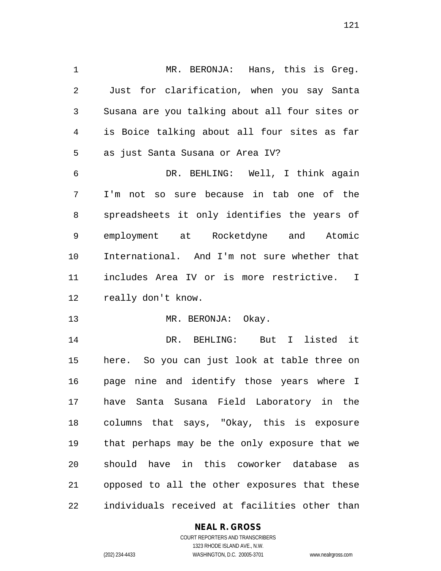1 MR. BERONJA: Hans, this is Greg. 2 Just for clarification, when you say Santa 3 Susana are you talking about all four sites or 4 is Boice talking about all four sites as far 5 as just Santa Susana or Area IV?

6 DR. BEHLING: Well, I think again 7 I'm not so sure because in tab one of the 8 spreadsheets it only identifies the years of 9 employment at Rocketdyne and Atomic 10 International. And I'm not sure whether that 11 includes Area IV or is more restrictive. I 12 really don't know.

13 MR. BERONJA: Okay.

14 DR. BEHLING: But I listed it 15 here. So you can just look at table three on 16 page nine and identify those years where I 17 have Santa Susana Field Laboratory in the 18 columns that says, "Okay, this is exposure 19 that perhaps may be the only exposure that we 20 should have in this coworker database as 21 opposed to all the other exposures that these 22 individuals received at facilities other than

### **NEAL R. GROSS**

121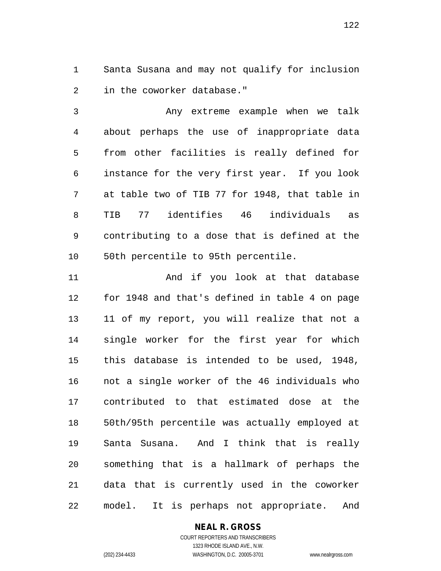1 Santa Susana and may not qualify for inclusion 2 in the coworker database."

3 Any extreme example when we talk 4 about perhaps the use of inappropriate data 5 from other facilities is really defined for 6 instance for the very first year. If you look 7 at table two of TIB 77 for 1948, that table in 8 TIB 77 identifies 46 individuals as 9 contributing to a dose that is defined at the 10 50th percentile to 95th percentile.

11 And if you look at that database 12 for 1948 and that's defined in table 4 on page 13 11 of my report, you will realize that not a 14 single worker for the first year for which 15 this database is intended to be used, 1948, 16 not a single worker of the 46 individuals who 17 contributed to that estimated dose at the 18 50th/95th percentile was actually employed at 19 Santa Susana. And I think that is really 20 something that is a hallmark of perhaps the 21 data that is currently used in the coworker 22 model. It is perhaps not appropriate. And

#### **NEAL R. GROSS** COURT REPORTERS AND TRANSCRIBERS

1323 RHODE ISLAND AVE., N.W. (202) 234-4433 WASHINGTON, D.C. 20005-3701 www.nealrgross.com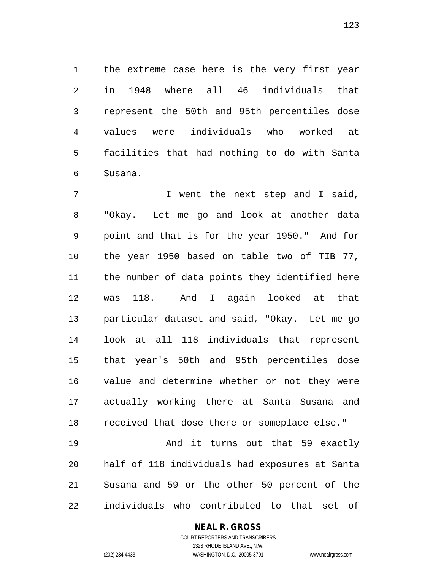1 the extreme case here is the very first year 2 in 1948 where all 46 individuals that 3 represent the 50th and 95th percentiles dose 4 values were individuals who worked at 5 facilities that had nothing to do with Santa 6 Susana.

7 I went the next step and I said, 8 "Okay. Let me go and look at another data 9 point and that is for the year 1950." And for 10 the year 1950 based on table two of TIB 77, 11 the number of data points they identified here 12 was 118. And I again looked at that 13 particular dataset and said, "Okay. Let me go 14 look at all 118 individuals that represent 15 that year's 50th and 95th percentiles dose 16 value and determine whether or not they were 17 actually working there at Santa Susana and 18 received that dose there or someplace else." 19 And it turns out that 59 exactly

20 half of 118 individuals had exposures at Santa 21 Susana and 59 or the other 50 percent of the 22 individuals who contributed to that set of

## **NEAL R. GROSS**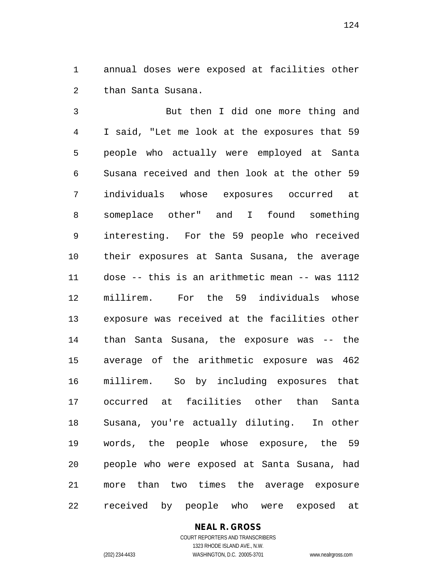1 annual doses were exposed at facilities other 2 than Santa Susana.

3 But then I did one more thing and 4 I said, "Let me look at the exposures that 59 5 people who actually were employed at Santa 6 Susana received and then look at the other 59 7 individuals whose exposures occurred at 8 someplace other" and I found something 9 interesting. For the 59 people who received 10 their exposures at Santa Susana, the average 11 dose -- this is an arithmetic mean -- was 1112 12 millirem. For the 59 individuals whose 13 exposure was received at the facilities other 14 than Santa Susana, the exposure was -- the 15 average of the arithmetic exposure was 462 16 millirem. So by including exposures that 17 occurred at facilities other than Santa 18 Susana, you're actually diluting. In other 19 words, the people whose exposure, the 59 20 people who were exposed at Santa Susana, had 21 more than two times the average exposure 22 received by people who were exposed at

## **NEAL R. GROSS**

COURT REPORTERS AND TRANSCRIBERS 1323 RHODE ISLAND AVE., N.W. (202) 234-4433 WASHINGTON, D.C. 20005-3701 www.nealrgross.com

124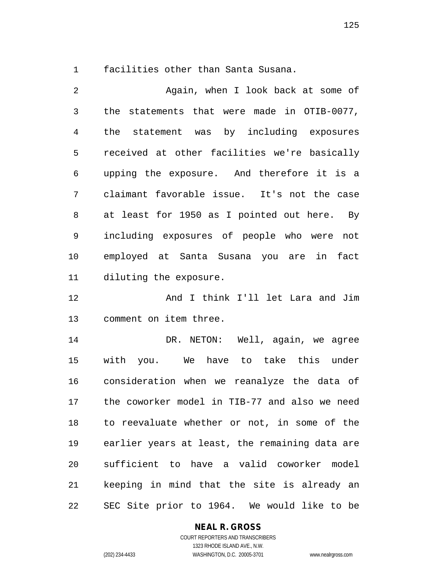1 facilities other than Santa Susana.

2 Again, when I look back at some of 3 the statements that were made in OTIB-0077, 4 the statement was by including exposures 5 received at other facilities we're basically 6 upping the exposure. And therefore it is a 7 claimant favorable issue. It's not the case 8 at least for 1950 as I pointed out here. By 9 including exposures of people who were not 10 employed at Santa Susana you are in fact 11 diluting the exposure.

12 And I think I'll let Lara and Jim 13 comment on item three.

14 DR. NETON: Well, again, we agree 15 with you. We have to take this under 16 consideration when we reanalyze the data of 17 the coworker model in TIB-77 and also we need 18 to reevaluate whether or not, in some of the 19 earlier years at least, the remaining data are 20 sufficient to have a valid coworker model 21 keeping in mind that the site is already an 22 SEC Site prior to 1964. We would like to be

## **NEAL R. GROSS**

COURT REPORTERS AND TRANSCRIBERS 1323 RHODE ISLAND AVE., N.W. (202) 234-4433 WASHINGTON, D.C. 20005-3701 www.nealrgross.com

125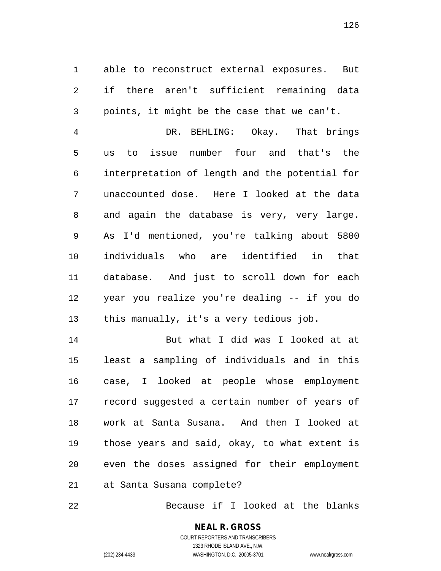1 able to reconstruct external exposures. But 2 if there aren't sufficient remaining data 3 points, it might be the case that we can't.

4 DR. BEHLING: Okay. That brings 5 us to issue number four and that's the 6 interpretation of length and the potential for 7 unaccounted dose. Here I looked at the data 8 and again the database is very, very large. 9 As I'd mentioned, you're talking about 5800 10 individuals who are identified in that 11 database. And just to scroll down for each 12 year you realize you're dealing -- if you do 13 this manually, it's a very tedious job.

14 But what I did was I looked at at 15 least a sampling of individuals and in this 16 case, I looked at people whose employment 17 record suggested a certain number of years of 18 work at Santa Susana. And then I looked at 19 those years and said, okay, to what extent is 20 even the doses assigned for their employment 21 at Santa Susana complete?

22 Because if I looked at the blanks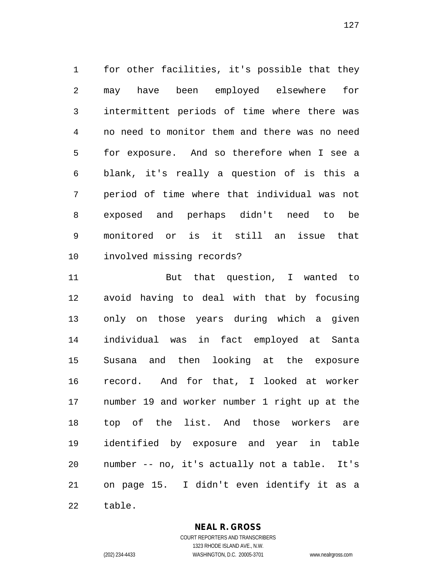1 for other facilities, it's possible that they 2 may have been employed elsewhere for 3 intermittent periods of time where there was 4 no need to monitor them and there was no need 5 for exposure. And so therefore when I see a 6 blank, it's really a question of is this a 7 period of time where that individual was not 8 exposed and perhaps didn't need to be 9 monitored or is it still an issue that 10 involved missing records?

11 But that question, I wanted to 12 avoid having to deal with that by focusing 13 only on those years during which a given 14 individual was in fact employed at Santa 15 Susana and then looking at the exposure 16 record. And for that, I looked at worker 17 number 19 and worker number 1 right up at the 18 top of the list. And those workers are 19 identified by exposure and year in table 20 number -- no, it's actually not a table. It's 21 on page 15. I didn't even identify it as a 22 table.

### **NEAL R. GROSS** COURT REPORTERS AND TRANSCRIBERS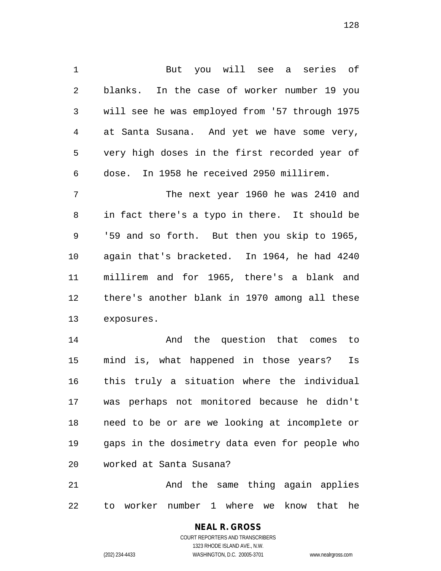1 But you will see a series of 2 blanks. In the case of worker number 19 you 3 will see he was employed from '57 through 1975 4 at Santa Susana. And yet we have some very, 5 very high doses in the first recorded year of 6 dose. In 1958 he received 2950 millirem.

7 The next year 1960 he was 2410 and 8 in fact there's a typo in there. It should be 9 '59 and so forth. But then you skip to 1965, 10 again that's bracketed. In 1964, he had 4240 11 millirem and for 1965, there's a blank and 12 there's another blank in 1970 among all these 13 exposures.

14 And the question that comes to 15 mind is, what happened in those years? Is 16 this truly a situation where the individual 17 was perhaps not monitored because he didn't 18 need to be or are we looking at incomplete or 19 gaps in the dosimetry data even for people who 20 worked at Santa Susana?

21 And the same thing again applies 22 to worker number 1 where we know that he

> **NEAL R. GROSS** COURT REPORTERS AND TRANSCRIBERS 1323 RHODE ISLAND AVE., N.W.

(202) 234-4433 WASHINGTON, D.C. 20005-3701 www.nealrgross.com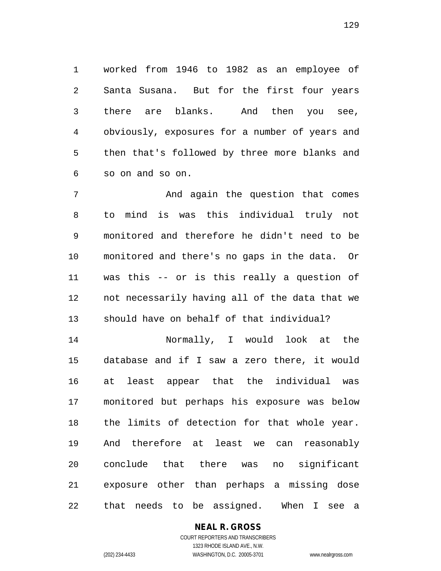1 worked from 1946 to 1982 as an employee of 2 Santa Susana. But for the first four years 3 there are blanks. And then you see, 4 obviously, exposures for a number of years and 5 then that's followed by three more blanks and 6 so on and so on.

7 And again the question that comes 8 to mind is was this individual truly not 9 monitored and therefore he didn't need to be 10 monitored and there's no gaps in the data. Or 11 was this -- or is this really a question of 12 not necessarily having all of the data that we 13 should have on behalf of that individual?

14 Normally, I would look at the 15 database and if I saw a zero there, it would 16 at least appear that the individual was 17 monitored but perhaps his exposure was below 18 the limits of detection for that whole year. 19 And therefore at least we can reasonably 20 conclude that there was no significant 21 exposure other than perhaps a missing dose 22 that needs to be assigned. When I see a

# **NEAL R. GROSS**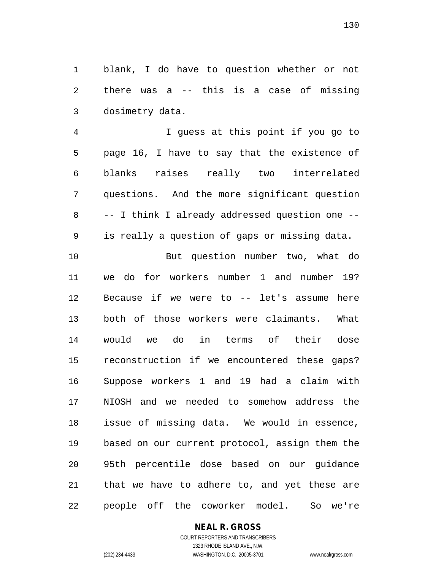1 blank, I do have to question whether or not 2 there was a -- this is a case of missing 3 dosimetry data.

4 I guess at this point if you go to 5 page 16, I have to say that the existence of 6 blanks raises really two interrelated 7 questions. And the more significant question 8 -- I think I already addressed question one -- 9 is really a question of gaps or missing data.

10 But question number two, what do 11 we do for workers number 1 and number 19? 12 Because if we were to -- let's assume here 13 both of those workers were claimants. What 14 would we do in terms of their dose 15 reconstruction if we encountered these gaps? 16 Suppose workers 1 and 19 had a claim with 17 NIOSH and we needed to somehow address the 18 issue of missing data. We would in essence, 19 based on our current protocol, assign them the 20 95th percentile dose based on our guidance 21 that we have to adhere to, and yet these are 22 people off the coworker model. So we're

## **NEAL R. GROSS**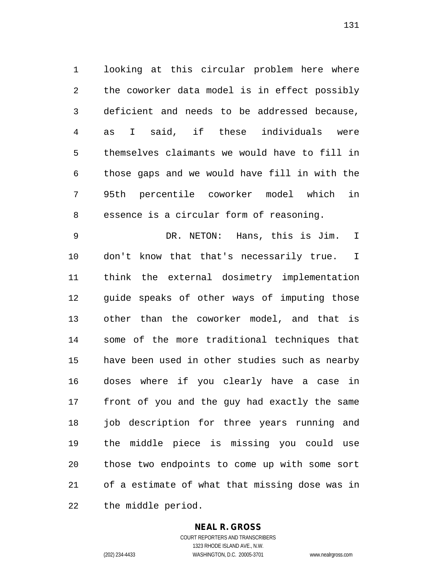1 looking at this circular problem here where 2 the coworker data model is in effect possibly 3 deficient and needs to be addressed because, 4 as I said, if these individuals were 5 themselves claimants we would have to fill in 6 those gaps and we would have fill in with the 7 95th percentile coworker model which in 8 essence is a circular form of reasoning.

9 DR. NETON: Hans, this is Jim. I 10 don't know that that's necessarily true. I 11 think the external dosimetry implementation 12 guide speaks of other ways of imputing those 13 other than the coworker model, and that is 14 some of the more traditional techniques that 15 have been used in other studies such as nearby 16 doses where if you clearly have a case in 17 front of you and the guy had exactly the same 18 job description for three years running and 19 the middle piece is missing you could use 20 those two endpoints to come up with some sort 21 of a estimate of what that missing dose was in 22 the middle period.

### **NEAL R. GROSS** COURT REPORTERS AND TRANSCRIBERS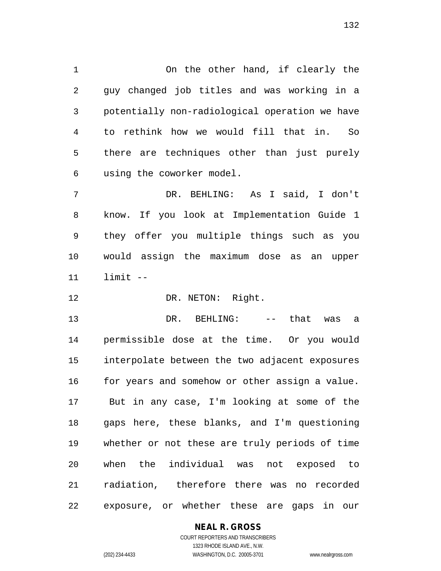1 On the other hand, if clearly the 2 guy changed job titles and was working in a 3 potentially non-radiological operation we have 4 to rethink how we would fill that in. So 5 there are techniques other than just purely 6 using the coworker model.

7 DR. BEHLING: As I said, I don't 8 know. If you look at Implementation Guide 1 9 they offer you multiple things such as you 10 would assign the maximum dose as an upper 11 limit --

12 DR. NETON: Right.

13 DR. BEHLING: -- that was a 14 permissible dose at the time. Or you would 15 interpolate between the two adjacent exposures 16 for years and somehow or other assign a value. 17 But in any case, I'm looking at some of the 18 gaps here, these blanks, and I'm questioning 19 whether or not these are truly periods of time 20 when the individual was not exposed to 21 radiation, therefore there was no recorded 22 exposure, or whether these are gaps in our

## **NEAL R. GROSS**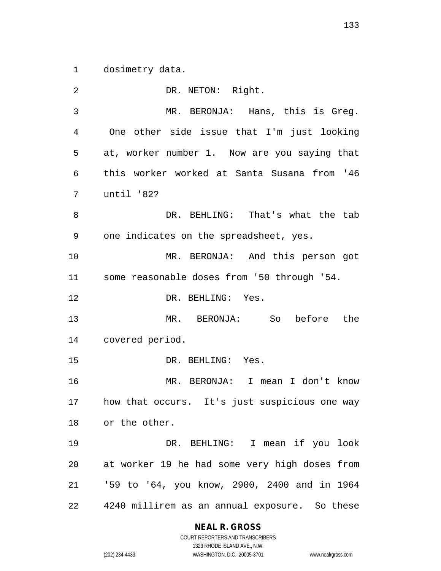1 dosimetry data.

2 DR. NETON: Right. 3 MR. BERONJA: Hans, this is Greg. 4 One other side issue that I'm just looking 5 at, worker number 1. Now are you saying that 6 this worker worked at Santa Susana from '46 7 until '82? 8 DR. BEHLING: That's what the tab 9 one indicates on the spreadsheet, yes. 10 MR. BERONJA: And this person got 11 some reasonable doses from '50 through '54. 12 DR. BEHLING: Yes. 13 MR. BERONJA: So before the 14 covered period. 15 DR. BEHLING: Yes. 16 MR. BERONJA: I mean I don't know 17 how that occurs. It's just suspicious one way 18 or the other. 19 DR. BEHLING: I mean if you look 20 at worker 19 he had some very high doses from 21 '59 to '64, you know, 2900, 2400 and in 1964 22 4240 millirem as an annual exposure. So these

## **NEAL R. GROSS**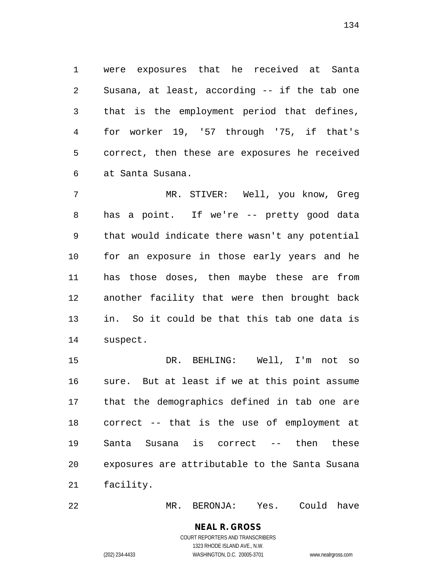1 were exposures that he received at Santa 2 Susana, at least, according -- if the tab one 3 that is the employment period that defines, 4 for worker 19, '57 through '75, if that's 5 correct, then these are exposures he received 6 at Santa Susana.

7 MR. STIVER: Well, you know, Greg 8 has a point. If we're -- pretty good data 9 that would indicate there wasn't any potential 10 for an exposure in those early years and he 11 has those doses, then maybe these are from 12 another facility that were then brought back 13 in. So it could be that this tab one data is 14 suspect.

15 DR. BEHLING: Well, I'm not so 16 sure. But at least if we at this point assume 17 that the demographics defined in tab one are 18 correct -- that is the use of employment at 19 Santa Susana is correct -- then these 20 exposures are attributable to the Santa Susana 21 facility.

22 MR. BERONJA: Yes. Could have

**NEAL R. GROSS** COURT REPORTERS AND TRANSCRIBERS

1323 RHODE ISLAND AVE., N.W.

(202) 234-4433 WASHINGTON, D.C. 20005-3701 www.nealrgross.com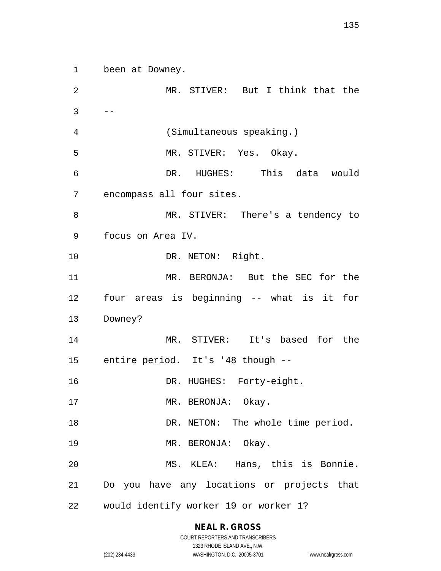1 been at Downey.

2 MR. STIVER: But I think that the  $3 \qquad --$ 4 (Simultaneous speaking.) 5 MR. STIVER: Yes. Okay. 6 DR. HUGHES: This data would 7 encompass all four sites. 8 MR. STIVER: There's a tendency to 9 focus on Area IV. 10 DR. NETON: Right. 11 MR. BERONJA: But the SEC for the 12 four areas is beginning -- what is it for 13 Downey? 14 MR. STIVER: It's based for the 15 entire period. It's '48 though -- 16 DR. HUGHES: Forty-eight. 17 MR. BERONJA: Okay. 18 DR. NETON: The whole time period. 19 MR. BERONJA: Okay. 20 MS. KLEA: Hans, this is Bonnie. 21 Do you have any locations or projects that 22 would identify worker 19 or worker 1?

## **NEAL R. GROSS**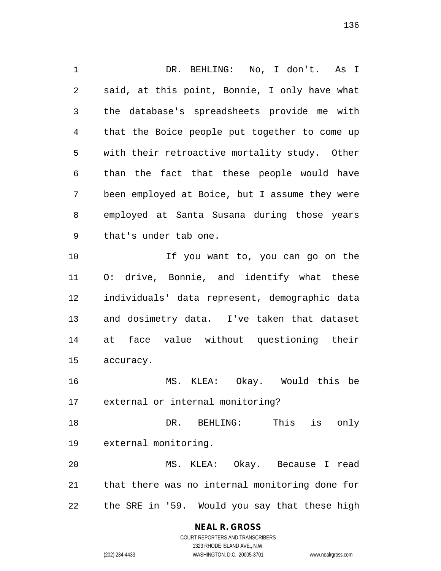1 DR. BEHLING: No, I don't. As I 2 said, at this point, Bonnie, I only have what 3 the database's spreadsheets provide me with 4 that the Boice people put together to come up 5 with their retroactive mortality study. Other 6 than the fact that these people would have 7 been employed at Boice, but I assume they were 8 employed at Santa Susana during those years 9 that's under tab one. 10 If you want to, you can go on the 11 O: drive, Bonnie, and identify what these 12 individuals' data represent, demographic data 13 and dosimetry data. I've taken that dataset 14 at face value without questioning their 15 accuracy. 16 MS. KLEA: Okay. Would this be 17 external or internal monitoring? 18 DR. BEHLING: This is only 19 external monitoring. 20 MS. KLEA: Okay. Because I read 21 that there was no internal monitoring done for

22 the SRE in '59. Would you say that these high

**NEAL R. GROSS**

COURT REPORTERS AND TRANSCRIBERS 1323 RHODE ISLAND AVE., N.W. (202) 234-4433 WASHINGTON, D.C. 20005-3701 www.nealrgross.com

136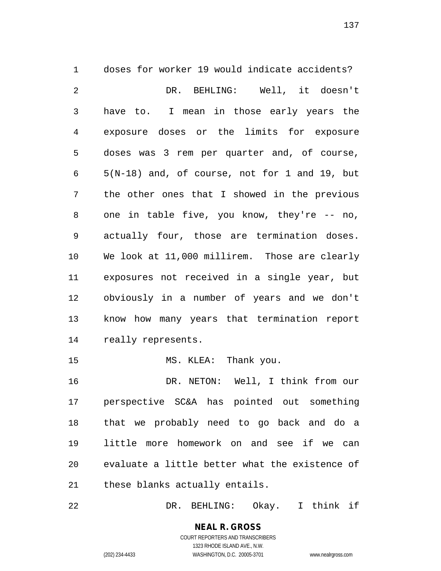1 doses for worker 19 would indicate accidents? 2 DR. BEHLING: Well, it doesn't 3 have to. I mean in those early years the 4 exposure doses or the limits for exposure 5 doses was 3 rem per quarter and, of course, 6 5(N-18) and, of course, not for 1 and 19, but 7 the other ones that I showed in the previous 8 one in table five, you know, they're -- no, 9 actually four, those are termination doses. 10 We look at 11,000 millirem. Those are clearly 11 exposures not received in a single year, but 12 obviously in a number of years and we don't 13 know how many years that termination report 14 really represents. 15 MS. KLEA: Thank you.

16 DR. NETON: Well, I think from our 17 perspective SC&A has pointed out something 18 that we probably need to go back and do a 19 little more homework on and see if we can 20 evaluate a little better what the existence of 21 these blanks actually entails.

22 DR. BEHLING: Okay. I think if

**NEAL R. GROSS** COURT REPORTERS AND TRANSCRIBERS

1323 RHODE ISLAND AVE., N.W.

(202) 234-4433 WASHINGTON, D.C. 20005-3701 www.nealrgross.com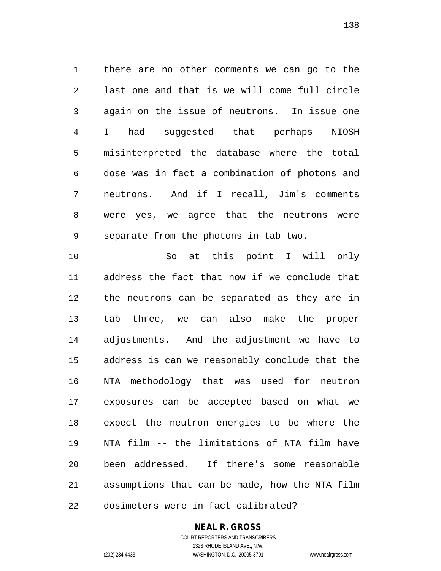1 there are no other comments we can go to the 2 last one and that is we will come full circle 3 again on the issue of neutrons. In issue one 4 I had suggested that perhaps NIOSH 5 misinterpreted the database where the total 6 dose was in fact a combination of photons and 7 neutrons. And if I recall, Jim's comments 8 were yes, we agree that the neutrons were 9 separate from the photons in tab two.

10 So at this point I will only 11 address the fact that now if we conclude that 12 the neutrons can be separated as they are in 13 tab three, we can also make the proper 14 adjustments. And the adjustment we have to 15 address is can we reasonably conclude that the 16 NTA methodology that was used for neutron 17 exposures can be accepted based on what we 18 expect the neutron energies to be where the 19 NTA film -- the limitations of NTA film have 20 been addressed. If there's some reasonable 21 assumptions that can be made, how the NTA film 22 dosimeters were in fact calibrated?

## **NEAL R. GROSS**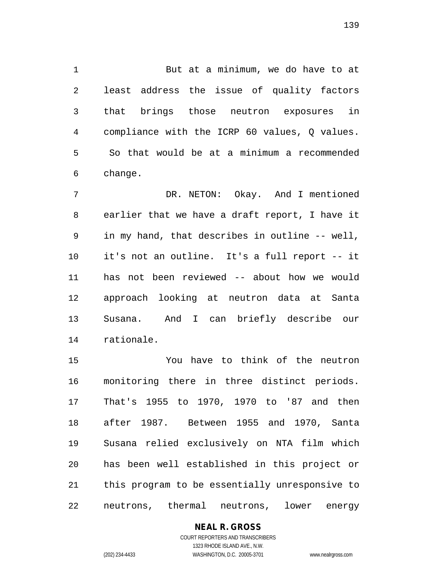1 But at a minimum, we do have to at 2 least address the issue of quality factors 3 that brings those neutron exposures in 4 compliance with the ICRP 60 values, Q values. 5 So that would be at a minimum a recommended 6 change.

7 DR. NETON: Okay. And I mentioned 8 earlier that we have a draft report, I have it 9 in my hand, that describes in outline -- well, 10 it's not an outline. It's a full report -- it 11 has not been reviewed -- about how we would 12 approach looking at neutron data at Santa 13 Susana. And I can briefly describe our 14 rationale.

15 You have to think of the neutron 16 monitoring there in three distinct periods. 17 That's 1955 to 1970, 1970 to '87 and then 18 after 1987. Between 1955 and 1970, Santa 19 Susana relied exclusively on NTA film which 20 has been well established in this project or 21 this program to be essentially unresponsive to 22 neutrons, thermal neutrons, lower energy

**NEAL R. GROSS**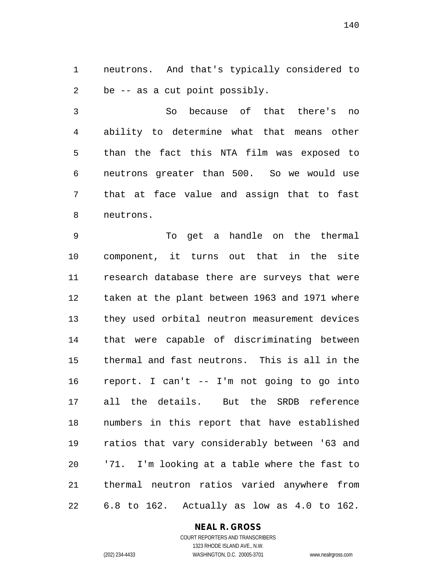1 neutrons. And that's typically considered to 2 be -- as a cut point possibly.

3 So because of that there's no 4 ability to determine what that means other 5 than the fact this NTA film was exposed to 6 neutrons greater than 500. So we would use 7 that at face value and assign that to fast 8 neutrons.

9 To get a handle on the thermal 10 component, it turns out that in the site 11 research database there are surveys that were 12 taken at the plant between 1963 and 1971 where 13 they used orbital neutron measurement devices 14 that were capable of discriminating between 15 thermal and fast neutrons. This is all in the 16 report. I can't -- I'm not going to go into 17 all the details. But the SRDB reference 18 numbers in this report that have established 19 ratios that vary considerably between '63 and 20 '71. I'm looking at a table where the fast to 21 thermal neutron ratios varied anywhere from 22 6.8 to 162. Actually as low as 4.0 to 162.

### **NEAL R. GROSS**

COURT REPORTERS AND TRANSCRIBERS 1323 RHODE ISLAND AVE., N.W. (202) 234-4433 WASHINGTON, D.C. 20005-3701 www.nealrgross.com

140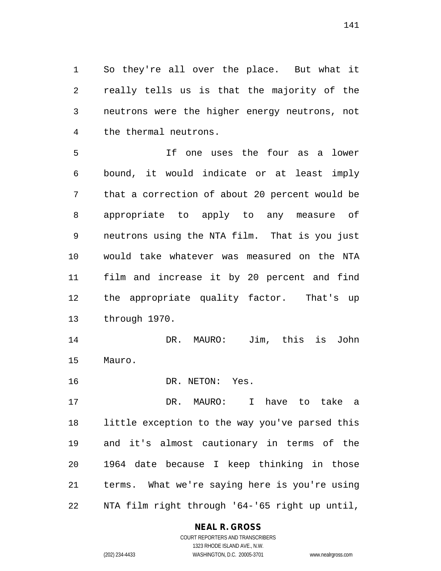1 So they're all over the place. But what it 2 really tells us is that the majority of the 3 neutrons were the higher energy neutrons, not 4 the thermal neutrons.

5 If one uses the four as a lower 6 bound, it would indicate or at least imply 7 that a correction of about 20 percent would be 8 appropriate to apply to any measure of 9 neutrons using the NTA film. That is you just 10 would take whatever was measured on the NTA 11 film and increase it by 20 percent and find 12 the appropriate quality factor. That's up 13 through 1970.

14 DR. MAURO: Jim, this is John 15 Mauro.

16 DR. NETON: Yes.

17 DR. MAURO: I have to take a 18 little exception to the way you've parsed this 19 and it's almost cautionary in terms of the 20 1964 date because I keep thinking in those 21 terms. What we're saying here is you're using 22 NTA film right through '64-'65 right up until,

## **NEAL R. GROSS**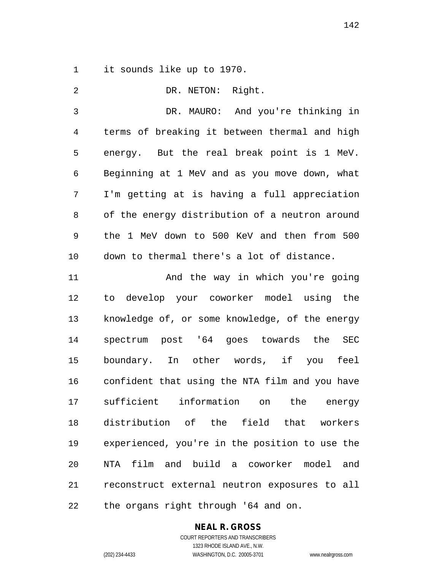1 it sounds like up to 1970.

| 2              | DR. NETON: Right.                                |
|----------------|--------------------------------------------------|
| 3              | DR. MAURO: And you're thinking in                |
| $\overline{4}$ | terms of breaking it between thermal and high    |
| 5              | energy. But the real break point is 1 MeV.       |
| 6              | Beginning at 1 MeV and as you move down, what    |
| 7              | I'm getting at is having a full appreciation     |
| 8              | of the energy distribution of a neutron around   |
| 9              | the 1 MeV down to 500 KeV and then from 500      |
| 10             | down to thermal there's a lot of distance.       |
| 11             | And the way in which you're going                |
| 12             | to develop your coworker model using the         |
| 13             | knowledge of, or some knowledge, of the energy   |
| 14             | spectrum post '64 goes towards the<br><b>SEC</b> |
| 15             | boundary. In other words, if you feel            |
| 16             | confident that using the NTA film and you have   |
| 17             | sufficient information<br>the<br>on<br>energy    |
| 18             | distribution of the field that workers           |
| 19             | experienced, you're in the position to use the   |
| 20             | NTA film and build a coworker model and          |
| 21             | reconstruct external neutron exposures to all    |
| 22             | the organs right through '64 and on.             |

**NEAL R. GROSS**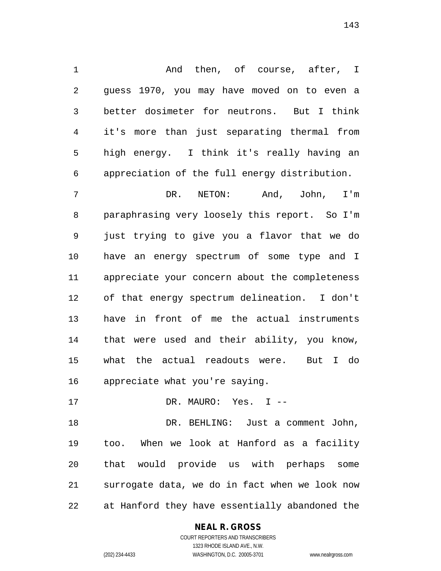1 And then, of course, after, I 2 guess 1970, you may have moved on to even a 3 better dosimeter for neutrons. But I think 4 it's more than just separating thermal from 5 high energy. I think it's really having an 6 appreciation of the full energy distribution.

7 DR. NETON: And, John, I'm 8 paraphrasing very loosely this report. So I'm 9 just trying to give you a flavor that we do 10 have an energy spectrum of some type and I 11 appreciate your concern about the completeness 12 of that energy spectrum delineation. I don't 13 have in front of me the actual instruments 14 that were used and their ability, you know, 15 what the actual readouts were. But I do 16 appreciate what you're saying.

17 DR. MAURO: Yes. I --

18 DR. BEHLING: Just a comment John, 19 too. When we look at Hanford as a facility 20 that would provide us with perhaps some 21 surrogate data, we do in fact when we look now 22 at Hanford they have essentially abandoned the

## **NEAL R. GROSS**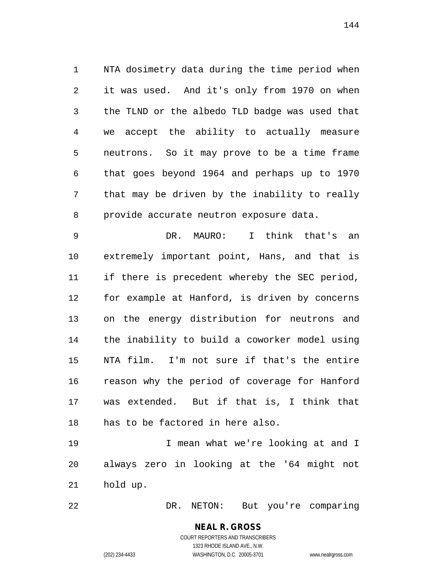1 NTA dosimetry data during the time period when 2 it was used. And it's only from 1970 on when 3 the TLND or the albedo TLD badge was used that 4 we accept the ability to actually measure 5 neutrons. So it may prove to be a time frame 6 that goes beyond 1964 and perhaps up to 1970 7 that may be driven by the inability to really 8 provide accurate neutron exposure data.

9 DR. MAURO: I think that's an 10 extremely important point, Hans, and that is 11 if there is precedent whereby the SEC period, 12 for example at Hanford, is driven by concerns 13 on the energy distribution for neutrons and 14 the inability to build a coworker model using 15 NTA film. I'm not sure if that's the entire 16 reason why the period of coverage for Hanford 17 was extended. But if that is, I think that 18 has to be factored in here also.

19 I mean what we're looking at and I 20 always zero in looking at the '64 might not 21 hold up.

22 DR. NETON: But you're comparing

## **NEAL R. GROSS** COURT REPORTERS AND TRANSCRIBERS

1323 RHODE ISLAND AVE., N.W. (202) 234-4433 WASHINGTON, D.C. 20005-3701 www.nealrgross.com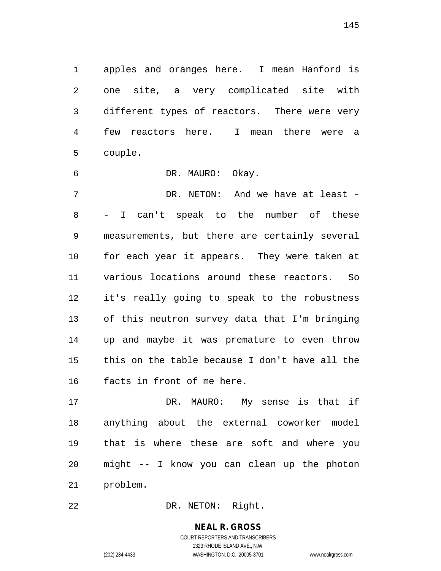1 apples and oranges here. I mean Hanford is 2 one site, a very complicated site with 3 different types of reactors. There were very 4 few reactors here. I mean there were a 5 couple.

6 DR. MAURO: Okay.

7 DR. NETON: And we have at least -8 - I can't speak to the number of these 9 measurements, but there are certainly several 10 for each year it appears. They were taken at 11 various locations around these reactors. So 12 it's really going to speak to the robustness 13 of this neutron survey data that I'm bringing 14 up and maybe it was premature to even throw 15 this on the table because I don't have all the 16 facts in front of me here.

17 DR. MAURO: My sense is that if 18 anything about the external coworker model 19 that is where these are soft and where you 20 might -- I know you can clean up the photon 21 problem.

22 DR. NETON: Right.

**NEAL R. GROSS** COURT REPORTERS AND TRANSCRIBERS

1323 RHODE ISLAND AVE., N.W.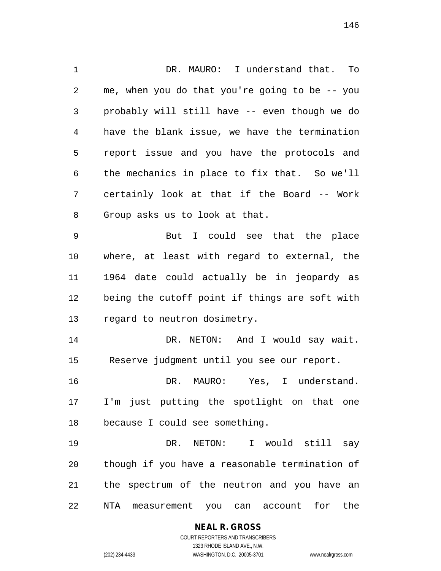1 DR. MAURO: I understand that. To 2 me, when you do that you're going to be -- you 3 probably will still have -- even though we do 4 have the blank issue, we have the termination 5 report issue and you have the protocols and 6 the mechanics in place to fix that. So we'll 7 certainly look at that if the Board -- Work 8 Group asks us to look at that. 9 But I could see that the place 10 where, at least with regard to external, the 11 1964 date could actually be in jeopardy as 12 being the cutoff point if things are soft with 13 regard to neutron dosimetry. 14 DR. NETON: And I would say wait. 15 Reserve judgment until you see our report. 16 DR. MAURO: Yes, I understand. 17 I'm just putting the spotlight on that one 18 because I could see something. 19 DR. NETON: I would still say 20 though if you have a reasonable termination of 21 the spectrum of the neutron and you have an 22 NTA measurement you can account for the

**NEAL R. GROSS**

COURT REPORTERS AND TRANSCRIBERS 1323 RHODE ISLAND AVE., N.W. (202) 234-4433 WASHINGTON, D.C. 20005-3701 www.nealrgross.com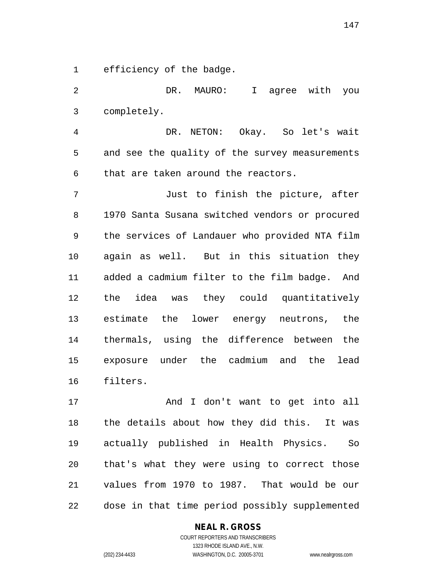1 efficiency of the badge.

2 DR. MAURO: I agree with you 3 completely. 4 DR. NETON: Okay. So let's wait 5 and see the quality of the survey measurements 6 that are taken around the reactors. 7 Just to finish the picture, after 8 1970 Santa Susana switched vendors or procured 9 the services of Landauer who provided NTA film 10 again as well. But in this situation they 11 added a cadmium filter to the film badge. And 12 the idea was they could quantitatively 13 estimate the lower energy neutrons, the 14 thermals, using the difference between the 15 exposure under the cadmium and the lead 16 filters.

17 And I don't want to get into all 18 the details about how they did this. It was 19 actually published in Health Physics. So 20 that's what they were using to correct those 21 values from 1970 to 1987. That would be our 22 dose in that time period possibly supplemented

### **NEAL R. GROSS**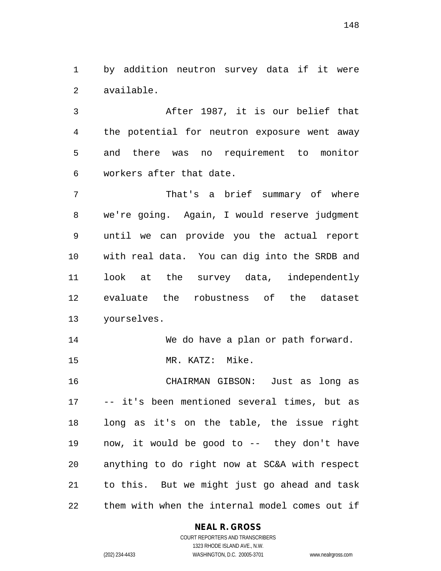1 by addition neutron survey data if it were 2 available.

3 After 1987, it is our belief that 4 the potential for neutron exposure went away 5 and there was no requirement to monitor 6 workers after that date.

7 That's a brief summary of where 8 we're going. Again, I would reserve judgment 9 until we can provide you the actual report 10 with real data. You can dig into the SRDB and 11 look at the survey data, independently 12 evaluate the robustness of the dataset 13 yourselves.

14 We do have a plan or path forward. 15 MR. KATZ: Mike.

16 CHAIRMAN GIBSON: Just as long as 17 -- it's been mentioned several times, but as 18 long as it's on the table, the issue right 19 now, it would be good to -- they don't have 20 anything to do right now at SC&A with respect 21 to this. But we might just go ahead and task 22 them with when the internal model comes out if

### **NEAL R. GROSS**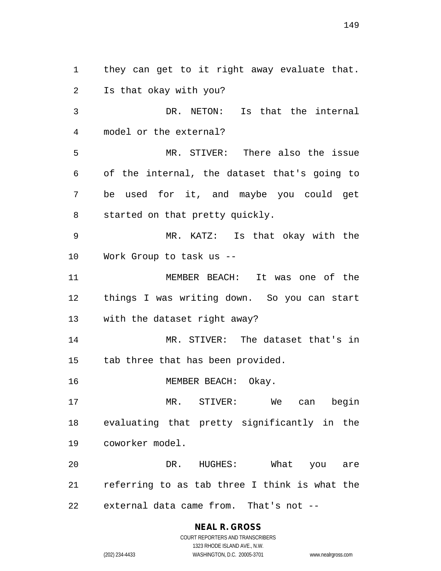1 they can get to it right away evaluate that. 2 Is that okay with you?

3 DR. NETON: Is that the internal 4 model or the external?

5 MR. STIVER: There also the issue 6 of the internal, the dataset that's going to 7 be used for it, and maybe you could get 8 started on that pretty quickly.

9 MR. KATZ: Is that okay with the 10 Work Group to task us --

11 MEMBER BEACH: It was one of the 12 things I was writing down. So you can start 13 with the dataset right away?

14 MR. STIVER: The dataset that's in 15 tab three that has been provided.

16 MEMBER BEACH: Okay.

17 MR. STIVER: We can begin 18 evaluating that pretty significantly in the 19 coworker model.

20 DR. HUGHES: What you are 21 referring to as tab three I think is what the 22 external data came from. That's not --

> **NEAL R. GROSS** COURT REPORTERS AND TRANSCRIBERS 1323 RHODE ISLAND AVE., N.W.

(202) 234-4433 WASHINGTON, D.C. 20005-3701 www.nealrgross.com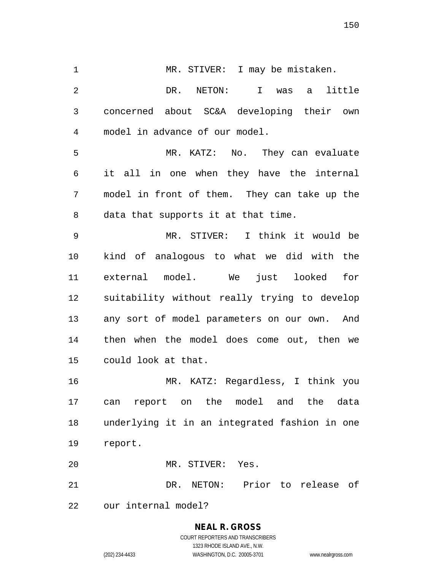1 MR. STIVER: I may be mistaken. 2 DR. NETON: I was a little 3 concerned about SC&A developing their own 4 model in advance of our model.

5 MR. KATZ: No. They can evaluate 6 it all in one when they have the internal 7 model in front of them. They can take up the 8 data that supports it at that time.

9 MR. STIVER: I think it would be 10 kind of analogous to what we did with the 11 external model. We just looked for 12 suitability without really trying to develop 13 any sort of model parameters on our own. And 14 then when the model does come out, then we 15 could look at that.

16 MR. KATZ: Regardless, I think you 17 can report on the model and the data 18 underlying it in an integrated fashion in one 19 report.

20 MR. STIVER: Yes.

21 DR. NETON: Prior to release of

22 our internal model?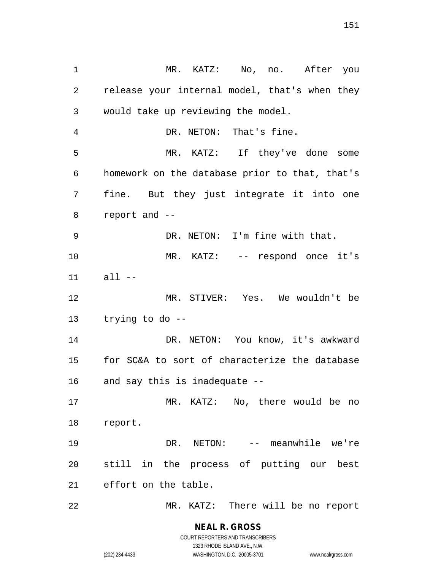1 MR. KATZ: No, no. After you 2 release your internal model, that's when they 3 would take up reviewing the model. 4 DR. NETON: That's fine. 5 MR. KATZ: If they've done some 6 homework on the database prior to that, that's 7 fine. But they just integrate it into one 8 report and -- 9 DR. NETON: I'm fine with that. 10 MR. KATZ: -- respond once it's 11 all -- 12 MR. STIVER: Yes. We wouldn't be 13 trying to do -- 14 DR. NETON: You know, it's awkward 15 for SC&A to sort of characterize the database 16 and say this is inadequate -- 17 MR. KATZ: No, there would be no 18 report. 19 DR. NETON: -- meanwhile we're 20 still in the process of putting our best 21 effort on the table. 22 MR. KATZ: There will be no report

> **NEAL R. GROSS** COURT REPORTERS AND TRANSCRIBERS

> > 1323 RHODE ISLAND AVE., N.W.

(202) 234-4433 WASHINGTON, D.C. 20005-3701 www.nealrgross.com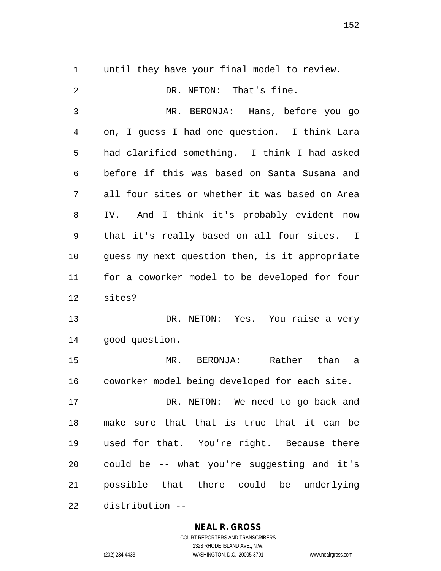1 until they have your final model to review. 2 DR. NETON: That's fine. 3 MR. BERONJA: Hans, before you go 4 on, I guess I had one question. I think Lara 5 had clarified something. I think I had asked 6 before if this was based on Santa Susana and 7 all four sites or whether it was based on Area 8 IV. And I think it's probably evident now 9 that it's really based on all four sites. I 10 guess my next question then, is it appropriate 11 for a coworker model to be developed for four 12 sites? 13 DR. NETON: Yes. You raise a very 14 good question. 15 MR. BERONJA: Rather than a 16 coworker model being developed for each site. 17 DR. NETON: We need to go back and

18 make sure that that is true that it can be 19 used for that. You're right. Because there 20 could be -- what you're suggesting and it's 21 possible that there could be underlying 22 distribution --

### **NEAL R. GROSS**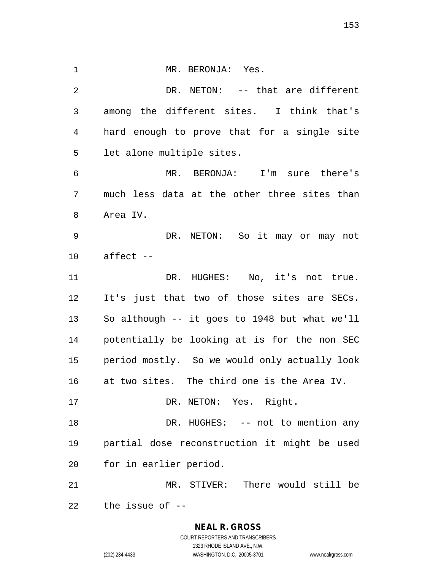1 MR. BERONJA: Yes. 2 DR. NETON: -- that are different 3 among the different sites. I think that's 4 hard enough to prove that for a single site 5 let alone multiple sites. 6 MR. BERONJA: I'm sure there's 7 much less data at the other three sites than 8 Area IV. 9 DR. NETON: So it may or may not 10 affect -- 11 DR. HUGHES: No, it's not true. 12 It's just that two of those sites are SECs. 13 So although -- it goes to 1948 but what we'll 14 potentially be looking at is for the non SEC 15 period mostly. So we would only actually look 16 at two sites. The third one is the Area IV. 17 DR. NETON: Yes. Right. 18 DR. HUGHES: -- not to mention any 19 partial dose reconstruction it might be used 20 for in earlier period. 21 MR. STIVER: There would still be 22 the issue of --

> **NEAL R. GROSS** COURT REPORTERS AND TRANSCRIBERS 1323 RHODE ISLAND AVE., N.W. (202) 234-4433 WASHINGTON, D.C. 20005-3701 www.nealrgross.com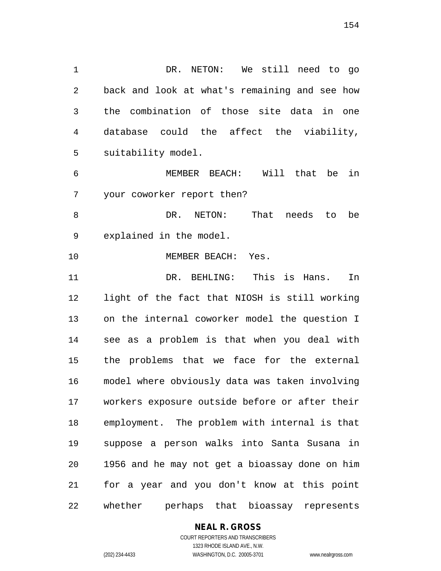1 DR. NETON: We still need to go 2 back and look at what's remaining and see how 3 the combination of those site data in one 4 database could the affect the viability, 5 suitability model.

6 MEMBER BEACH: Will that be in 7 your coworker report then?

8 DR. NETON: That needs to be 9 explained in the model.

10 MEMBER BEACH: Yes.

11 DR. BEHLING: This is Hans. In 12 light of the fact that NIOSH is still working 13 on the internal coworker model the question I 14 see as a problem is that when you deal with 15 the problems that we face for the external 16 model where obviously data was taken involving 17 workers exposure outside before or after their 18 employment. The problem with internal is that 19 suppose a person walks into Santa Susana in 20 1956 and he may not get a bioassay done on him 21 for a year and you don't know at this point 22 whether perhaps that bioassay represents

### **NEAL R. GROSS**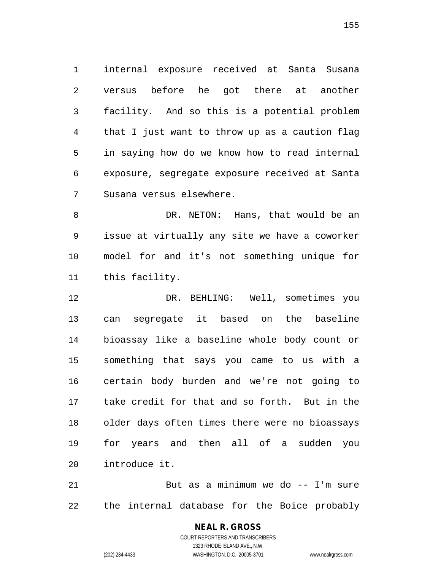1 internal exposure received at Santa Susana 2 versus before he got there at another 3 facility. And so this is a potential problem 4 that I just want to throw up as a caution flag 5 in saying how do we know how to read internal 6 exposure, segregate exposure received at Santa 7 Susana versus elsewhere.

8 DR. NETON: Hans, that would be an 9 issue at virtually any site we have a coworker 10 model for and it's not something unique for 11 this facility.

12 DR. BEHLING: Well, sometimes you 13 can segregate it based on the baseline 14 bioassay like a baseline whole body count or 15 something that says you came to us with a 16 certain body burden and we're not going to 17 take credit for that and so forth. But in the 18 older days often times there were no bioassays 19 for years and then all of a sudden you 20 introduce it.

21 But as a minimum we do -- I'm sure 22 the internal database for the Boice probably

## **NEAL R. GROSS** COURT REPORTERS AND TRANSCRIBERS 1323 RHODE ISLAND AVE., N.W.

(202) 234-4433 WASHINGTON, D.C. 20005-3701 www.nealrgross.com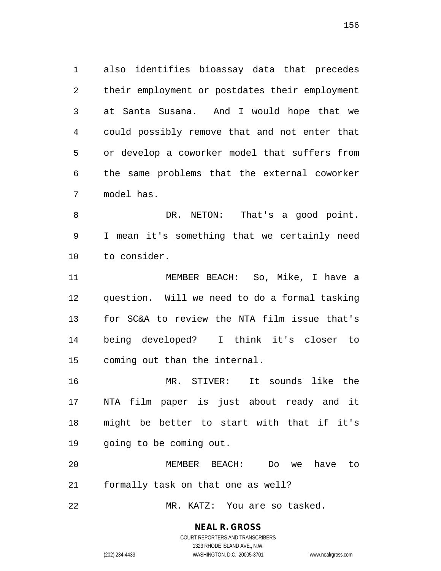1 also identifies bioassay data that precedes 2 their employment or postdates their employment 3 at Santa Susana. And I would hope that we 4 could possibly remove that and not enter that 5 or develop a coworker model that suffers from 6 the same problems that the external coworker 7 model has.

8 DR. NETON: That's a good point. 9 I mean it's something that we certainly need 10 to consider.

11 MEMBER BEACH: So, Mike, I have a 12 question. Will we need to do a formal tasking 13 for SC&A to review the NTA film issue that's 14 being developed? I think it's closer to 15 coming out than the internal.

16 MR. STIVER: It sounds like the 17 NTA film paper is just about ready and it 18 might be better to start with that if it's 19 going to be coming out.

20 MEMBER BEACH: Do we have to 21 formally task on that one as well?

22 MR. KATZ: You are so tasked.

### **NEAL R. GROSS**

COURT REPORTERS AND TRANSCRIBERS 1323 RHODE ISLAND AVE., N.W. (202) 234-4433 WASHINGTON, D.C. 20005-3701 www.nealrgross.com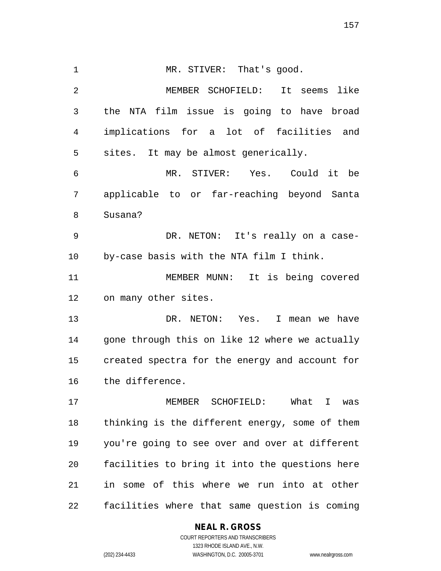1 MR. STIVER: That's good. 2 MEMBER SCHOFIELD: It seems like 3 the NTA film issue is going to have broad 4 implications for a lot of facilities and 5 sites. It may be almost generically. 6 MR. STIVER: Yes. Could it be 7 applicable to or far-reaching beyond Santa 8 Susana? 9 DR. NETON: It's really on a case-10 by-case basis with the NTA film I think. 11 MEMBER MUNN: It is being covered 12 on many other sites. 13 DR. NETON: Yes. I mean we have 14 gone through this on like 12 where we actually 15 created spectra for the energy and account for 16 the difference. 17 MEMBER SCHOFIELD: What I was 18 thinking is the different energy, some of them 19 you're going to see over and over at different 20 facilities to bring it into the questions here 21 in some of this where we run into at other 22 facilities where that same question is coming

### **NEAL R. GROSS**

COURT REPORTERS AND TRANSCRIBERS 1323 RHODE ISLAND AVE., N.W. (202) 234-4433 WASHINGTON, D.C. 20005-3701 www.nealrgross.com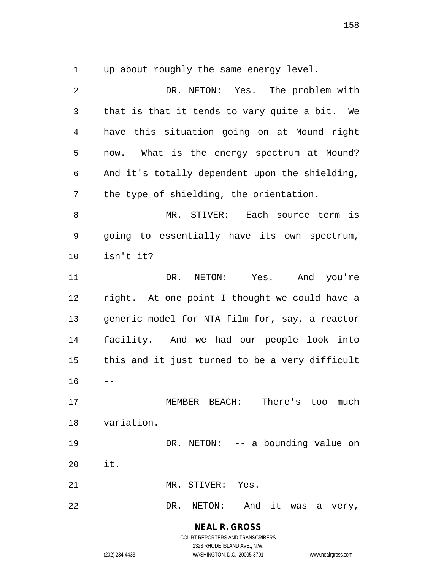1 up about roughly the same energy level.

2 DR. NETON: Yes. The problem with 3 that is that it tends to vary quite a bit. We 4 have this situation going on at Mound right 5 now. What is the energy spectrum at Mound? 6 And it's totally dependent upon the shielding, 7 the type of shielding, the orientation. 8 MR. STIVER: Each source term is 9 going to essentially have its own spectrum, 10 isn't it? 11 DR. NETON: Yes. And you're 12 right. At one point I thought we could have a 13 generic model for NTA film for, say, a reactor 14 facility. And we had our people look into 15 this and it just turned to be a very difficult  $16 - -$ 17 MEMBER BEACH: There's too much 18 variation. 19 DR. NETON: -- a bounding value on 20 it. 21 MR. STIVER: Yes. 22 DR. NETON: And it was a very,

> **NEAL R. GROSS** COURT REPORTERS AND TRANSCRIBERS

> > 1323 RHODE ISLAND AVE., N.W.

(202) 234-4433 WASHINGTON, D.C. 20005-3701 www.nealrgross.com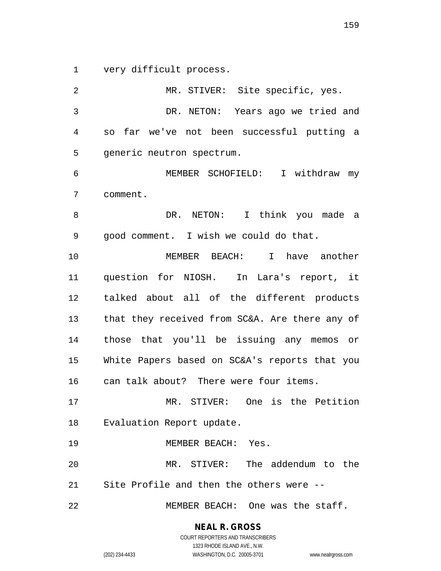1 very difficult process.

2 MR. STIVER: Site specific, yes. 3 DR. NETON: Years ago we tried and 4 so far we've not been successful putting a 5 generic neutron spectrum. 6 MEMBER SCHOFIELD: I withdraw my 7 comment. 8 DR. NETON: I think you made a 9 good comment. I wish we could do that. 10 MEMBER BEACH: I have another 11 question for NIOSH. In Lara's report, it 12 talked about all of the different products 13 that they received from SC&A. Are there any of 14 those that you'll be issuing any memos or 15 White Papers based on SC&A's reports that you 16 can talk about? There were four items. 17 MR. STIVER: One is the Petition 18 Evaluation Report update. 19 MEMBER BEACH: Yes. 20 MR. STIVER: The addendum to the 21 Site Profile and then the others were -- 22 MEMBER BEACH: One was the staff.

> **NEAL R. GROSS** COURT REPORTERS AND TRANSCRIBERS

> > 1323 RHODE ISLAND AVE., N.W.

(202) 234-4433 WASHINGTON, D.C. 20005-3701 www.nealrgross.com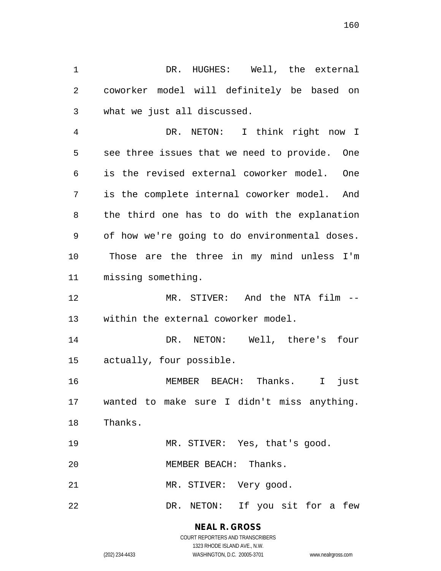1 DR. HUGHES: Well, the external 2 coworker model will definitely be based on 3 what we just all discussed.

4 DR. NETON: I think right now I 5 see three issues that we need to provide. One 6 is the revised external coworker model. One 7 is the complete internal coworker model. And 8 the third one has to do with the explanation 9 of how we're going to do environmental doses. 10 Those are the three in my mind unless I'm 11 missing something.

12 MR. STIVER: And the NTA film -- 13 within the external coworker model.

14 DR. NETON: Well, there's four 15 actually, four possible.

16 MEMBER BEACH: Thanks. I just 17 wanted to make sure I didn't miss anything. 18 Thanks.

19 MR. STIVER: Yes, that's good.

20 MEMBER BEACH: Thanks.

21 MR. STIVER: Very good.

22 DR. NETON: If you sit for a few

**NEAL R. GROSS** COURT REPORTERS AND TRANSCRIBERS

1323 RHODE ISLAND AVE., N.W. (202) 234-4433 WASHINGTON, D.C. 20005-3701 www.nealrgross.com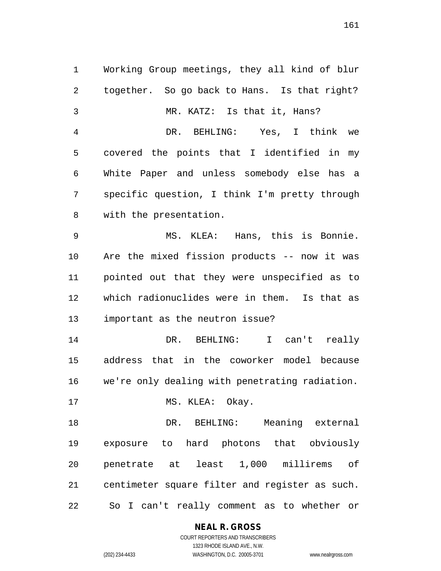1 Working Group meetings, they all kind of blur 2 together. So go back to Hans. Is that right? 3 MR. KATZ: Is that it, Hans? 4 DR. BEHLING: Yes, I think we 5 covered the points that I identified in my 6 White Paper and unless somebody else has a 7 specific question, I think I'm pretty through 8 with the presentation. 9 MS. KLEA: Hans, this is Bonnie. 10 Are the mixed fission products -- now it was 11 pointed out that they were unspecified as to 12 which radionuclides were in them. Is that as 13 important as the neutron issue? 14 DR. BEHLING: I can't really 15 address that in the coworker model because 16 we're only dealing with penetrating radiation. 17 MS. KLEA: Okay. 18 DR. BEHLING: Meaning external 19 exposure to hard photons that obviously 20 penetrate at least 1,000 millirems of 21 centimeter square filter and register as such. 22 So I can't really comment as to whether or

**NEAL R. GROSS**

COURT REPORTERS AND TRANSCRIBERS 1323 RHODE ISLAND AVE., N.W. (202) 234-4433 WASHINGTON, D.C. 20005-3701 www.nealrgross.com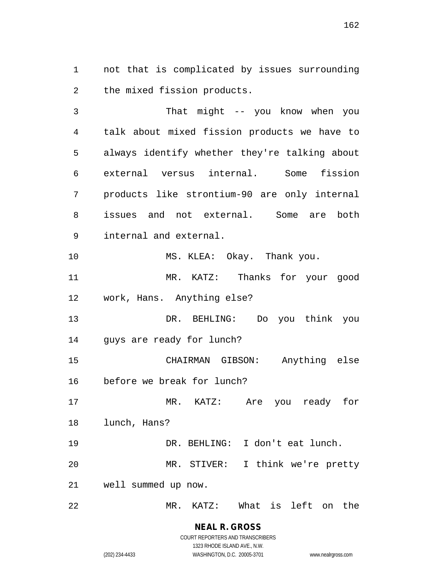1 not that is complicated by issues surrounding 2 the mixed fission products.

3 That might -- you know when you 4 talk about mixed fission products we have to 5 always identify whether they're talking about 6 external versus internal. Some fission 7 products like strontium-90 are only internal 8 issues and not external. Some are both 9 internal and external. 10 MS. KLEA: Okay. Thank you. 11 MR. KATZ: Thanks for your good 12 work, Hans. Anything else? 13 DR. BEHLING: Do you think you 14 guys are ready for lunch? 15 CHAIRMAN GIBSON: Anything else 16 before we break for lunch?

17 MR. KATZ: Are you ready for 18 lunch, Hans? 19 DR. BEHLING: I don't eat lunch.

20 MR. STIVER: I think we're pretty 21 well summed up now.

22 MR. KATZ: What is left on the

**NEAL R. GROSS** COURT REPORTERS AND TRANSCRIBERS

1323 RHODE ISLAND AVE., N.W.

(202) 234-4433 WASHINGTON, D.C. 20005-3701 www.nealrgross.com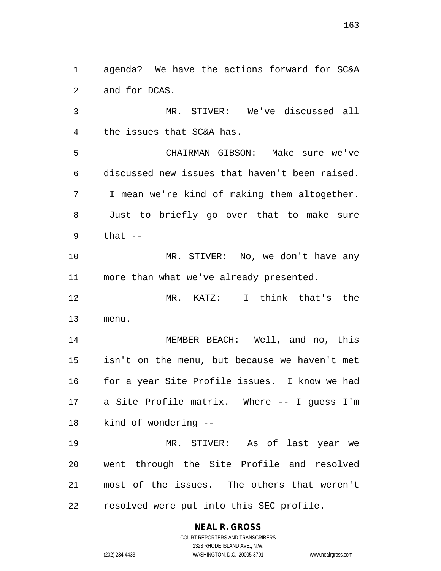1 agenda? We have the actions forward for SC&A 2 and for DCAS.

3 MR. STIVER: We've discussed all 4 the issues that SC&A has.

5 CHAIRMAN GIBSON: Make sure we've 6 discussed new issues that haven't been raised. 7 I mean we're kind of making them altogether. 8 Just to briefly go over that to make sure  $9$  that  $-$ 

10 MR. STIVER: No, we don't have any 11 more than what we've already presented.

12 MR. KATZ: I think that's the 13 menu.

14 MEMBER BEACH: Well, and no, this 15 isn't on the menu, but because we haven't met 16 for a year Site Profile issues. I know we had 17 a Site Profile matrix. Where -- I guess I'm 18 kind of wondering --

19 MR. STIVER: As of last year we 20 went through the Site Profile and resolved 21 most of the issues. The others that weren't 22 resolved were put into this SEC profile.

**NEAL R. GROSS**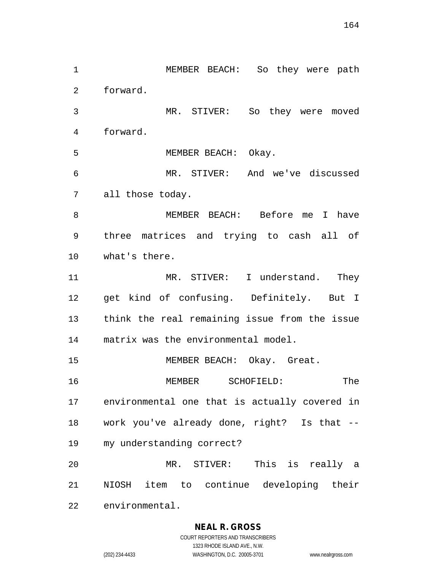1 MEMBER BEACH: So they were path 2 forward. 3 MR. STIVER: So they were moved 4 forward. 5 MEMBER BEACH: Okay. 6 MR. STIVER: And we've discussed 7 all those today. 8 MEMBER BEACH: Before me I have 9 three matrices and trying to cash all of 10 what's there. 11 MR. STIVER: I understand. They 12 get kind of confusing. Definitely. But I 13 think the real remaining issue from the issue 14 matrix was the environmental model. 15 MEMBER BEACH: Okay. Great. 16 MEMBER SCHOFIELD: The 17 environmental one that is actually covered in 18 work you've already done, right? Is that -- 19 my understanding correct? 20 MR. STIVER: This is really a 21 NIOSH item to continue developing their 22 environmental.

#### **NEAL R. GROSS**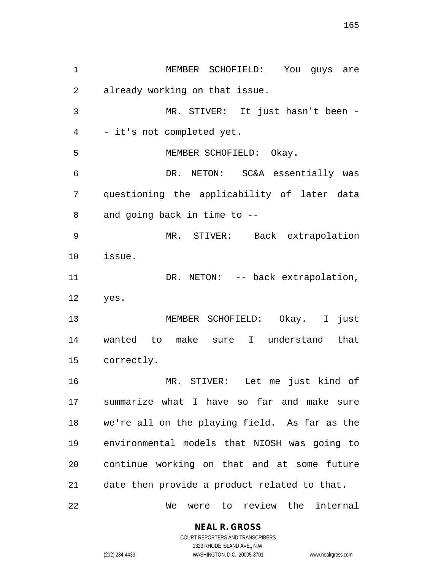1 MEMBER SCHOFIELD: You guys are 2 already working on that issue. 3 MR. STIVER: It just hasn't been - 4 - it's not completed yet. 5 MEMBER SCHOFIELD: Okay. 6 DR. NETON: SC&A essentially was 7 questioning the applicability of later data 8 and going back in time to -- 9 MR. STIVER: Back extrapolation 10 issue. 11 DR. NETON: -- back extrapolation, 12 yes. 13 MEMBER SCHOFIELD: Okay. I just 14 wanted to make sure I understand that 15 correctly. 16 MR. STIVER: Let me just kind of 17 summarize what I have so far and make sure 18 we're all on the playing field. As far as the 19 environmental models that NIOSH was going to 20 continue working on that and at some future 21 date then provide a product related to that. 22 We were to review the internal

**NEAL R. GROSS**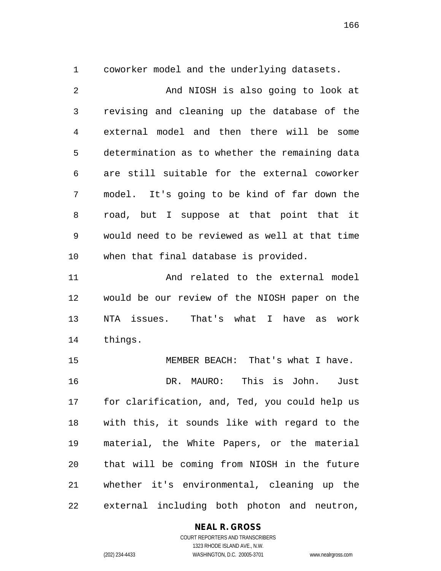1 coworker model and the underlying datasets.

2 And NIOSH is also going to look at 3 revising and cleaning up the database of the 4 external model and then there will be some 5 determination as to whether the remaining data 6 are still suitable for the external coworker 7 model. It's going to be kind of far down the 8 road, but I suppose at that point that it 9 would need to be reviewed as well at that time 10 when that final database is provided.

11 And related to the external model 12 would be our review of the NIOSH paper on the 13 NTA issues. That's what I have as work 14 things.

15 MEMBER BEACH: That's what I have. 16 DR. MAURO: This is John. Just 17 for clarification, and, Ted, you could help us 18 with this, it sounds like with regard to the 19 material, the White Papers, or the material 20 that will be coming from NIOSH in the future 21 whether it's environmental, cleaning up the 22 external including both photon and neutron,

### **NEAL R. GROSS**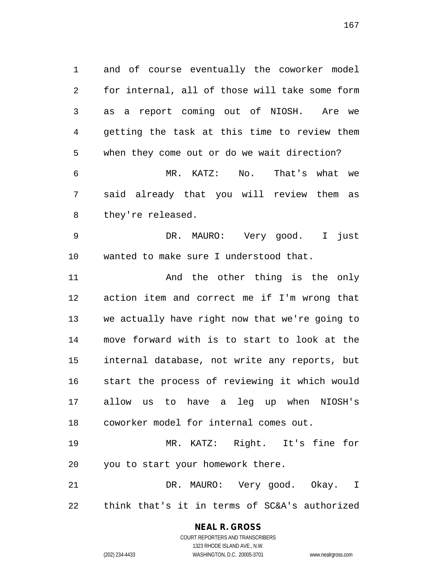1 and of course eventually the coworker model 2 for internal, all of those will take some form 3 as a report coming out of NIOSH. Are we 4 getting the task at this time to review them 5 when they come out or do we wait direction? 6 MR. KATZ: No. That's what we 7 said already that you will review them as 8 they're released.

9 DR. MAURO: Very good. I just 10 wanted to make sure I understood that.

11 and the other thing is the only 12 action item and correct me if I'm wrong that 13 we actually have right now that we're going to 14 move forward with is to start to look at the 15 internal database, not write any reports, but 16 start the process of reviewing it which would 17 allow us to have a leg up when NIOSH's 18 coworker model for internal comes out.

19 MR. KATZ: Right. It's fine for 20 you to start your homework there.

21 DR. MAURO: Very good. Okay. I 22 think that's it in terms of SC&A's authorized

# **NEAL R. GROSS**

COURT REPORTERS AND TRANSCRIBERS 1323 RHODE ISLAND AVE., N.W. (202) 234-4433 WASHINGTON, D.C. 20005-3701 www.nealrgross.com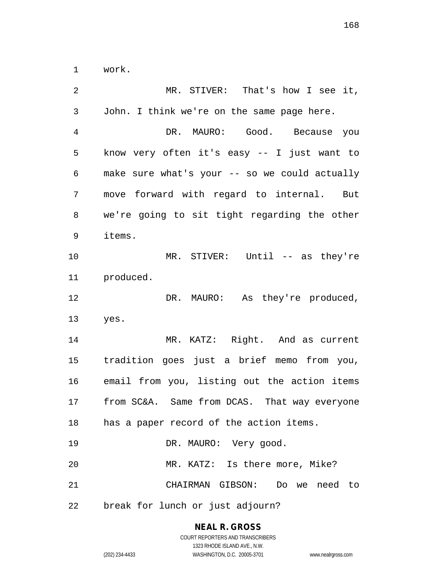1 work.

| 2  | MR. STIVER: That's how I see it,              |
|----|-----------------------------------------------|
| 3  | John. I think we're on the same page here.    |
| 4  | DR. MAURO: Good. Because you                  |
| 5  | know very often it's easy -- I just want to   |
| 6  | make sure what's your -- so we could actually |
| 7  | move forward with regard to internal. But     |
| 8  | we're going to sit tight regarding the other  |
| 9  | items.                                        |
| 10 | MR. STIVER: Until -- as they're               |
| 11 | produced.                                     |
| 12 | DR. MAURO: As they're produced,               |
| 13 | yes.                                          |
| 14 | MR. KATZ: Right. And as current               |
| 15 | tradition goes just a brief memo from you,    |
| 16 | email from you, listing out the action items  |
| 17 | from SC&A. Same from DCAS. That way everyone  |
| 18 | has a paper record of the action items.       |
| 19 | DR. MAURO: Very good.                         |
| 20 | MR. KATZ: Is there more, Mike?                |
| 21 | CHAIRMAN GIBSON: Do we need to                |
| 22 | break for lunch or just adjourn?              |

## **NEAL R. GROSS**